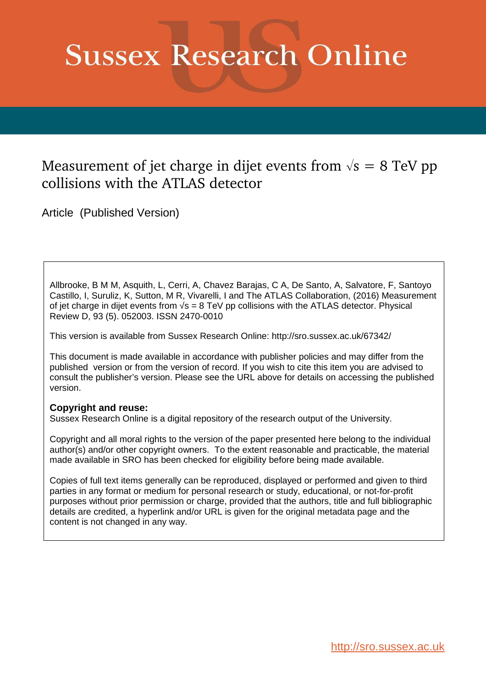# **Sussex Research Online**

# Measurement of jet charge in dijet events from  $\sqrt{s} = 8$  TeV pp collisions with the ATLAS detector

Article (Published Version)

<span id="page-0-0"></span>Allbrooke, B M M, Asquith, L, Cerri, A, Chavez Barajas, C A, De Santo, A, Salvatore, F, Santoyo Castillo, I, Suruliz, K, Sutton, M R, Vivarelli, I and The ATLAS Collaboration, (2016) Measurement of jet charge in dijet events from  $\sqrt{s} = 8$  TeV pp collisions with the ATLAS detector. Physical Review D, 93 (5). 052003. ISSN 2470-0010

This version is available from Sussex Research Online: http://sro.sussex.ac.uk/67342/

This document is made available in accordance with publisher policies and may differ from the published version or from the version of record. If you wish to cite this item you are advised to consult the publisher's version. Please see the URL above for details on accessing the published version.

### **Copyright and reuse:**

Sussex Research Online is a digital repository of the research output of the University.

Copyright and all moral rights to the version of the paper presented here belong to the individual author(s) and/or other copyright owners. To the extent reasonable and practicable, the material made available in SRO has been checked for eligibility before being made available.

Copies of full text items generally can be reproduced, displayed or performed and given to third parties in any format or medium for personal research or study, educational, or not-for-profit purposes without prior permission or charge, provided that the authors, title and full bibliographic details are credited, a hyperlink and/or URL is given for the original metadata page and the content is not changed in any way.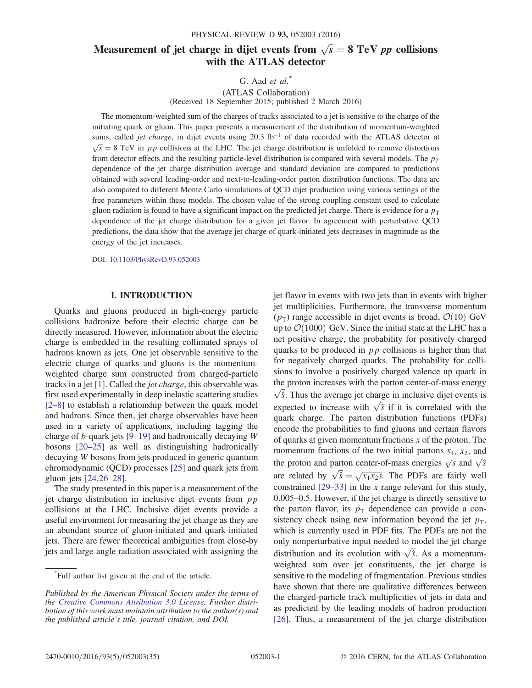## Measurement of jet charge in dijet events from  $\sqrt{s} = 8 \text{ TeV } pp$  collisions with the ATLAS detector

G. Aad  $et \ al.^*$ 

(ATLAS Collaboration) (Received 18 September 2015; published 2 March 2016)

The momentum-weighted sum of the charges of tracks associated to a jet is sensitive to the charge of the initiating quark or gluon. This paper presents a measurement of the distribution of momentum-weighted sums, called *jet charge*, in dijet events using 20.3 fb<sup>-1</sup> of data recorded with the ATLAS detector at  $\sqrt{s}$  = 8 TeV in pp collisions at the LHC. The jet charge distribution is unfolded to remove distortions from detector effects and the resulting particle-level distribution is compared with several models. The  $p_T$ dependence of the jet charge distribution average and standard deviation are compared to predictions obtained with several leading-order and next-to-leading-order parton distribution functions. The data are also compared to different Monte Carlo simulations of QCD dijet production using various settings of the free parameters within these models. The chosen value of the strong coupling constant used to calculate gluon radiation is found to have a significant impact on the predicted jet charge. There is evidence for a  $p_T$ dependence of the jet charge distribution for a given jet flavor. In agreement with perturbative QCD predictions, the data show that the average jet charge of quark-initiated jets decreases in magnitude as the energy of the jet increases.

DOI: [10.1103/PhysRevD.93.052003](http://dx.doi.org/10.1103/PhysRevD.93.052003)

#### I. INTRODUCTION

<span id="page-1-0"></span>Quarks and gluons produced in high-energy particle collisions hadronize before their electric charge can be directly measured. However, information about the electric charge is embedded in the resulting collimated sprays of hadrons known as jets. One jet observable sensitive to the electric charge of quarks and gluons is the momentumweighted charge sum constructed from charged-particle tracks in a jet [\[1\].](#page-19-0) Called the jet charge, this observable was first used experimentally in deep inelastic scattering studies [\[2](#page-19-1)–8] to establish a relationship between the quark model and hadrons. Since then, jet charge observables have been used in a variety of applications, including tagging the charge of *b*-quark jets  $[9-19]$  $[9-19]$  and hadronically decaying W bosons [\[20](#page-20-0)–25] as well as distinguishing hadronically decaying W bosons from jets produced in generic quantum chromodynamic (QCD) processes [\[25\]](#page-20-1) and quark jets from gluon jets [\[24,26](#page-20-2)–28].

The study presented in this paper is a measurement of the jet charge distribution in inclusive dijet events from  $pp$ collisions at the LHC. Inclusive dijet events provide a useful environment for measuring the jet charge as they are an abundant source of gluon-initiated and quark-initiated jets. There are fewer theoretical ambiguities from close-by jets and large-angle radiation associated with assigning the jet flavor in events with two jets than in events with higher jet multiplicities. Furthermore, the transverse momentum  $(p_T)$  range accessible in dijet events is broad,  $\mathcal{O}(10)$  GeV up to  $\mathcal{O}(1000)$  GeV. Since the initial state at the LHC has a net positive charge, the probability for positively charged quarks to be produced in  $pp$  collisions is higher than that for negatively charged quarks. The probability for collisions to involve a positively charged valence up quark in the proton increases with the parton center-of-mass energy  $\sqrt{\hat{s}}$ . Thus the average jet charge in inclusive dijet events is expected to increase with  $\sqrt{\hat{s}}$  if it is correlated with the quark charge. The parton distribution functions (PDFs) encode the probabilities to find gluons and certain flavors of quarks at given momentum fractions  $x$  of the proton. The momentum fractions of the two initial partons  $x_1$ ,  $x_2$ , and the proton and parton center-of-mass energies  $\sqrt{s}$  and  $\sqrt{\hat{s}}$ are related by  $\sqrt{\hat{s}}$  $=\sqrt{x_1x_2s}$ . The PDFs are fairly well constrained  $[29-33]$  $[29-33]$  in the x range relevant for this study, 0.005–0.5. However, if the jet charge is directly sensitive to the parton flavor, its  $p<sub>T</sub>$  dependence can provide a consistency check using new information beyond the jet  $p<sub>T</sub>$ , which is currently used in PDF fits. The PDFs are not the only nonperturbative input needed to model the jet charge distribution and its evolution with  $\sqrt{\hat{s}}$ . As a momentumweighted sum over jet constituents, the jet charge is sensitive to the modeling of fragmentation. Previous studies have shown that there are qualitative differences between the charged-particle track multiplicities of jets in data and as predicted by the leading models of hadron production [\[26\]](#page-20-4). Thus, a measurement of the jet charge distribution

<span id="page-1-1"></span><sup>\*</sup> Full author list given at the end of the article.

Published by the American Physical Society under the terms of the [Creative Commons Attribution 3.0 License.](http://creativecommons.org/licenses/by/3.0/) Further distribution of this work must maintain attribution to the author(s) and the published article's title, journal citation, and DOI.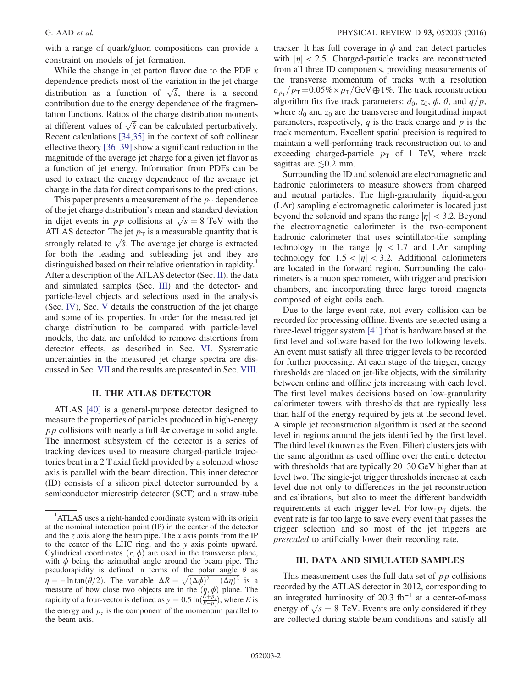<span id="page-2-1"></span>with a range of quark/gluon compositions can provide a constraint on models of jet formation.

While the change in jet parton flavor due to the PDF  $x$ dependence predicts most of the variation in the jet charge distribution as a function of  $\sqrt{\hat{s}}$ , there is a second contribution due to the energy dependence of the fragmentation functions. Ratios of the charge distribution moments at different values of  $\sqrt{\hat{s}}$  can be calculated perturbatively. Recent calculations [\[34,35\]](#page-20-5) in the context of soft collinear effective theory [\[36](#page-20-6)–39] show a significant reduction in the magnitude of the average jet charge for a given jet flavor as a function of jet energy. Information from PDFs can be used to extract the energy dependence of the average jet charge in the data for direct comparisons to the predictions.

This paper presents a measurement of the  $p_T$  dependence of the jet charge distribution's mean and standard deviation in dijet events in *pp* collisions at  $\sqrt{s} = 8$  TeV with the ATLAS detector. The jet  $p<sub>T</sub>$  is a measurable quantity that is strongly related to  $\sqrt{\hat{s}}$ . The average jet charge is extracted for both the leading and subleading jet and they are distinguished based on their relative orientation in rapidity.<sup>1</sup> After a description of the ATLAS detector (Sec. [II\)](#page-1-0), the data and simulated samples (Sec. [III](#page-1-1)) and the detector- and particle-level objects and selections used in the analysis (Sec. [IV](#page-2-0)), Sec. [V](#page-3-0) details the construction of the jet charge and some of its properties. In order for the measured jet charge distribution to be compared with particle-level models, the data are unfolded to remove distortions from detector effects, as described in Sec. [VI](#page-5-0). Systematic uncertainties in the measured jet charge spectra are discussed in Sec. [VII](#page-6-0) and the results are presented in Sec. [VIII](#page-10-0).

#### II. THE ATLAS DETECTOR

ATLAS [\[40\]](#page-20-7) is a general-purpose detector designed to measure the properties of particles produced in high-energy *pp* collisions with nearly a full  $4\pi$  coverage in solid angle. The innermost subsystem of the detector is a series of tracking devices used to measure charged-particle trajectories bent in a 2 T axial field provided by a solenoid whose axis is parallel with the beam direction. This inner detector (ID) consists of a silicon pixel detector surrounded by a semiconductor microstrip detector (SCT) and a straw-tube tracker. It has full coverage in  $\phi$  and can detect particles with  $|\eta|$  < 2.5. Charged-particle tracks are reconstructed from all three ID components, providing measurements of the transverse momentum of tracks with a resolution  $\sigma_{p_{\text{T}}} / p_{\text{T}} = 0.05\% \times p_{\text{T}} / \text{GeV} \oplus 1\%.$  The track reconstruction algorithm fits five track parameters:  $d_0$ ,  $z_0$ ,  $\phi$ ,  $\theta$ , and  $q/p$ , where  $d_0$  and  $z_0$  are the transverse and longitudinal impact parameters, respectively,  $q$  is the track charge and  $p$  is the track momentum. Excellent spatial precision is required to maintain a well-performing track reconstruction out to and exceeding charged-particle  $p_T$  of 1 TeV, where track sagittas are  $\leq 0.2$  mm.

Surrounding the ID and solenoid are electromagnetic and hadronic calorimeters to measure showers from charged and neutral particles. The high-granularity liquid-argon (LAr) sampling electromagnetic calorimeter is located just beyond the solenoid and spans the range  $|\eta| < 3.2$ . Beyond the electromagnetic calorimeter is the two-component hadronic calorimeter that uses scintillator-tile sampling technology in the range  $|\eta|$  < 1.7 and LAr sampling technology for  $1.5 < |\eta| < 3.2$ . Additional calorimeters are located in the forward region. Surrounding the calorimeters is a muon spectrometer, with trigger and precision chambers, and incorporating three large toroid magnets composed of eight coils each.

<span id="page-2-2"></span><span id="page-2-0"></span>Due to the large event rate, not every collision can be recorded for processing offline. Events are selected using a three-level trigger system [\[41\]](#page-20-8) that is hardware based at the first level and software based for the two following levels. An event must satisfy all three trigger levels to be recorded for further processing. At each stage of the trigger, energy thresholds are placed on jet-like objects, with the similarity between online and offline jets increasing with each level. The first level makes decisions based on low-granularity calorimeter towers with thresholds that are typically less than half of the energy required by jets at the second level. A simple jet reconstruction algorithm is used at the second level in regions around the jets identified by the first level. The third level (known as the Event Filter) clusters jets with the same algorithm as used offline over the entire detector with thresholds that are typically 20–30 GeV higher than at level two. The single-jet trigger thresholds increase at each level due not only to differences in the jet reconstruction and calibrations, but also to meet the different bandwidth requirements at each trigger level. For low- $p<sub>T</sub>$  dijets, the event rate is far too large to save every event that passes the trigger selection and so most of the jet triggers are prescaled to artificially lower their recording rate.

#### III. DATA AND SIMULATED SAMPLES

This measurement uses the full data set of  $p p$  collisions recorded by the ATLAS detector in 2012, corresponding to an integrated luminosity of 20.3  $fb^{-1}$  at a center-of-mass energy of  $\sqrt{s} = 8$  TeV. Events are only considered if they are collected during stable beam conditions and satisfy all

<sup>&</sup>lt;sup>1</sup>ATLAS uses a right-handed coordinate system with its origin at the nominal interaction point (IP) in the center of the detector and the z axis along the beam pipe. The x axis points from the IP to the center of the LHC ring, and the y axis points upward. Cylindrical coordinates  $(r, \phi)$  are used in the transverse plane, with  $\phi$  being the azimuthal angle around the beam pipe. The pseudorapidity is defined in terms of the polar angle  $\theta$  as  $\eta = -\ln \tan(\theta/2)$ . The variable  $\Delta R = \sqrt{(\Delta \phi)^2 + (\Delta \eta)^2}$  is a measure of how close two objects are in the  $(\eta, \phi)$  plane. The rapidity of a four-vector is defined as  $y = 0.5 \ln(\frac{E + p_z}{E - p_z})$ , where E is the energy and  $p_z$  is the component of the momentum parallel to the beam axis.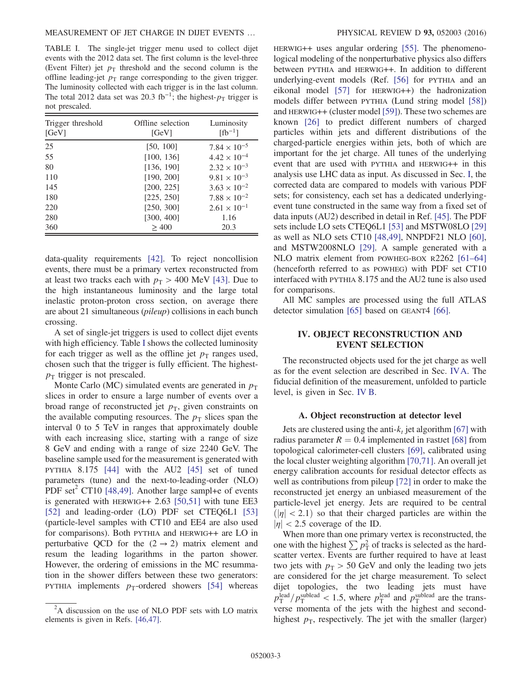<span id="page-3-2"></span>TABLE I. The single-jet trigger menu used to collect dijet events with the 2012 data set. The first column is the level-three (Event Filter) jet  $p_T$  threshold and the second column is the offline leading-jet  $p<sub>T</sub>$  range corresponding to the given trigger. The luminosity collected with each trigger is in the last column. The total 2012 data set was 20.3 fb<sup>-1</sup>; the highest- $p<sub>T</sub>$  trigger is not prescaled.

| Trigger threshold<br>[GeV] | Offline selection<br>[GeV] | Luminosity<br>$[fb^{-1}]$ |  |  |
|----------------------------|----------------------------|---------------------------|--|--|
| 25                         | [50, 100]                  | $7.84 \times 10^{-5}$     |  |  |
| 55                         | [100, 136]                 | $4.42 \times 10^{-4}$     |  |  |
| 80                         | [136, 190]                 | $2.32 \times 10^{-3}$     |  |  |
| 110                        | [190, 200]                 | $9.81 \times 10^{-3}$     |  |  |
| 145                        | [200, 225]                 | $3.63 \times 10^{-2}$     |  |  |
| 180                        | [225, 250]                 | $7.88 \times 10^{-2}$     |  |  |
| 220                        | [250, 300]                 | $2.61 \times 10^{-1}$     |  |  |
| 280                        | [300, 400]                 | 1.16                      |  |  |
| 360                        | > 400                      | 20.3                      |  |  |

data-quality requirements [\[42\]](#page-20-9). To reject noncollision events, there must be a primary vertex reconstructed from at least two tracks each with  $p_T > 400$  MeV [\[43\]](#page-20-10). Due to the high instantaneous luminosity and the large total inelastic proton-proton cross section, on average there are about 21 simultaneous (pileup) collisions in each bunch crossing.

A set of single-jet triggers is used to collect dijet events with high efficiency. Table [I](#page-2-1) shows the collected luminosity for each trigger as well as the offline jet  $p<sub>T</sub>$  ranges used, chosen such that the trigger is fully efficient. The highest $p_T$  trigger is not prescaled.

Monte Carlo (MC) simulated events are generated in  $p_T$ slices in order to ensure a large number of events over a broad range of reconstructed jet  $p<sub>T</sub>$ , given constraints on the available computing resources. The  $p<sub>T</sub>$  slices span the interval 0 to 5 TeV in ranges that approximately double with each increasing slice, starting with a range of size 8 GeV and ending with a range of size 2240 GeV. The baseline sample used for the measurement is generated with PYTHIA 8.175 [\[44\]](#page-20-11) with the AU2 [\[45\]](#page-20-12) set of tuned parameters (tune) and the next-to-leading-order (NLO) PDF set<sup>2</sup> CT10 [\[48,49\]](#page-20-13). Another large sampl+e of events is generated with  $HERWIG++ 2.63 [50,51]$  $HERWIG++ 2.63 [50,51]$  with tune EE3 [\[52\]](#page-21-0) and leading-order (LO) PDF set CTEQ6L1 [\[53\]](#page-21-1) (particle-level samples with CT10 and EE4 are also used for comparisons). Both PYTHIA and HERWIG++ are LO in perturbative QCD for the  $(2 \rightarrow 2)$  matrix element and resum the leading logarithms in the parton shower. However, the ordering of emissions in the MC resummation in the shower differs between these two generators: PYTHIA implements  $p_T$ -ordered showers [\[54\]](#page-21-2) whereas HERWIG++ uses angular ordering [\[55\].](#page-21-3) The phenomenological modeling of the nonperturbative physics also differs between PYTHIA and HERWIG++. In addition to different underlying-event models (Ref. [\[56\]](#page-21-4) for PYTHIA and an eikonal model [\[57\]](#page-21-5) for HERWIG++) the hadronization models differ between PYTHIA (Lund string model [\[58\]\)](#page-21-6) and HERWIG++ (cluster model [\[59\]](#page-21-7)). These two schemes are known [\[26\]](#page-20-4) to predict different numbers of charged particles within jets and different distributions of the charged-particle energies within jets, both of which are important for the jet charge. All tunes of the underlying event that are used with PYTHIA and HERWIG++ in this analysis use LHC data as input. As discussed in Sec. [I,](#page-0-0) the corrected data are compared to models with various PDF sets; for consistency, each set has a dedicated underlyingevent tune constructed in the same way from a fixed set of data inputs (AU2) described in detail in Ref. [\[45\]](#page-20-12). The PDF sets include LO sets CTEQ6L1 [\[53\]](#page-21-1) and MSTW08LO [\[29\]](#page-20-3) as well as NLO sets CT10 [\[48,49\]](#page-20-13), NNPDF21 NLO [\[60\]](#page-21-8), and MSTW2008NLO [\[29\]](#page-20-3). A sample generated with a NLO matrix element from POWHEG-BOX R2262 [\[61](#page-21-9)–64] (henceforth referred to as POWHEG) with PDF set CT10 interfaced with PYTHIA 8.175 and the AU2 tune is also used for comparisons.

All MC samples are processed using the full ATLAS detector simulation [\[65\]](#page-21-10) based on GEANT4 [\[66\]](#page-21-11).

#### IV. OBJECT RECONSTRUCTION AND EVENT SELECTION

<span id="page-3-0"></span>The reconstructed objects used for the jet charge as well as for the event selection are described in Sec. [IVA.](#page-2-2) The fiducial definition of the measurement, unfolded to particle level, is given in Sec. [IV B](#page-3-1).

#### A. Object reconstruction at detector level

<span id="page-3-3"></span>Jets are clustered using the anti- $k_t$  jet algorithm [\[67\]](#page-21-12) with radius parameter  $R = 0.4$  implemented in FastJet [\[68\]](#page-21-13) from topological calorimeter-cell clusters [\[69\],](#page-21-14) calibrated using the local cluster weighting algorithm [\[70,71\]](#page-21-15). An overall jet energy calibration accounts for residual detector effects as well as contributions from pileup [\[72\]](#page-21-16) in order to make the reconstructed jet energy an unbiased measurement of the particle-level jet energy. Jets are required to be central  $\vert \eta \vert$  < 2.1) so that their charged particles are within the  $|\eta|$  < 2.5 coverage of the ID.

When more than one primary vertex is reconstructed, the one with the highest  $\sum p_{\rm T}^2$  of tracks is selected as the hardscatter vertex. Events are further required to have at least two jets with  $p_T > 50$  GeV and only the leading two jets are considered for the jet charge measurement. To select dijet topologies, the two leading jets must have  $p_{\rm T}^{\rm lead}/p_{\rm T}^{\rm sublead}$  < 1.5, where  $p_{\rm T}^{\rm lead}$  and  $p_{\rm T}^{\rm sublead}$  are the transverse momenta of the jets with the highest and secondhighest  $p<sub>T</sub>$ , respectively. The jet with the smaller (larger)

<span id="page-3-1"></span> $2A$  discussion on the use of NLO PDF sets with LO matrix elements is given in Refs. [\[46,47\].](#page-20-15)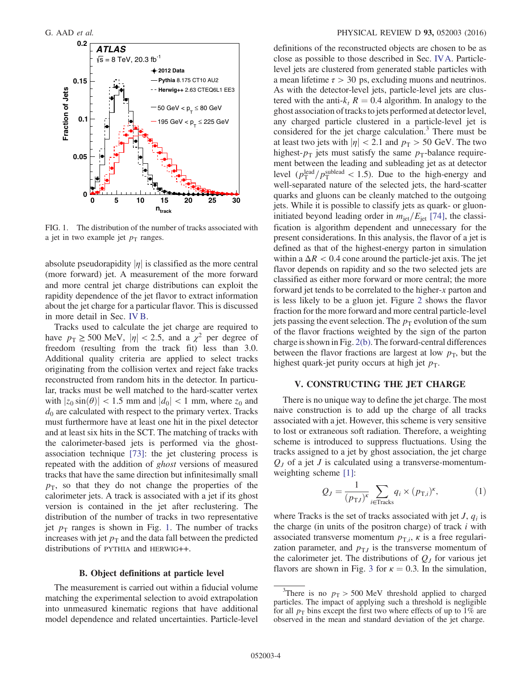<span id="page-4-0"></span>

FIG. 1. The distribution of the number of tracks associated with a jet in two example jet  $p<sub>T</sub>$  ranges.

absolute pseudorapidity  $|\eta|$  is classified as the more central (more forward) jet. A measurement of the more forward and more central jet charge distributions can exploit the rapidity dependence of the jet flavor to extract information about the jet charge for a particular flavor. This is discussed in more detail in Sec. [IV B](#page-3-1).

<span id="page-4-1"></span>Tracks used to calculate the jet charge are required to have  $p_T \ge 500$  MeV,  $|\eta| < 2.5$ , and a  $\chi^2$  per degree of freedom (resulting from the track fit) less than 3.0. Additional quality criteria are applied to select tracks originating from the collision vertex and reject fake tracks reconstructed from random hits in the detector. In particular, tracks must be well matched to the hard-scatter vertex with  $|z_0 \sin(\theta)| < 1.5$  mm and  $|d_0| < 1$  mm, where  $z_0$  and  $d_0$  are calculated with respect to the primary vertex. Tracks must furthermore have at least one hit in the pixel detector and at least six hits in the SCT. The matching of tracks with the calorimeter-based jets is performed via the ghostassociation technique [\[73\]](#page-21-17): the jet clustering process is repeated with the addition of ghost versions of measured tracks that have the same direction but infinitesimally small  $p<sub>T</sub>$ , so that they do not change the properties of the calorimeter jets. A track is associated with a jet if its ghost version is contained in the jet after reclustering. The distribution of the number of tracks in two representative jet  $p_T$  ranges is shown in Fig. [1.](#page-3-2) The number of tracks increases with jet  $p<sub>T</sub>$  and the data fall between the predicted distributions of PYTHIA and HERWIG++.

#### B. Object definitions at particle level

The measurement is carried out within a fiducial volume matching the experimental selection to avoid extrapolation into unmeasured kinematic regions that have additional model dependence and related uncertainties. Particle-level definitions of the reconstructed objects are chosen to be as close as possible to those described in Sec. [IVA](#page-2-2). Particlelevel jets are clustered from generated stable particles with a mean lifetime  $\tau > 30$  ps, excluding muons and neutrinos. As with the detector-level jets, particle-level jets are clustered with the anti- $k_t$  R = 0.4 algorithm. In analogy to the ghost association of tracks to jets performed at detector level, any charged particle clustered in a particle-level jet is considered for the jet charge calculation.<sup>3</sup> There must be at least two jets with  $|\eta| < 2.1$  and  $p_T > 50$  GeV. The two highest- $p_T$  jets must satisfy the same  $p_T$ -balance requirement between the leading and subleading jet as at detector level  $\left(p_T^{\text{lead}}/p_T^{\text{sublead}} < 1.5\right)$ . Due to the high-energy and well-separated nature of the selected jets, the hard-scatter quarks and gluons can be cleanly matched to the outgoing jets. While it is possible to classify jets as quark- or gluoninitiated beyond leading order in  $m_{\text{jet}}/E_{\text{jet}}$  [\[74\]](#page-21-18), the classification is algorithm dependent and unnecessary for the present considerations. In this analysis, the flavor of a jet is defined as that of the highest-energy parton in simulation within a  $\Delta R < 0.4$  cone around the particle-jet axis. The jet flavor depends on rapidity and so the two selected jets are classified as either more forward or more central; the more forward jet tends to be correlated to the higher-x parton and is less likely to be a gluon jet. Figure [2](#page-4-0) shows the flavor fraction for the more forward and more central particle-level jets passing the event selection. The  $p<sub>T</sub>$  evolution of the sum of the flavor fractions weighted by the sign of the parton charge is shown in Fig. [2\(b\).](#page-4-0) The forward-central differences between the flavor fractions are largest at low  $p<sub>T</sub>$ , but the highest quark-jet purity occurs at high jet  $p_T$ .

#### V. CONSTRUCTING THE JET CHARGE

There is no unique way to define the jet charge. The most naive construction is to add up the charge of all tracks associated with a jet. However, this scheme is very sensitive to lost or extraneous soft radiation. Therefore, a weighting scheme is introduced to suppress fluctuations. Using the tracks assigned to a jet by ghost association, the jet charge  $Q_J$  of a jet J is calculated using a transverse-momentumweighting scheme [\[1\]](#page-19-0):

$$
Q_J = \frac{1}{(p_{\text{T}J})^{\kappa}} \sum_{i \in \text{Tracks}} q_i \times (p_{\text{T},i})^{\kappa}, \tag{1}
$$

where Tracks is the set of tracks associated with jet  $J, q_i$  is the charge (in units of the positron charge) of track  $i$  with associated transverse momentum  $p_{\text{T},i}$ ,  $\kappa$  is a free regularization parameter, and  $p_{TJ}$  is the transverse momentum of the calorimeter jet. The distributions of  $Q_J$  for various jet flavors are shown in Fig. [3](#page-4-1) for  $\kappa = 0.3$ . In the simulation,

<sup>&</sup>lt;sup>3</sup>There is no  $p_T > 500$  MeV threshold applied to charged particles. The impact of applying such a threshold is negligible for all  $p<sub>T</sub>$  bins except the first two where effects of up to 1% are observed in the mean and standard deviation of the jet charge.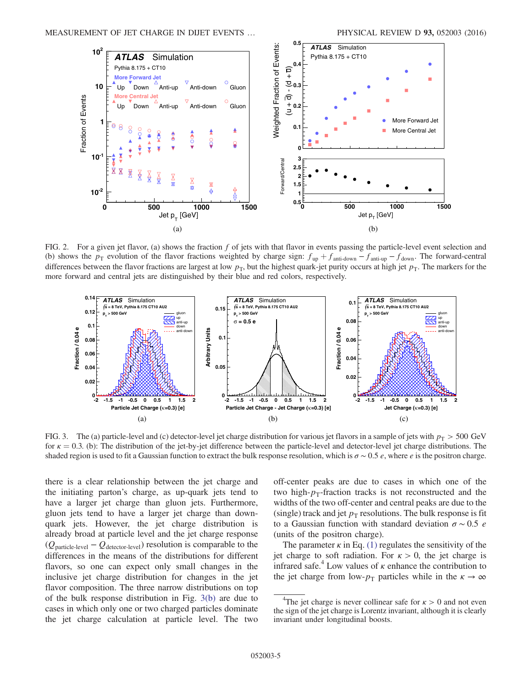<span id="page-5-1"></span>

FIG. 2. For a given jet flavor, (a) shows the fraction  $f$  of jets with that flavor in events passing the particle-level event selection and (b) shows the  $p_T$  evolution of the flavor fractions weighted by charge sign:  $f_{up} + f_{antidown} - f_{antidup} - f_{down}$ . The forward-central differences between the flavor fractions are largest at low  $p<sub>T</sub>$ , but the highest quark-jet purity occurs at high jet  $p<sub>T</sub>$ . The markers for the more forward and central jets are distinguished by their blue and red colors, respectively.



FIG. 3. The (a) particle-level and (c) detector-level jet charge distribution for various jet flavors in a sample of jets with  $p_T > 500 \text{ GeV}$ for  $\kappa = 0.3$ . (b): The distribution of the jet-by-jet difference between the particle-level and detector-level jet charge distributions. The shaded region is used to fit a Gaussian function to extract the bulk response resolution, which is  $\sigma \sim 0.5$  e, where e is the positron charge.

<span id="page-5-0"></span>there is a clear relationship between the jet charge and the initiating parton's charge, as up-quark jets tend to have a larger jet charge than gluon jets. Furthermore, gluon jets tend to have a larger jet charge than downquark jets. However, the jet charge distribution is already broad at particle level and the jet charge response  $(Q_{\text{particle-level}} - Q_{\text{detector-level}})$  resolution is comparable to the differences in the means of the distributions for different flavors, so one can expect only small changes in the inclusive jet charge distribution for changes in the jet flavor composition. The three narrow distributions on top of the bulk response distribution in Fig. [3\(b\)](#page-4-1) are due to cases in which only one or two charged particles dominate the jet charge calculation at particle level. The two off-center peaks are due to cases in which one of the two high- $p_T$ -fraction tracks is not reconstructed and the widths of the two off-center and central peaks are due to the (single) track and jet  $p_T$  resolutions. The bulk response is fit to a Gaussian function with standard deviation  $\sigma \sim 0.5$  e (units of the positron charge).

The parameter  $\kappa$  in Eq. [\(1\)](#page-3-3) regulates the sensitivity of the jet charge to soft radiation. For  $\kappa > 0$ , the jet charge is infrared safe.<sup>4</sup> Low values of  $\kappa$  enhance the contribution to the jet charge from low- $p_T$  particles while in the  $\kappa \to \infty$ 

<sup>&</sup>lt;sup>4</sup>The jet charge is never collinear safe for  $\kappa > 0$  and not even the sign of the jet charge is Lorentz invariant, although it is clearly invariant under longitudinal boosts.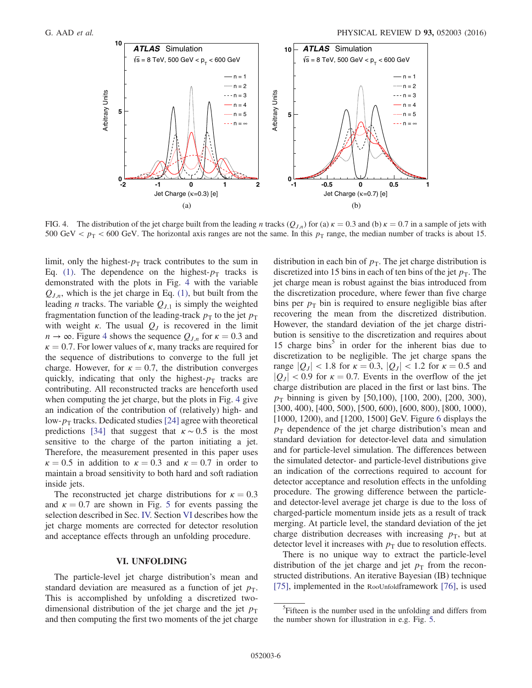<span id="page-6-1"></span>

FIG. 4. The distribution of the jet charge built from the leading n tracks  $(Q_{J,n})$  for (a)  $\kappa = 0.3$  and (b)  $\kappa = 0.7$  in a sample of jets with 500 GeV  $p_T < 600$  GeV. The horizontal axis ranges are not the same. In this  $p_T$  range, the median number of tracks is about 15.

limit, only the highest- $p_T$  track contributes to the sum in Eq. [\(1\).](#page-3-3) The dependence on the highest- $p_T$  tracks is demonstrated with the plots in Fig. [4](#page-5-1) with the variable  $Q_{J,n}$ , which is the jet charge in Eq. [\(1\)](#page-3-3), but built from the leading *n* tracks. The variable  $Q_{J,1}$  is simply the weighted fragmentation function of the leading-track  $p_T$  to the jet  $p_T$ with weight  $\kappa$ . The usual  $Q_J$  is recovered in the limit  $n \to \infty$ . Figure [4](#page-5-1) shows the sequence  $Q_{J,n}$  for  $\kappa = 0.3$  and  $\kappa = 0.7$ . For lower values of  $\kappa$ , many tracks are required for the sequence of distributions to converge to the full jet charge. However, for  $\kappa = 0.7$ , the distribution converges quickly, indicating that only the highest- $p<sub>T</sub>$  tracks are contributing. All reconstructed tracks are henceforth used when computing the jet charge, but the plots in Fig. [4](#page-5-1) give an indication of the contribution of (relatively) high- and low- $p_T$  tracks. Dedicated studies [\[24\]](#page-20-2) agree with theoretical predictions [\[34\]](#page-20-5) that suggest that  $\kappa \sim 0.5$  is the most sensitive to the charge of the parton initiating a jet. Therefore, the measurement presented in this paper uses  $\kappa = 0.5$  in addition to  $\kappa = 0.3$  and  $\kappa = 0.7$  in order to maintain a broad sensitivity to both hard and soft radiation inside jets.

The reconstructed jet charge distributions for  $\kappa = 0.3$ and  $\kappa = 0.7$  are shown in Fig. [5](#page-6-1) for events passing the selection described in Sec. [IV.](#page-2-0) Section [VI](#page-5-0) describes how the jet charge moments are corrected for detector resolution and acceptance effects through an unfolding procedure.

#### VI. UNFOLDING

The particle-level jet charge distribution's mean and standard deviation are measured as a function of jet  $p_T$ . This is accomplished by unfolding a discretized twodimensional distribution of the jet charge and the jet  $p_T$ and then computing the first two moments of the jet charge distribution in each bin of  $p<sub>T</sub>$ . The jet charge distribution is discretized into 15 bins in each of ten bins of the jet  $p<sub>T</sub>$ . The jet charge mean is robust against the bias introduced from the discretization procedure, where fewer than five charge bins per  $p<sub>T</sub>$  bin is required to ensure negligible bias after recovering the mean from the discretized distribution. However, the standard deviation of the jet charge distribution is sensitive to the discretization and requires about 15 charge bins<sup>5</sup> in order for the inherent bias due to discretization to be negligible. The jet charge spans the range  $|Q_J| < 1.8$  for  $\kappa = 0.3$ ,  $|Q_J| < 1.2$  for  $\kappa = 0.5$  and  $|Q_J|$  < 0.9 for  $\kappa = 0.7$ . Events in the overflow of the jet charge distribution are placed in the first or last bins. The  $p_T$  binning is given by [50,100), [100, 200), [200, 300), [300, 400), [400, 500), [500, 600), [600, 800), [800, 1000), [1000, 1200), and [1200, 1500] GeV. Figure [6](#page-7-0) displays the  $p_T$  dependence of the jet charge distribution's mean and standard deviation for detector-level data and simulation and for particle-level simulation. The differences between the simulated detector- and particle-level distributions give an indication of the corrections required to account for detector acceptance and resolution effects in the unfolding procedure. The growing difference between the particleand detector-level average jet charge is due to the loss of charged-particle momentum inside jets as a result of track merging. At particle level, the standard deviation of the jet charge distribution decreases with increasing  $p<sub>T</sub>$ , but at detector level it increases with  $p<sub>T</sub>$  due to resolution effects.

<span id="page-6-0"></span>There is no unique way to extract the particle-level distribution of the jet charge and jet  $p<sub>T</sub>$  from the reconstructed distributions. An iterative Bayesian (IB) technique [\[75\]](#page-21-19), implemented in the RooUnfoldframework [\[76\],](#page-21-20) is used

<sup>&</sup>lt;sup>5</sup>Fifteen is the number used in the unfolding and differs from the number shown for illustration in e.g. Fig. [5.](#page-6-1)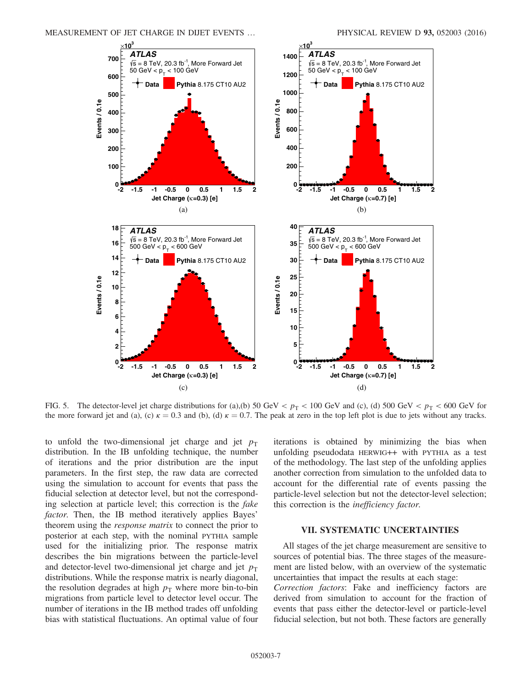<span id="page-7-0"></span>MEASUREMENT OF JET CHARGE IN DIJET EVENTS … PHYSICAL REVIEW D 93, 052003 (2016)



FIG. 5. The detector-level jet charge distributions for (a),(b) 50 GeV  $p_T$  < 100 GeV and (c), (d) 500 GeV  $p_T$  < 600 GeV for the more forward jet and (a), (c)  $\kappa = 0.3$  and (b), (d)  $\kappa = 0.7$ . The peak at zero in the top left plot is due to jets without any tracks.

to unfold the two-dimensional jet charge and jet  $p_T$ distribution. In the IB unfolding technique, the number of iterations and the prior distribution are the input parameters. In the first step, the raw data are corrected using the simulation to account for events that pass the fiducial selection at detector level, but not the corresponding selection at particle level; this correction is the fake factor. Then, the IB method iteratively applies Bayes' theorem using the response matrix to connect the prior to posterior at each step, with the nominal PYTHIA sample used for the initializing prior. The response matrix describes the bin migrations between the particle-level and detector-level two-dimensional jet charge and jet  $p_T$ distributions. While the response matrix is nearly diagonal, the resolution degrades at high  $p<sub>T</sub>$  where more bin-to-bin migrations from particle level to detector level occur. The number of iterations in the IB method trades off unfolding bias with statistical fluctuations. An optimal value of four <span id="page-7-1"></span>iterations is obtained by minimizing the bias when unfolding pseudodata HERWIG++ with PYTHIA as a test of the methodology. The last step of the unfolding applies another correction from simulation to the unfolded data to account for the differential rate of events passing the particle-level selection but not the detector-level selection; this correction is the inefficiency factor.

#### VII. SYSTEMATIC UNCERTAINTIES

All stages of the jet charge measurement are sensitive to sources of potential bias. The three stages of the measurement are listed below, with an overview of the systematic uncertainties that impact the results at each stage:

Correction factors: Fake and inefficiency factors are derived from simulation to account for the fraction of events that pass either the detector-level or particle-level fiducial selection, but not both. These factors are generally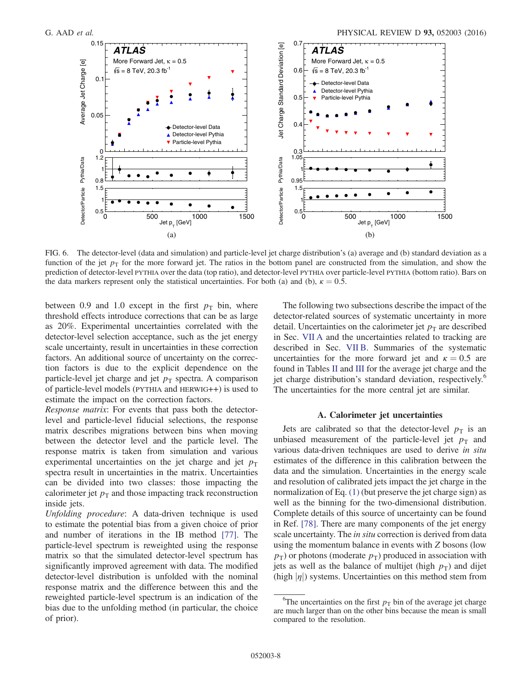<span id="page-8-1"></span>

<span id="page-8-2"></span>FIG. 6. The detector-level (data and simulation) and particle-level jet charge distribution's (a) average and (b) standard deviation as a function of the jet  $p_T$  for the more forward jet. The ratios in the bottom panel are constructed from the simulation, and show the prediction of detector-level PYTHIA over the data (top ratio), and detector-level PYTHIA over particle-level PYTHIA (bottom ratio). Bars on the data markers represent only the statistical uncertainties. For both (a) and (b),  $\kappa = 0.5$ .

between 0.9 and 1.0 except in the first  $p_T$  bin, where threshold effects introduce corrections that can be as large as 20%. Experimental uncertainties correlated with the detector-level selection acceptance, such as the jet energy scale uncertainty, result in uncertainties in these correction factors. An additional source of uncertainty on the correction factors is due to the explicit dependence on the particle-level jet charge and jet  $p_T$  spectra. A comparison of particle-level models (PYTHIA and HERWIG++) is used to estimate the impact on the correction factors.

Response matrix: For events that pass both the detectorlevel and particle-level fiducial selections, the response matrix describes migrations between bins when moving between the detector level and the particle level. The response matrix is taken from simulation and various experimental uncertainties on the jet charge and jet  $p_T$ spectra result in uncertainties in the matrix. Uncertainties can be divided into two classes: those impacting the calorimeter jet  $p<sub>T</sub>$  and those impacting track reconstruction inside jets.

Unfolding procedure: A data-driven technique is used to estimate the potential bias from a given choice of prior and number of iterations in the IB method [\[77\]](#page-21-21). The particle-level spectrum is reweighted using the response matrix so that the simulated detector-level spectrum has significantly improved agreement with data. The modified detector-level distribution is unfolded with the nominal response matrix and the difference between this and the reweighted particle-level spectrum is an indication of the bias due to the unfolding method (in particular, the choice of prior).

The following two subsections describe the impact of the detector-related sources of systematic uncertainty in more detail. Uncertainties on the calorimeter jet  $p<sub>T</sub>$  are described in Sec. [VII A](#page-7-1) and the uncertainties related to tracking are described in Sec. [VII B.](#page-8-0) Summaries of the systematic uncertainties for the more forward jet and  $\kappa = 0.5$  are found in Tables [II](#page-8-1) and [III](#page-8-2) for the average jet charge and the jet charge distribution's standard deviation, respectively.<sup>6</sup> The uncertainties for the more central jet are similar.

#### A. Calorimeter jet uncertainties

Jets are calibrated so that the detector-level  $p<sub>T</sub>$  is an unbiased measurement of the particle-level jet  $p_T$  and various data-driven techniques are used to derive in situ estimates of the difference in this calibration between the data and the simulation. Uncertainties in the energy scale and resolution of calibrated jets impact the jet charge in the normalization of Eq. [\(1\)](#page-3-3) (but preserve the jet charge sign) as well as the binning for the two-dimensional distribution. Complete details of this source of uncertainty can be found in Ref. [\[78\].](#page-21-22) There are many components of the jet energy scale uncertainty. The in situ correction is derived from data using the momentum balance in events with Z bosons (low  $p_T$ ) or photons (moderate  $p_T$ ) produced in association with jets as well as the balance of multijet (high  $p<sub>T</sub>$ ) and dijet (high  $|\eta|$ ) systems. Uncertainties on this method stem from

<span id="page-8-0"></span><sup>&</sup>lt;sup>6</sup>The uncertainties on the first  $p_T$  bin of the average jet charge are much larger than on the other bins because the mean is small compared to the resolution.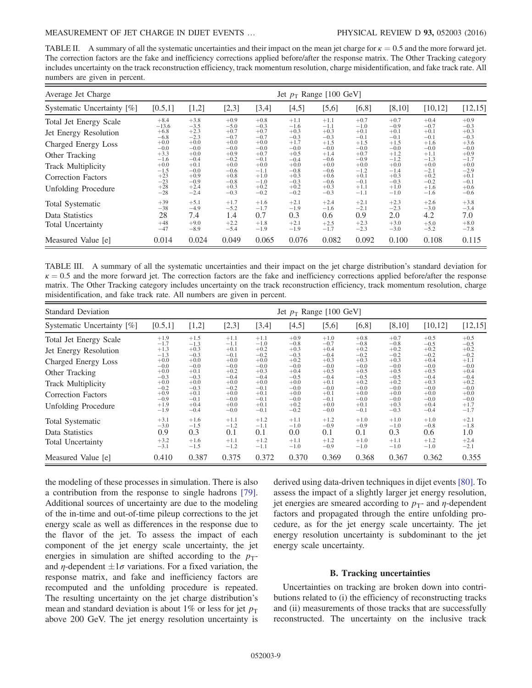<span id="page-9-0"></span>TABLE II. A summary of all the systematic uncertainties and their impact on the mean jet charge for  $\kappa = 0.5$  and the more forward jet. The correction factors are the fake and inefficiency corrections applied before/after the response matrix. The Other Tracking category includes uncertainty on the track reconstruction efficiency, track momentum resolution, charge misidentification, and fake track rate. All numbers are given in percent.

| Average Jet Charge         | Jet $p_T$ Range [100 GeV] |               |                  |               |               |               |                  |               |               |               |
|----------------------------|---------------------------|---------------|------------------|---------------|---------------|---------------|------------------|---------------|---------------|---------------|
| Systematic Uncertainty [%] | [0.5,1]                   | $[1,2]$       | [2,3]            | [3,4]         | [4,5]         | $[5,6]$       | [6, 8]           | [8,10]        | [10, 12]      | [12, 15]      |
| Total Jet Energy Scale     | $+8.4$                    | $+3.8$        | $+0.9$           | $+0.8$        | $+1.1$        | $+1.1$        | $+0.7$           | $+0.7$        | $+0.4$        | $+0.9$        |
|                            | $-13.6$                   | $-3.5$        | $-5.0$           | $-0.3$        | $-1.6$        | $-1.1$        | $-1.0$           | $-0.9$        | $-0.7$        | $-0.3$        |
| Jet Energy Resolution      | $+6.8$                    | $+2.3$        | $+0.7$           | $+0.7$        | $+0.3$        | $+0.3$        | $+0.1$           | $+0.1$        | $+0.1$        | $+0.3$        |
|                            | $-6.8$                    | $-2.3$        | $-0.7$           | $-0.7$        | $-0.3$        | $-0.3$        | $-0.1$           | $-0.1$        | $-0.1$        | $-0.3$        |
| Charged Energy Loss        | $+0.0$                    | $+0.0$        | $+0.0$           | $+0.0$        | $+1.7$        | $+1.5$        | $+1.5$           | $+1.5$        | $+1.6$        | $+3.6$        |
|                            | $-0.0$                    | $-0.0$        | $-0.0$           | $-0.0$        | $-0.0$        | $-0.0$        | $-0.0$           | $-0.0$        | $-0.0$        | $-0.0$        |
| Other Tracking             | $+3.3$                    | $+0.0$        | $+0.9$           | $+0.7$        | $+0.5$        | $+1.4$        | $+0.7$           | $+1.2$        | $+1.1$        | $+0.9$        |
| <b>Track Multiplicity</b>  | $-1.6$                    | $-0.4$        | $-0.2$           | $-0.1$        | $-0.4$        | $-0.6$        | $-0.9$           | $-1.2$        | $-1.3$        | $-1.7$        |
|                            | $+0.0$                    | $+0.1$        | $+0.0$           | $+0.0$        | $+0.0$        | $+0.0$        | $+0.0$           | $+0.0$        | $+0.0$        | $+0.0$        |
| <b>Correction Factors</b>  | $-1.5$                    | $-0.0$        | $-0.6$           | $-1.1$        | $-0.8$        | $-0.6$        | $-1.2$           | $-1.4$        | $-2.1$        | $-2.9$        |
|                            | $+23$                     | $+0.9$        | $+0.8$           | $+1.0$        | $+0.3$        | $+0.6$        | $+0.1$           | $+0.3$        | $+0.2$        | $+0.1$        |
| <b>Unfolding Procedure</b> | $-23$                     | $-0.9$        | $-0.8$           | $-1.0$        | $-0.3$        | $-0.6$        | $-0.1$           | $-0.3$        | $-0.2$        | $-0.1$        |
|                            | $+28$                     | $+2.4$        | $+0.3$           | $+0.2$        | $+0.2$        | $+0.3$        | $+1.1$           | $+1.0$        | $+1.6$        | $+0.6$        |
|                            | $-28$                     | $-2.4$        | $-0.3$           | $-0.2$        | $-0.2$        | $-0.3$        | $-1.1$           | $-1.0$        | $-1.6$        | $-0.6$        |
| <b>Total Systematic</b>    | $+39$<br>$-38$            | $+5.1$        | $+1.7$<br>$-5.2$ | $+1.6$        | $+2.1$        | $+2.4$        | $+2.1$<br>$-2.1$ | $+2.3$        | $+2.6$        | $+3.8$        |
| Data Statistics            | 28                        | $-4.9$<br>7.4 | 1.4              | $-1.7$<br>0.7 | $-1.9$<br>0.3 | $-1.6$<br>0.6 | 0.9              | $-2.3$<br>2.0 | $-3.0$<br>4.2 | $-3.4$<br>7.0 |
| <b>Total Uncertainty</b>   | $+48$                     | $+9.0$        | $+2.2$           | $+1.8$        | $+2.1$        | $+2.5$        | $+2.3$           | $+3.0$        | $+5.0$        | $+8.0$        |
|                            | $-47$                     | $-8.9$        | $-5.4$           | $-1.9$        | $-1.9$        | $-1.7$        | $-2.3$           | $-3.0$        | $-5.2$        | $-7.8$        |
| Measured Value [e]         | 0.014                     | 0.024         | 0.049            | 0.065         | 0.076         | 0.082         | 0.092            | 0.100         | 0.108         | 0.115         |

TABLE III. A summary of all the systematic uncertainties and their impact on the jet charge distribution's standard deviation for  $\kappa = 0.5$  and the more forward jet. The correction factors are the fake and inefficiency corrections applied before/after the response matrix. The Other Tracking category includes uncertainty on the track reconstruction efficiency, track momentum resolution, charge misidentification, and fake track rate. All numbers are given in percent.

| <b>Standard Deviation</b>                                                                       | Jet $p_T$ Range [100 GeV]                                                    |                                                                              |                                                                              |                                                                              |                                                                              |                                                                              |                                                                              |                                                                              |                                                                              |                                                                              |
|-------------------------------------------------------------------------------------------------|------------------------------------------------------------------------------|------------------------------------------------------------------------------|------------------------------------------------------------------------------|------------------------------------------------------------------------------|------------------------------------------------------------------------------|------------------------------------------------------------------------------|------------------------------------------------------------------------------|------------------------------------------------------------------------------|------------------------------------------------------------------------------|------------------------------------------------------------------------------|
| Systematic Uncertainty [%]                                                                      | [0.5,1]                                                                      | [1,2]                                                                        | [2,3]                                                                        | [3,4]                                                                        | [4,5]                                                                        | [5,6]                                                                        | [6, 8]                                                                       | [8,10]                                                                       | [10, 12]                                                                     | [12, 15]                                                                     |
| Total Jet Energy Scale<br>Jet Energy Resolution<br>Charged Energy Loss                          | $+1.9$<br>$-1.7$<br>$+1.3$<br>$-1.3$<br>$+0.0$<br>$-0.0$                     | $+1.5$<br>$-1.3$<br>$+0.3$<br>$-0.3$<br>$+0.0$<br>$-0.0$                     | $+1.1$<br>$-1.1$<br>$+0.1$<br>$-0.1$<br>$+0.0$<br>$-0.0$                     | $+1.1$<br>$-1.0$<br>$+0.2$<br>$-0.2$<br>$+0.0$<br>$-0.0$                     | $+0.9$<br>$-0.8$<br>$+0.3$<br>$-0.3$<br>$+0.2$<br>$-0.0$                     | $+1.0$<br>$-0.7$<br>$+0.4$<br>$-0.4$<br>$+0.3$<br>$-0.0$                     | $+0.8$<br>$-0.8$<br>$+0.2$<br>$-0.2$<br>$+0.3$<br>$-0.0$                     | $+0.7$<br>$-0.8$<br>$+0.2$<br>$-0.2$<br>$+0.3$<br>$-0.0$                     | $+0.5$<br>$-0.5$<br>$+0.2$<br>$-0.2$<br>$+0.4$<br>$-0.0$                     | $+0.5$<br>$-0.5$<br>$+0.2$<br>$-0.2$<br>$+1.1$<br>$-0.0$                     |
| Other Tracking<br><b>Track Multiplicity</b><br>Correction Factors<br><b>Unfolding Procedure</b> | $+0.0$<br>$-0.3$<br>$+0.0$<br>$-0.2$<br>$+0.9$<br>$-0.9$<br>$+1.9$<br>$-1.9$ | $+0.1$<br>$-0.3$<br>$+0.0$<br>$-0.3$<br>$+0.1$<br>$-0.1$<br>$+0.4$<br>$-0.4$ | $+0.2$<br>$-0.4$<br>$+0.0$<br>$-0.2$<br>$+0.0$<br>$-0.0$<br>$+0.0$<br>$-0.0$ | $+0.3$<br>$-0.4$<br>$+0.0$<br>$-0.1$<br>$+0.1$<br>$-0.1$<br>$+0.1$<br>$-0.1$ | $+0.4$<br>$-0.5$<br>$+0.0$<br>$-0.0$<br>$+0.0$<br>$-0.0$<br>$+0.2$<br>$-0.2$ | $+0.5$<br>$-0.4$<br>$+0.1$<br>$-0.0$<br>$+0.1$<br>$-0.1$<br>$+0.0$<br>$-0.0$ | $+0.5$<br>$-0.5$<br>$+0.2$<br>$-0.0$<br>$+0.0$<br>$-0.0$<br>$+0.1$<br>$-0.1$ | $+0.5$<br>$-0.5$<br>$+0.2$<br>$-0.0$<br>$+0.0$<br>$-0.0$<br>$+0.3$<br>$-0.3$ | $+0.5$<br>$-0.4$<br>$+0.3$<br>$-0.0$<br>$+0.0$<br>$-0.0$<br>$+0.4$<br>$-0.4$ | $+0.4$<br>$-0.4$<br>$+0.2$<br>$-0.0$<br>$+0.0$<br>$-0.0$<br>$+1.7$<br>$-1.7$ |
| <b>Total Systematic</b><br>Data Statistics<br><b>Total Uncertainty</b>                          | $+3.1$<br>$-3.0$<br>0.9<br>$+3.2$<br>$-3.1$                                  | $+1.6$<br>$-1.5$<br>0.3<br>$+1.6$<br>$-1.5$                                  | $+1.1$<br>$-1.2$<br>0.1<br>$+1.1$<br>$-1.2$                                  | $+1.2$<br>$-1.1$<br>0.1<br>$+1.2$<br>$-1.1$                                  | $+1.1$<br>$-1.0$<br>0.0<br>$+1.1$<br>$-1.0$                                  | $+1.2$<br>$-0.9$<br>0.1<br>$+1.2$<br>$-0.9$                                  | $+1.0$<br>$-0.9$<br>0.1<br>$+1.0$<br>$-1.0$                                  | $+1.0$<br>$-1.0$<br>0.3<br>$+1.1$<br>$-1.0$                                  | $+1.0$<br>$-0.8$<br>0.6<br>$+1.2$<br>$-1.0$                                  | $+2.1$<br>$-1.8$<br>1.0<br>$+2.4$<br>$-2.1$                                  |
| Measured Value [e]                                                                              | 0.410                                                                        | 0.387                                                                        | 0.375                                                                        | 0.372                                                                        | 0.370                                                                        | 0.369                                                                        | 0.368                                                                        | 0.367                                                                        | 0.362                                                                        | 0.355                                                                        |

the modeling of these processes in simulation. There is also a contribution from the response to single hadrons [\[79\]](#page-21-23). Additional sources of uncertainty are due to the modeling of the in-time and out-of-time pileup corrections to the jet energy scale as well as differences in the response due to the flavor of the jet. To assess the impact of each component of the jet energy scale uncertainty, the jet energies in simulation are shifted according to the  $p_T$ and  $\eta$ -dependent  $\pm 1\sigma$  variations. For a fixed variation, the response matrix, and fake and inefficiency factors are recomputed and the unfolding procedure is repeated. The resulting uncertainty on the jet charge distribution's mean and standard deviation is about 1% or less for jet  $p_T$ above 200 GeV. The jet energy resolution uncertainty is

derived using data-driven techniques in dijet events [\[80\]](#page-21-24). To assess the impact of a slightly larger jet energy resolution, jet energies are smeared according to  $p_T$ - and  $\eta$ -dependent factors and propagated through the entire unfolding procedure, as for the jet energy scale uncertainty. The jet energy resolution uncertainty is subdominant to the jet energy scale uncertainty.

#### B. Tracking uncertainties

Uncertainties on tracking are broken down into contributions related to (i) the efficiency of reconstructing tracks and (ii) measurements of those tracks that are successfully reconstructed. The uncertainty on the inclusive track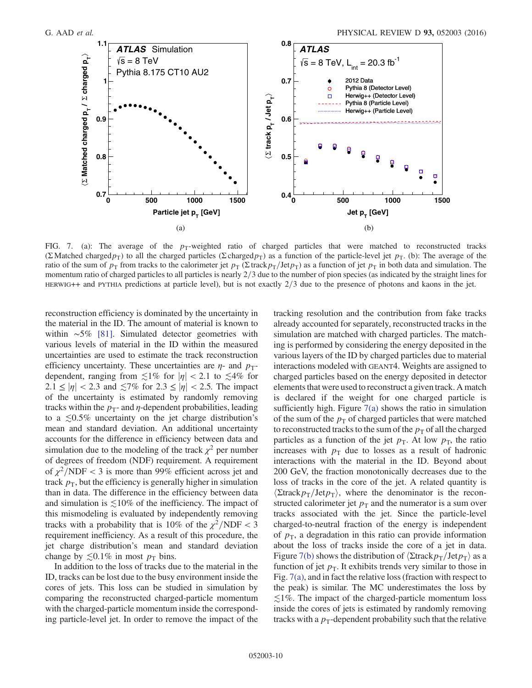

FIG. 7. (a): The average of the  $p_T$ -weighted ratio of charged particles that were matched to reconstructed tracks (Σ Matched charged  $p_T$ ) to all the charged particles (Σ charged $p_T$ ) as a function of the particle-level jet  $p_T$ . (b): The average of the ratio of the sum of  $p_T$  from tracks to the calorimeter jet  $p_T(\Sigma \text{ track } p_T/\text{Jet } p_T)$  as a function of jet  $p_T$  in both data and simulation. The momentum ratio of charged particles to all particles is nearly  $2/3$  due to the number of pion species (as indicated by the straight lines for HERWIG++ and PYTHIA predictions at particle level), but is not exactly  $2/3$  due to the presence of photons and kaons in the jet.

reconstruction efficiency is dominated by the uncertainty in the material in the ID. The amount of material is known to within ∼5% [\[81\].](#page-21-25) Simulated detector geometries with various levels of material in the ID within the measured uncertainties are used to estimate the track reconstruction efficiency uncertainty. These uncertainties are  $\eta$ - and  $p_T$ dependent, ranging from  $\leq 1\%$  for  $|\eta| < 2.1$  to  $\leq 4\%$  for  $2.1 \le |\eta| < 2.3$  and  $\le 7\%$  for  $2.3 \le |\eta| < 2.5$ . The impact of the uncertainty is estimated by randomly removing tracks within the  $p_T$ - and  $\eta$ -dependent probabilities, leading to a  $\leq 0.5\%$  uncertainty on the jet charge distribution's mean and standard deviation. An additional uncertainty accounts for the difference in efficiency between data and simulation due to the modeling of the track  $\chi^2$  per number of degrees of freedom (NDF) requirement. A requirement of  $\chi^2/NDF < 3$  is more than 99% efficient across jet and track  $p<sub>T</sub>$ , but the efficiency is generally higher in simulation than in data. The difference in the efficiency between data and simulation is  $\leq 10\%$  of the inefficiency. The impact of this mismodeling is evaluated by independently removing tracks with a probability that is 10% of the  $\chi^2/\text{NDF} < 3$ requirement inefficiency. As a result of this procedure, the jet charge distribution's mean and standard deviation change by  $\leq 0.1\%$  in most  $p_T$  bins.

In addition to the loss of tracks due to the material in the ID, tracks can be lost due to the busy environment inside the cores of jets. This loss can be studied in simulation by comparing the reconstructed charged-particle momentum with the charged-particle momentum inside the corresponding particle-level jet. In order to remove the impact of the <span id="page-10-1"></span><span id="page-10-0"></span>tracking resolution and the contribution from fake tracks already accounted for separately, reconstructed tracks in the simulation are matched with charged particles. The matching is performed by considering the energy deposited in the various layers of the ID by charged particles due to material interactions modeled with GEANT4. Weights are assigned to charged particles based on the energy deposited in detector elements that were used to reconstruct a given track. A match is declared if the weight for one charged particle is sufficiently high. Figure  $7(a)$  shows the ratio in simulation of the sum of the  $p<sub>T</sub>$  of charged particles that were matched to reconstructed tracks to the sum of the  $p<sub>T</sub>$  of all the charged particles as a function of the jet  $p_T$ . At low  $p_T$ , the ratio increases with  $p_T$  due to losses as a result of hadronic interactions with the material in the ID. Beyond about 200 GeV, the fraction monotonically decreases due to the loss of tracks in the core of the jet. A related quantity is  $\langle$ Σtrack $p_T$ /Jet $p_T$ , where the denominator is the reconstructed calorimeter jet  $p<sub>T</sub>$  and the numerator is a sum over tracks associated with the jet. Since the particle-level charged-to-neutral fraction of the energy is independent of  $p<sub>T</sub>$ , a degradation in this ratio can provide information about the loss of tracks inside the core of a jet in data. Figure [7\(b\)](#page-9-0) shows the distribution of  $\langle$ Σtrack $p_T$ /Jet $p_T$  as a function of jet  $p<sub>T</sub>$ . It exhibits trends very similar to those in Fig. [7\(a\),](#page-9-0) and in fact the relative loss (fraction with respect to the peak) is similar. The MC underestimates the loss by  $\lesssim$ 1%. The impact of the charged-particle momentum loss inside the cores of jets is estimated by randomly removing tracks with a  $p_T$ -dependent probability such that the relative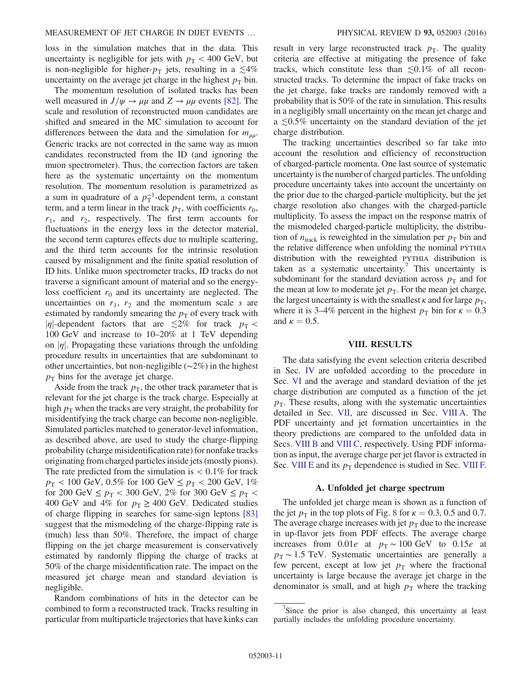<span id="page-11-1"></span>loss in the simulation matches that in the data. This uncertainty is negligible for jets with  $p_T < 400$  GeV, but is non-negligible for higher- $p<sub>T</sub>$  jets, resulting in a  $\leq 4\%$ uncertainty on the average jet charge in the highest  $p<sub>T</sub>$  bin.

The momentum resolution of isolated tracks has been well measured in  $J/\psi \rightarrow \mu\mu$  and  $Z \rightarrow \mu\mu$  events [\[82\]](#page-21-26). The scale and resolution of reconstructed muon candidates are shifted and smeared in the MC simulation to account for differences between the data and the simulation for  $m_{\mu\nu}$ . Generic tracks are not corrected in the same way as muon candidates reconstructed from the ID (and ignoring the muon spectrometer). Thus, the correction factors are taken here as the systematic uncertainty on the momentum resolution. The momentum resolution is parametrized as a sum in quadrature of a  $p_T^{-1}$ -dependent term, a constant term, and a term linear in the track  $p<sub>T</sub>$ , with coefficients  $r<sub>0</sub>$ ,  $r_1$ , and  $r_2$ , respectively. The first term accounts for fluctuations in the energy loss in the detector material, the second term captures effects due to multiple scattering, and the third term accounts for the intrinsic resolution caused by misalignment and the finite spatial resolution of ID hits. Unlike muon spectrometer tracks, ID tracks do not traverse a significant amount of material and so the energyloss coefficient  $r_0$  and its uncertainty are neglected. The uncertainties on  $r_1$ ,  $r_2$  and the momentum scale s are estimated by randomly smearing the  $p<sub>T</sub>$  of every track with |n|-dependent factors that are  $\lesssim 2\%$  for track  $p_T <$ 100 GeV and increase to 10–20% at 1 TeV depending on  $|\eta|$ . Propagating these variations through the unfolding procedure results in uncertainties that are subdominant to other uncertainties, but non-negligible (∼2%) in the highest  $p<sub>T</sub>$  bins for the average jet charge.

Aside from the track  $p<sub>T</sub>$ , the other track parameter that is relevant for the jet charge is the track charge. Especially at high  $p<sub>T</sub>$  when the tracks are very straight, the probability for misidentifying the track charge can become non-negligible. Simulated particles matched to generator-level information, as described above, are used to study the charge-flipping probability (charge misidentification rate) for nonfake tracks originating from charged particles inside jets (mostly pions). The rate predicted from the simulation is  $< 0.1\%$  for track  $p_T < 100 \text{ GeV}, 0.5\% \text{ for } 100 \text{ GeV} \leq p_T < 200 \text{ GeV}, 1\%$ for 200 GeV  $\leq p_T < 300$  GeV, 2% for 300 GeV  $\leq p_T <$ 400 GeV and 4% for  $p_T \ge 400$  GeV. Dedicated studies of charge flipping in searches for same-sign leptons [\[83\]](#page-21-27) suggest that the mismodeling of the charge-flipping rate is (much) less than 50%. Therefore, the impact of charge flipping on the jet charge measurement is conservatively estimated by randomly flipping the charge of tracks at 50% of the charge misidentification rate. The impact on the measured jet charge mean and standard deviation is negligible.

Random combinations of hits in the detector can be combined to form a reconstructed track. Tracks resulting in particular from multiparticle trajectories that have kinks can result in very large reconstructed track  $p_T$ . The quality criteria are effective at mitigating the presence of fake tracks, which constitute less than  $\leq 0.1\%$  of all reconstructed tracks. To determine the impact of fake tracks on the jet charge, fake tracks are randomly removed with a probability that is 50% of the rate in simulation. This results in a negligibly small uncertainty on the mean jet charge and a ≲0.5% uncertainty on the standard deviation of the jet charge distribution.

The tracking uncertainties described so far take into account the resolution and efficiency of reconstruction of charged-particle momenta. One last source of systematic uncertainty is the number of charged particles. The unfolding procedure uncertainty takes into account the uncertainty on the prior due to the charged-particle multiplicity, but the jet charge resolution also changes with the charged-particle multiplicity. To assess the impact on the response matrix of the mismodeled charged-particle multiplicity, the distribution of  $n_{\text{track}}$  is reweighted in the simulation per  $p_{\text{T}}$  bin and the relative difference when unfolding the nominal PYTHIA distribution with the reweighted PYTHIA distribution is taken as a systematic uncertainty.<sup>7</sup> This uncertainty is subdominant for the standard deviation across  $p_T$  and for the mean at low to moderate jet  $p<sub>T</sub>$ . For the mean jet charge, the largest uncertainty is with the smallest  $\kappa$  and for large  $p<sub>T</sub>$ , where it is 3–4% percent in the highest  $p_T$  bin for  $\kappa = 0.3$ and  $\kappa = 0.5$ .

#### VIII. RESULTS

<span id="page-11-0"></span>The data satisfying the event selection criteria described in Sec. [IV](#page-2-0) are unfolded according to the procedure in Sec. [VI](#page-5-0) and the average and standard deviation of the jet charge distribution are computed as a function of the jet  $p<sub>T</sub>$ . These results, along with the systematic uncertainties detailed in Sec. [VII,](#page-6-0) are discussed in Sec. [VIII A](#page-10-1). The PDF uncertainty and jet formation uncertainties in the theory predictions are compared to the unfolded data in Secs. [VIII B](#page-11-0) and [VIII C,](#page-12-0) respectively. Using PDF information as input, the average charge per jet flavor is extracted in Sec. [VIII E](#page-15-0) and its  $p_T$  dependence is studied in Sec. [VIII F.](#page-17-0)

#### A. Unfolded jet charge spectrum

The unfolded jet charge mean is shown as a function of the jet  $p_T$  in the top plots of Fig. [8](#page-11-1) for  $\kappa = 0.3, 0.5$  and 0.7. The average charge increases with jet  $p<sub>T</sub>$  due to the increase in up-flavor jets from PDF effects. The average charge increases from 0.01e at  $p_T \sim 100 \text{ GeV}$  to 0.15e at  $p_T \sim 1.5$  TeV. Systematic uncertainties are generally a few percent, except at low jet  $p<sub>T</sub>$  where the fractional uncertainty is large because the average jet charge in the denominator is small, and at high  $p<sub>T</sub>$  where the tracking

 $7$ Since the prior is also changed, this uncertainty at least partially includes the unfolding procedure uncertainty.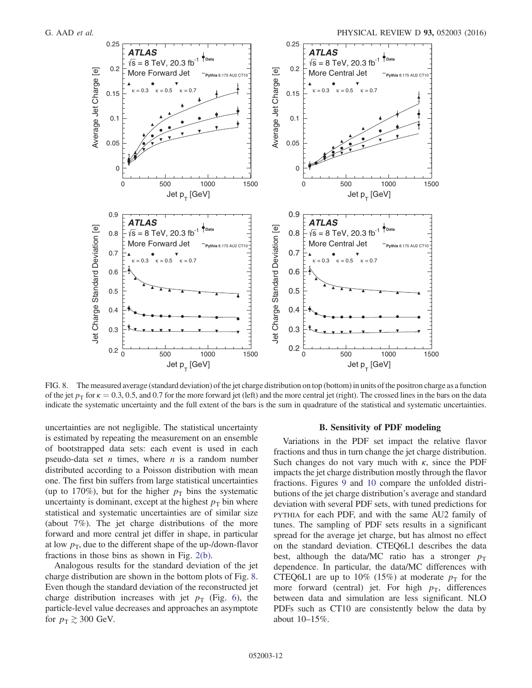<span id="page-12-1"></span>

<span id="page-12-2"></span><span id="page-12-0"></span>FIG. 8. The measured average (standard deviation) of the jet charge distribution on top (bottom) in units of the positron charge as a function of the jet  $p_T$  for  $\kappa = 0.3, 0.5$ , and 0.7 for the more forward jet (left) and the more central jet (right). The crossed lines in the bars on the data indicate the systematic uncertainty and the full extent of the bars is the sum in quadrature of the statistical and systematic uncertainties.

uncertainties are not negligible. The statistical uncertainty is estimated by repeating the measurement on an ensemble of bootstrapped data sets: each event is used in each pseudo-data set *n* times, where *n* is a random number distributed according to a Poisson distribution with mean one. The first bin suffers from large statistical uncertainties (up to 170%), but for the higher  $p<sub>T</sub>$  bins the systematic uncertainty is dominant, except at the highest  $p<sub>T</sub>$  bin where statistical and systematic uncertainties are of similar size (about 7%). The jet charge distributions of the more forward and more central jet differ in shape, in particular at low  $p_T$ , due to the different shape of the up-/down-flavor fractions in those bins as shown in Fig. [2\(b\)](#page-4-0).

Analogous results for the standard deviation of the jet charge distribution are shown in the bottom plots of Fig. [8](#page-11-1). Even though the standard deviation of the reconstructed jet charge distribution increases with jet  $p_T$  (Fig. [6](#page-7-0)), the particle-level value decreases and approaches an asymptote for  $p_T \gtrsim 300$  GeV.

#### B. Sensitivity of PDF modeling

Variations in the PDF set impact the relative flavor fractions and thus in turn change the jet charge distribution. Such changes do not vary much with  $\kappa$ , since the PDF impacts the jet charge distribution mostly through the flavor fractions. Figures [9](#page-12-1) and [10](#page-12-2) compare the unfolded distributions of the jet charge distribution's average and standard deviation with several PDF sets, with tuned predictions for PYTHIA for each PDF, and with the same AU2 family of tunes. The sampling of PDF sets results in a significant spread for the average jet charge, but has almost no effect on the standard deviation. CTEQ6L1 describes the data best, although the data/MC ratio has a stronger  $p_T$ dependence. In particular, the data/MC differences with CTEQ6L1 are up to 10% (15%) at moderate  $p<sub>T</sub>$  for the more forward (central) jet. For high  $p<sub>T</sub>$ , differences between data and simulation are less significant. NLO PDFs such as CT10 are consistently below the data by about 10–15%.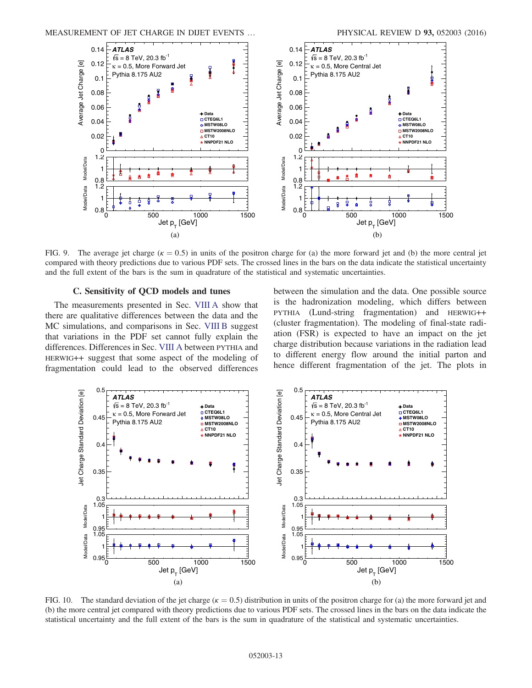<span id="page-13-0"></span>

FIG. 9. The average jet charge  $(k = 0.5)$  in units of the positron charge for (a) the more forward jet and (b) the more central jet compared with theory predictions due to various PDF sets. The crossed lines in the bars on the data indicate the statistical uncertainty and the full extent of the bars is the sum in quadrature of the statistical and systematic uncertainties.

#### C. Sensitivity of QCD models and tunes

The measurements presented in Sec. [VIII A](#page-10-1) show that there are qualitative differences between the data and the MC simulations, and comparisons in Sec. [VIII B](#page-11-0) suggest that variations in the PDF set cannot fully explain the differences. Differences in Sec. [VIII A](#page-10-1) between PYTHIA and HERWIG++ suggest that some aspect of the modeling of fragmentation could lead to the observed differences

between the simulation and the data. One possible source is the hadronization modeling, which differs between PYTHIA (Lund-string fragmentation) and HERWIG++ (cluster fragmentation). The modeling of final-state radiation (FSR) is expected to have an impact on the jet charge distribution because variations in the radiation lead to different energy flow around the initial parton and hence different fragmentation of the jet. The plots in



FIG. 10. The standard deviation of the jet charge ( $\kappa = 0.5$ ) distribution in units of the positron charge for (a) the more forward jet and (b) the more central jet compared with theory predictions due to various PDF sets. The crossed lines in the bars on the data indicate the statistical uncertainty and the full extent of the bars is the sum in quadrature of the statistical and systematic uncertainties.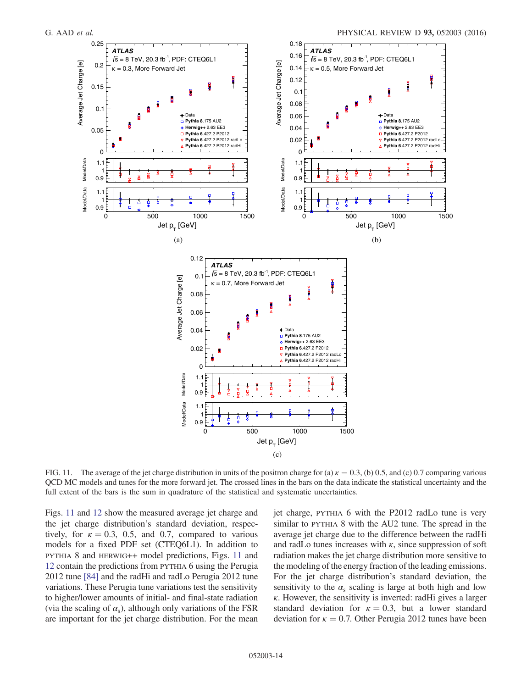<span id="page-14-0"></span>

FIG. 11. The average of the jet charge distribution in units of the positron charge for (a)  $\kappa = 0.3$ , (b) 0.5, and (c) 0.7 comparing various QCD MC models and tunes for the more forward jet. The crossed lines in the bars on the data indicate the statistical uncertainty and the full extent of the bars is the sum in quadrature of the statistical and systematic uncertainties.

Figs. [11](#page-13-0) and [12](#page-14-0) show the measured average jet charge and the jet charge distribution's standard deviation, respectively, for  $\kappa = 0.3$ , 0.5, and 0.7, compared to various models for a fixed PDF set (CTEQ6L1). In addition to PYTHIA 8 and HERWIG++ model predictions, Figs. [11](#page-13-0) and [12](#page-14-0) contain the predictions from PYTHIA 6 using the Perugia 2012 tune [\[84\]](#page-21-28) and the radHi and radLo Perugia 2012 tune variations. These Perugia tune variations test the sensitivity to higher/lower amounts of initial- and final-state radiation (via the scaling of  $\alpha_s$ ), although only variations of the FSR are important for the jet charge distribution. For the mean jet charge, PYTHIA 6 with the P2012 radLo tune is very similar to PYTHIA 8 with the AU2 tune. The spread in the average jet charge due to the difference between the radHi and radLo tunes increases with  $\kappa$ , since suppression of soft radiation makes the jet charge distribution more sensitive to the modeling of the energy fraction of the leading emissions. For the jet charge distribution's standard deviation, the sensitivity to the  $\alpha_s$  scaling is large at both high and low  $\kappa$ . However, the sensitivity is inverted: radHi gives a larger standard deviation for  $\kappa = 0.3$ , but a lower standard deviation for  $\kappa = 0.7$ . Other Perugia 2012 tunes have been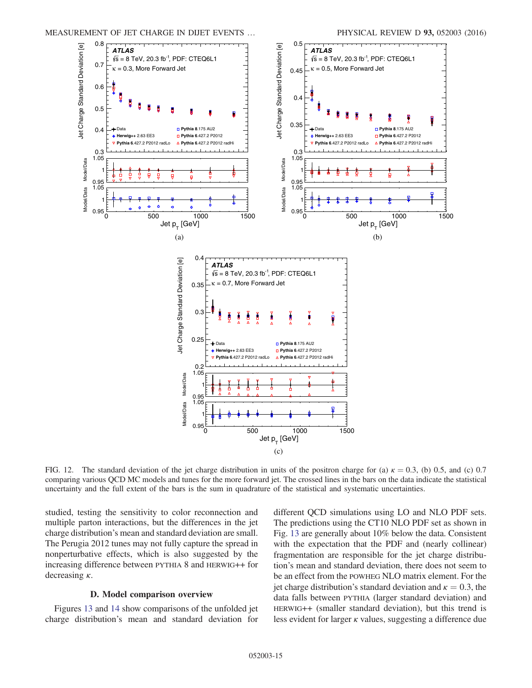<span id="page-15-1"></span>

FIG. 12. The standard deviation of the jet charge distribution in units of the positron charge for (a)  $\kappa = 0.3$ , (b) 0.5, and (c) 0.7 comparing various QCD MC models and tunes for the more forward jet. The crossed lines in the bars on the data indicate the statistical uncertainty and the full extent of the bars is the sum in quadrature of the statistical and systematic uncertainties.

studied, testing the sensitivity to color reconnection and multiple parton interactions, but the differences in the jet charge distribution's mean and standard deviation are small. The Perugia 2012 tunes may not fully capture the spread in nonperturbative effects, which is also suggested by the increasing difference between PYTHIA 8 and HERWIG++ for decreasing  $\kappa$ .

#### D. Model comparison overview

<span id="page-15-0"></span>Figures [13](#page-15-1) and [14](#page-16-0) show comparisons of the unfolded jet charge distribution's mean and standard deviation for different QCD simulations using LO and NLO PDF sets. The predictions using the CT10 NLO PDF set as shown in Fig. [13](#page-15-1) are generally about 10% below the data. Consistent with the expectation that the PDF and (nearly collinear) fragmentation are responsible for the jet charge distribution's mean and standard deviation, there does not seem to be an effect from the POWHEG NLO matrix element. For the jet charge distribution's standard deviation and  $\kappa = 0.3$ , the data falls between PYTHIA (larger standard deviation) and HERWIG++ (smaller standard deviation), but this trend is less evident for larger  $\kappa$  values, suggesting a difference due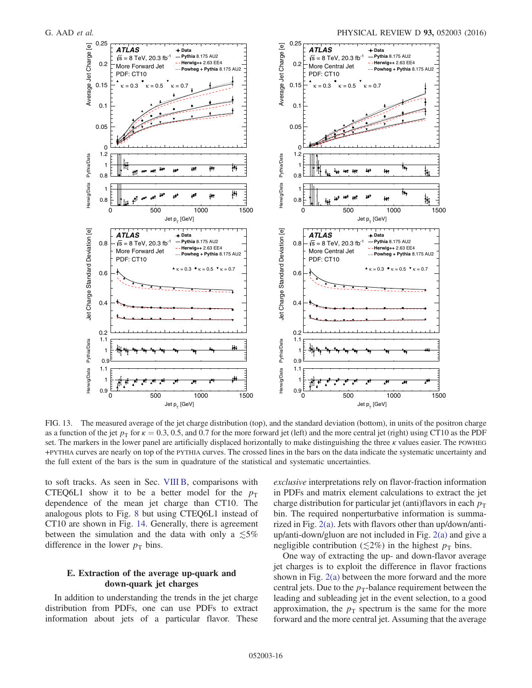<span id="page-16-0"></span>

FIG. 13. The measured average of the jet charge distribution (top), and the standard deviation (bottom), in units of the positron charge as a function of the jet  $p_T$  for  $\kappa = 0.3, 0.5$ , and 0.7 for the more forward jet (left) and the more central jet (right) using CT10 as the PDF set. The markers in the lower panel are artificially displaced horizontally to make distinguishing the three  $\kappa$  values easier. The POWHEG +PYTHIA curves are nearly on top of the PYTHIA curves. The crossed lines in the bars on the data indicate the systematic uncertainty and the full extent of the bars is the sum in quadrature of the statistical and systematic uncertainties.

<span id="page-16-1"></span>to soft tracks. As seen in Sec. [VIII B,](#page-11-0) comparisons with CTEQ6L1 show it to be a better model for the  $p_T$ dependence of the mean jet charge than CT10. The analogous plots to Fig. [8](#page-11-1) but using CTEQ6L1 instead of CT10 are shown in Fig. [14](#page-16-0). Generally, there is agreement between the simulation and the data with only a  $\lesssim 5\%$ difference in the lower  $p_T$  bins.

#### E. Extraction of the average up-quark and down-quark jet charges

In addition to understanding the trends in the jet charge distribution from PDFs, one can use PDFs to extract information about jets of a particular flavor. These exclusive interpretations rely on flavor-fraction information in PDFs and matrix element calculations to extract the jet charge distribution for particular jet (anti)flavors in each  $p_T$ bin. The required nonperturbative information is summarized in Fig. [2\(a\).](#page-4-0) Jets with flavors other than up/down/antiup/anti-down/gluon are not included in Fig. [2\(a\)](#page-4-0) and give a negligible contribution ( $\leq 2\%$ ) in the highest  $p<sub>T</sub>$  bins.

One way of extracting the up- and down-flavor average jet charges is to exploit the difference in flavor fractions shown in Fig. [2\(a\)](#page-4-0) between the more forward and the more central jets. Due to the  $p_T$ -balance requirement between the leading and subleading jet in the event selection, to a good approximation, the  $p_T$  spectrum is the same for the more forward and the more central jet. Assuming that the average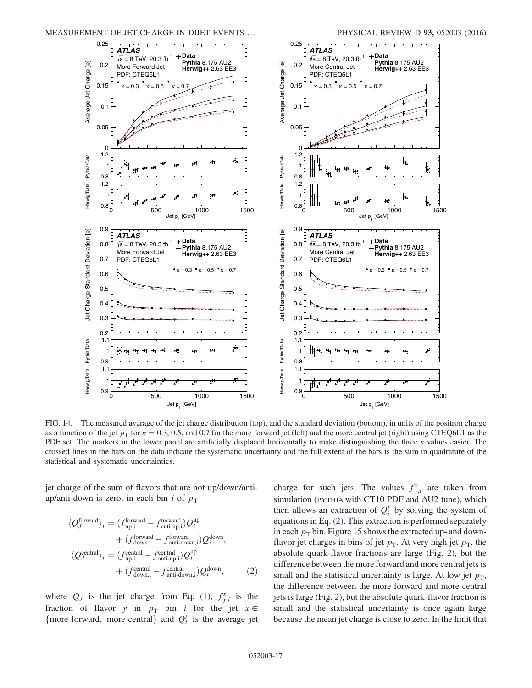<span id="page-17-1"></span>

<span id="page-17-0"></span>FIG. 14. The measured average of the jet charge distribution (top), and the standard deviation (bottom), in units of the positron charge as a function of the jet  $p_T$  for  $\kappa = 0.3, 0.5$ , and 0.7 for the more forward jet (left) and the more central jet (right) using CTEQ6L1 as the PDF set. The markers in the lower panel are artificially displaced horizontally to make distinguishing the three  $\kappa$  values easier. The crossed lines in the bars on the data indicate the systematic uncertainty and the full extent of the bars is the sum in quadrature of the statistical and systematic uncertainties.

jet charge of the sum of flavors that are not up/down/antiup/anti-down is zero, in each bin *i* of  $p_T$ :

<span id="page-17-2"></span>
$$
\langle Q_J^{\text{forward}} \rangle_i = (f_{\text{up,i}}^{\text{forward}} - f_{\text{anti-up,i}}^{\text{forward}}) Q_i^{\text{up}} + (f_{\text{down,i}}^{\text{forward}} - f_{\text{anti-down,i}}^{\text{forward}}) Q_i^{\text{down}},
$$
  

$$
\langle Q_J^{\text{central}} \rangle_i = (f_{\text{up,i}}^{\text{central}} - f_{\text{anti-up,i}}^{\text{central}}) Q_i^{\text{up}}
$$
  

$$
+ (f_{\text{down,i}}^{\text{central}} - f_{\text{anti-down,i}}^{\text{central}}) Q_i^{\text{down}},
$$
 (2)

where  $Q_j$  is the jet charge from Eq. [\(1\)](#page-3-3),  $f_{y,i}^x$  is the fraction of flavor y in  $p_T$  bin i for the jet  $x \in$ {more forward, more central} and  $Q_i^y$  is the average jet

<span id="page-17-3"></span>charge for such jets. The values  $f_{y,i}^x$  are taken from simulation (PYTHIA with CT10 PDF and AU2 tune), which then allows an extraction of  $Q_i^y$  by solving the system of equations in Eq. [\(2\)](#page-16-1). This extraction is performed separately in each  $p<sub>T</sub>$  bin. Figure [15](#page-17-1) shows the extracted up- and downflavor jet charges in bins of jet  $p<sub>T</sub>$ . At very high jet  $p<sub>T</sub>$ , the absolute quark-flavor fractions are large (Fig. [2\)](#page-4-0), but the difference between the more forward and more central jets is small and the statistical uncertainty is large. At low jet  $p_T$ , the difference between the more forward and more central jets is large (Fig. [2](#page-4-0)), but the absolute quark-flavor fraction is small and the statistical uncertainty is once again large because the mean jet charge is close to zero. In the limit that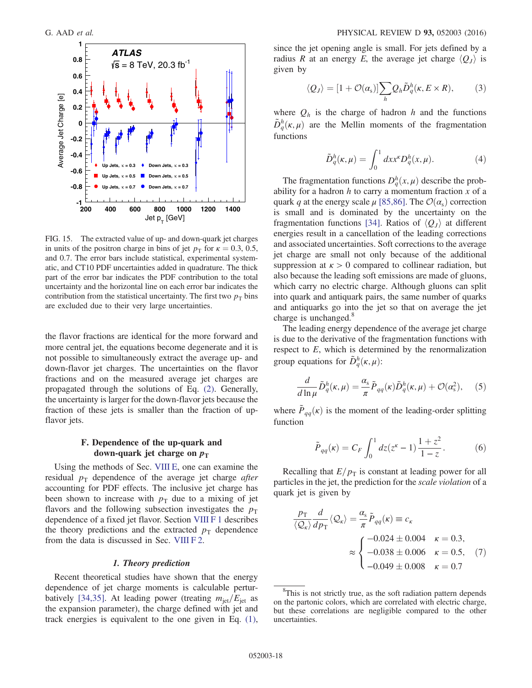

<span id="page-18-1"></span><span id="page-18-0"></span>FIG. 15. The extracted value of up- and down-quark jet charges in units of the positron charge in bins of jet  $p_T$  for  $\kappa = 0.3, 0.5$ , and 0.7. The error bars include statistical, experimental systematic, and CT10 PDF uncertainties added in quadrature. The thick part of the error bar indicates the PDF contribution to the total uncertainty and the horizontal line on each error bar indicates the contribution from the statistical uncertainty. The first two  $p<sub>T</sub>$  bins are excluded due to their very large uncertainties.

the flavor fractions are identical for the more forward and more central jet, the equations become degenerate and it is not possible to simultaneously extract the average up- and down-flavor jet charges. The uncertainties on the flavor fractions and on the measured average jet charges are propagated through the solutions of Eq. [\(2\).](#page-16-1) Generally, the uncertainty is larger for the down-flavor jets because the fraction of these jets is smaller than the fraction of upflavor jets.

#### F. Dependence of the up-quark and down-quark jet charge on  $p_T$

Using the methods of Sec. [VIII E](#page-15-0), one can examine the residual  $p_T$  dependence of the average jet charge *after* accounting for PDF effects. The inclusive jet charge has been shown to increase with  $p_T$  due to a mixing of jet flavors and the following subsection investigates the  $p<sub>T</sub>$ dependence of a fixed jet flavor. Section [VIII F 1](#page-17-2) describes the theory predictions and the extracted  $p_T$  dependence from the data is discussed in Sec. [VIII F 2.](#page-18-0)

#### 1. Theory prediction

Recent theoretical studies have shown that the energy dependence of jet charge moments is calculable pertur-batively [\[34,35\]](#page-20-5). At leading power (treating  $m_{\text{jet}}/E_{\text{jet}}$  as the expansion parameter), the charge defined with jet and track energies is equivalent to the one given in Eq. [\(1\)](#page-3-3), <span id="page-18-2"></span>since the jet opening angle is small. For jets defined by a radius R at an energy E, the average jet charge  $\langle Q_J \rangle$  is given by

$$
\langle Q_J \rangle = [1 + \mathcal{O}(\alpha_{\rm s})] \sum_{h} Q_h \tilde{D}_q^h(\kappa, E \times R), \qquad (3)
$$

where  $Q_h$  is the charge of hadron h and the functions  $\tilde{D}_q^h(\kappa, \mu)$  are the Mellin moments of the fragmentation functions

$$
\tilde{D}_q^h(\kappa,\mu) = \int_0^1 dx x^{\kappa} D_q^h(x,\mu). \tag{4}
$$

The fragmentation functions  $D_q^h(x,\mu)$  describe the probability for a hadron  $h$  to carry a momentum fraction  $x$  of a quark q at the energy scale  $\mu$  [\[85,86\].](#page-21-29) The  $\mathcal{O}(\alpha_s)$  correction is small and is dominated by the uncertainty on the fragmentation functions [\[34\].](#page-20-5) Ratios of  $\langle Q_J \rangle$  at different energies result in a cancellation of the leading corrections and associated uncertainties. Soft corrections to the average jet charge are small not only because of the additional suppression at  $\kappa > 0$  compared to collinear radiation, but also because the leading soft emissions are made of gluons, which carry no electric charge. Although gluons can split into quark and antiquark pairs, the same number of quarks and antiquarks go into the jet so that on average the jet charge is unchanged.<sup>8</sup>

The leading energy dependence of the average jet charge is due to the derivative of the fragmentation functions with respect to  $E$ , which is determined by the renormalization group equations for  $\tilde{D}_q^h(\kappa,\mu)$ :

$$
\frac{d}{d\ln\mu}\tilde{D}_q^h(\kappa,\mu) = \frac{\alpha_s}{\pi}\tilde{P}_{qq}(\kappa)\tilde{D}_q^h(\kappa,\mu) + \mathcal{O}(\alpha_s^2),\quad (5)
$$

where  $\tilde{P}_{qq}(\kappa)$  is the moment of the leading-order splitting function

$$
\tilde{P}_{qq}(\kappa) = C_F \int_0^1 dz (z^{\kappa} - 1) \frac{1 + z^2}{1 - z}.
$$
 (6)

Recalling that  $E/p<sub>T</sub>$  is constant at leading power for all particles in the jet, the prediction for the scale violation of a quark jet is given by

$$
\frac{p_{\rm T}}{\langle Q_{\kappa} \rangle} \frac{d}{dp_{\rm T}} \langle Q_{\kappa} \rangle = \frac{\alpha_{\rm s}}{\pi} \tilde{P}_{qq}(\kappa) \equiv c_{\kappa}
$$
  

$$
\approx \begin{cases} -0.024 \pm 0.004 & \kappa = 0.3, \\ -0.038 \pm 0.006 & \kappa = 0.5, \\ -0.049 \pm 0.008 & \kappa = 0.7 \end{cases} (7)
$$

<sup>&</sup>lt;sup>8</sup>This is not strictly true, as the soft radiation pattern depends on the partonic colors, which are correlated with electric charge, but these correlations are negligible compared to the other uncertainties.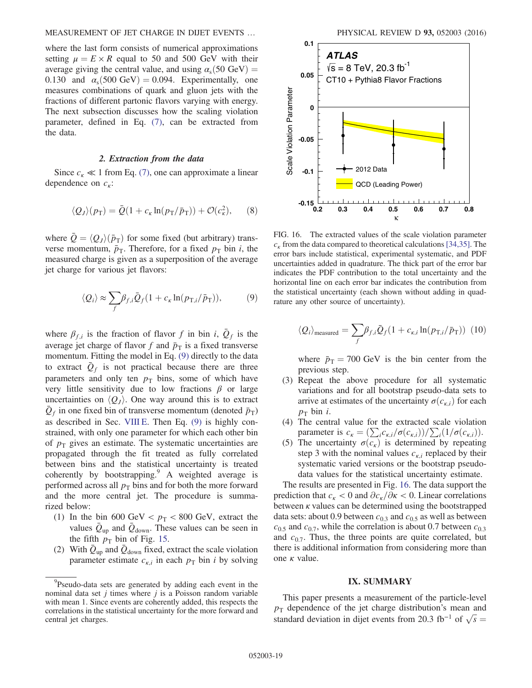where the last form consists of numerical approximations setting  $\mu = E \times R$  equal to 50 and 500 GeV with their average giving the central value, and using  $\alpha_s(50 \text{ GeV}) =$ 0.130 and  $\alpha_s(500 \text{ GeV}) = 0.094$ . Experimentally, one measures combinations of quark and gluon jets with the fractions of different partonic flavors varying with energy. The next subsection discusses how the scaling violation parameter, defined in Eq. [\(7\),](#page-17-3) can be extracted from the data.

#### 2. Extraction from the data

Since  $c_k \ll 1$  from Eq. [\(7\)](#page-17-3), one can approximate a linear dependence on  $c_{\kappa}$ :

$$
\langle Q_J \rangle (p_{\rm T}) = \bar{Q} (1 + c_{\kappa} \ln(p_{\rm T}/\bar{p}_{\rm T})) + \mathcal{O}(c_{\kappa}^2), \qquad (8)
$$

where  $\bar{Q} = \langle Q_J \rangle (\bar{p}_T)$  for some fixed (but arbitrary) transverse momentum,  $\bar{p}_T$ . Therefore, for a fixed  $p_T$  bin i, the measured charge is given as a superposition of the average jet charge for various jet flavors:

$$
\langle Q_i \rangle \approx \sum_f \beta_{f,i} \bar{Q}_f (1 + c_{\kappa} \ln(p_{\text{T},i}/\bar{p}_{\text{T}})), \tag{9}
$$

where  $\beta_{f,i}$  is the fraction of flavor f in bin i,  $\overline{Q}_f$  is the average jet charge of flavor f and  $\bar{p}_T$  is a fixed transverse momentum. Fitting the model in Eq. [\(9\)](#page-18-1) directly to the data to extract  $\overline{Q}_f$  is not practical because there are three parameters and only ten  $p<sub>T</sub>$  bins, some of which have very little sensitivity due to low fractions  $\beta$  or large uncertainties on  $\langle Q_J \rangle$ . One way around this is to extract  $\overline{Q}_f$  in one fixed bin of transverse momentum (denoted  $\overline{p}_T$ ) as described in Sec. [VIII E](#page-15-0). Then Eq. [\(9\)](#page-18-1) is highly constrained, with only one parameter for which each other bin of  $p_T$  gives an estimate. The systematic uncertainties are propagated through the fit treated as fully correlated between bins and the statistical uncertainty is treated coherently by bootstrapping. $\degree$  A weighted average is performed across all  $p<sub>T</sub>$  bins and for both the more forward and the more central jet. The procedure is summarized below:

- <span id="page-19-1"></span><span id="page-19-0"></span>(1) In the bin 600 GeV  $p_T < 800$  GeV, extract the values  $\bar{Q}_{\text{up}}$  and  $\bar{Q}_{\text{down}}$ . These values can be seen in the fifth  $p_T$  bin of Fig. [15.](#page-17-1)
- (2) With  $\bar{Q}_{\text{up}}$  and  $\bar{Q}_{\text{down}}$  fixed, extract the scale violation parameter estimate  $c_{k,i}$  in each  $p_T$  bin *i* by solving



FIG. 16. The extracted values of the scale violation parameter  $c_k$  from the data compared to theoretical calculations [\[34,35\]](#page-20-5). The error bars include statistical, experimental systematic, and PDF uncertainties added in quadrature. The thick part of the error bar indicates the PDF contribution to the total uncertainty and the horizontal line on each error bar indicates the contribution from the statistical uncertainty (each shown without adding in quadrature any other source of uncertainty).

$$
\langle Q_i \rangle_{\text{measured}} = \sum_f \beta_{f,i} \bar{Q}_f (1 + c_{\kappa,i} \ln(p_{\text{T},i}/\bar{p}_{\text{T}})) \tag{10}
$$

where  $\bar{p}_T = 700 \text{ GeV}$  is the bin center from the previous step.

- (3) Repeat the above procedure for all systematic variations and for all bootstrap pseudo-data sets to arrive at estimates of the uncertainty  $\sigma(c_{k,i})$  for each  $p_T$  bin *i*.
- (4) The central value for the extracted scale violation parameter is  $c_{\kappa} = \left(\sum_{i} c_{\kappa,i}/\sigma(c_{\kappa,i})\right) / \sum_{i} (1/\sigma(c_{\kappa,i}))$ .
- (5) The uncertainty  $\sigma(c_k)$  is determined by repeating step 3 with the nominal values  $c_{k,i}$  replaced by their systematic varied versions or the bootstrap pseudodata values for the statistical uncertainty estimate.

<span id="page-19-2"></span>The results are presented in Fig. [16](#page-18-2). The data support the prediction that  $c_{\kappa}$  < 0 and  $\partial c_{\kappa}/\partial \kappa$  < 0. Linear correlations between  $\kappa$  values can be determined using the bootstrapped data sets: about 0.9 between  $c_{0.3}$  and  $c_{0.5}$  as well as between  $c_{0.5}$  and  $c_{0.7}$ , while the correlation is about 0.7 between  $c_{0.3}$ and  $c_{0.7}$ . Thus, the three points are quite correlated, but there is additional information from considering more than one  $κ$  value.

#### IX. SUMMARY

This paper presents a measurement of the particle-level  $p_T$  dependence of the jet charge distribution's mean and standard deviation in dijet events from 20.3 fb<sup>-1</sup> of  $\sqrt{s}$  =

<sup>&</sup>lt;sup>9</sup>Pseudo-data sets are generated by adding each event in the nominal data set  $j$  times where  $j$  is a Poisson random variable with mean 1. Since events are coherently added, this respects the correlations in the statistical uncertainty for the more forward and central jet charges.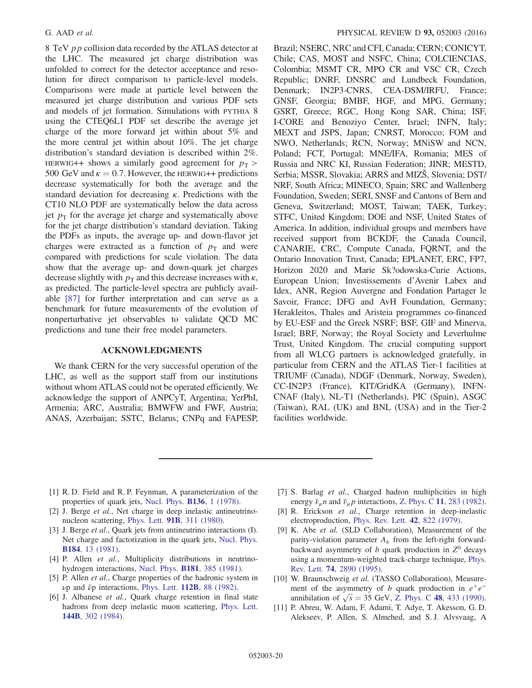8 TeV pp collision data recorded by the ATLAS detector at the LHC. The measured jet charge distribution was unfolded to correct for the detector acceptance and resolution for direct comparison to particle-level models. Comparisons were made at particle level between the measured jet charge distribution and various PDF sets and models of jet formation. Simulations with PYTHIA 8 using the CTEQ6L1 PDF set describe the average jet charge of the more forward jet within about 5% and the more central jet within about 10%. The jet charge distribution's standard deviation is described within 2%. HERWIG++ shows a similarly good agreement for  $p_T >$ 500 GeV and  $\kappa = 0.7$ . However, the HERWIG++ predictions decrease systematically for both the average and the standard deviation for decreasing  $\kappa$ . Predictions with the CT10 NLO PDF are systematically below the data across jet  $p_T$  for the average jet charge and systematically above for the jet charge distribution's standard deviation. Taking the PDFs as inputs, the average up- and down-flavor jet charges were extracted as a function of  $p<sub>T</sub>$  and were compared with predictions for scale violation. The data show that the average up- and down-quark jet charges decrease slightly with  $p<sub>T</sub>$  and this decrease increases with  $\kappa$ , as predicted. The particle-level spectra are publicly available [\[87\]](#page-21-30) for further interpretation and can serve as a benchmark for future measurements of the evolution of nonperturbative jet observables to validate QCD MC predictions and tune their free model parameters.

#### <span id="page-20-7"></span>ACKNOWLEDGMENTS

<span id="page-20-0"></span>We thank CERN for the very successful operation of the LHC, as well as the support staff from our institutions without whom ATLAS could not be operated efficiently. We acknowledge the support of ANPCyT, Argentina; YerPhI, Armenia; ARC, Australia; BMWFW and FWF, Austria; ANAS, Azerbaijan; SSTC, Belarus; CNPq and FAPESP, <span id="page-20-6"></span><span id="page-20-5"></span>Brazil; NSERC, NRC and CFI, Canada; CERN; CONICYT, Chile; CAS, MOST and NSFC, China; COLCIENCIAS, Colombia; MSMT CR, MPO CR and VSC CR, Czech Republic; DNRF, DNSRC and Lundbeck Foundation, Denmark; IN2P3-CNRS, CEA-DSM/IRFU, France; GNSF, Georgia; BMBF, HGF, and MPG, Germany; GSRT, Greece; RGC, Hong Kong SAR, China; ISF, I-CORE and Benoziyo Center, Israel; INFN, Italy; MEXT and JSPS, Japan; CNRST, Morocco; FOM and NWO, Netherlands; RCN, Norway; MNiSW and NCN, Poland; FCT, Portugal; MNE/IFA, Romania; MES of Russia and NRC KI, Russian Federation; JINR; MESTD, Serbia; MSSR, Slovakia; ARRS and MIZŠ, Slovenia; DST/ NRF, South Africa; MINECO, Spain; SRC and Wallenberg Foundation, Sweden; SERI, SNSF and Cantons of Bern and Geneva, Switzerland; MOST, Taiwan; TAEK, Turkey; STFC, United Kingdom; DOE and NSF, United States of America. In addition, individual groups and members have received support from BCKDF, the Canada Council, CANARIE, CRC, Compute Canada, FQRNT, and the Ontario Innovation Trust, Canada; EPLANET, ERC, FP7, Horizon 2020 and Marie Sk?odowska-Curie Actions, European Union; Investissements d'Avenir Labex and Idex, ANR, Region Auvergne and Fondation Partager le Savoir, France; DFG and AvH Foundation, Germany; Herakleitos, Thales and Aristeia programmes co-financed by EU-ESF and the Greek NSRF; BSF, GIF and Minerva, Israel; BRF, Norway; the Royal Society and Leverhulme Trust, United Kingdom. The crucial computing support from all WLCG partners is acknowledged gratefully, in particular from CERN and the ATLAS Tier-1 facilities at TRIUMF (Canada), NDGF (Denmark, Norway, Sweden), CC-IN2P3 (France), KIT/GridKA (Germany), INFN-CNAF (Italy), NL-T1 (Netherlands), PIC (Spain), ASGC (Taiwan), RAL (UK) and BNL (USA) and in the Tier-2 facilities worldwide.

- <span id="page-20-2"></span><span id="page-20-1"></span>[1] R. D. Field and R. P. Feynman, A parameterization of the properties of quark jets, [Nucl. Phys.](http://dx.doi.org/10.1016/0550-3213(78)90015-9) B136, 1 (1978).
- <span id="page-20-4"></span>[2] J. Berge et al., Net charge in deep inelastic antineutrinonucleon scattering, Phys. Lett. 91B[, 311 \(1980\)](http://dx.doi.org/10.1016/0370-2693(80)90456-6).
- [3] J. Berge et al., Quark jets from antineutrino interactions (I). Net charge and factorization in the quark jets, [Nucl. Phys.](http://dx.doi.org/10.1016/0550-3213(81)90207-8) B184[, 13 \(1981\)](http://dx.doi.org/10.1016/0550-3213(81)90207-8).
- [4] P. Allen et al., Multiplicity distributions in neutrinohydrogen interactions, Nucl. Phys. B181[, 385 \(1981\).](http://dx.doi.org/10.1016/0550-3213(81)90532-0)
- [5] P. Allen *et al.*, Charge properties of the hadronic system in  $\nu$ p and  $\bar{\nu}$ p interactions, Phys. Lett. 112B[, 88 \(1982\).](http://dx.doi.org/10.1016/0370-2693(82)90912-1)
- <span id="page-20-3"></span>[6] J. Albanese et al., Quark charge retention in final state hadrons from deep inelastic muon scattering, [Phys. Lett.](http://dx.doi.org/10.1016/0370-2693(84)91825-2) 144B[, 302 \(1984\).](http://dx.doi.org/10.1016/0370-2693(84)91825-2)
- <span id="page-20-15"></span><span id="page-20-12"></span><span id="page-20-11"></span><span id="page-20-10"></span><span id="page-20-9"></span><span id="page-20-8"></span>[7] S. Barlag et al., Charged hadron multiplicities in high energy  $\bar{v}_{\mu}$ n and  $\bar{v}_{\mu}$  interactions, Z. Phys. C 11[, 283 \(1982\).](http://dx.doi.org/10.1007/BF01578279)
- [8] R. Erickson et al., Charge retention in deep-inelastic electroproduction, [Phys. Rev. Lett.](http://dx.doi.org/10.1103/PhysRevLett.42.822) 42, 822 (1979).
- <span id="page-20-13"></span>[9] K. Abe et al. (SLD Collaboration), Measurement of the parity-violation parameter  $A_b$  from the left-right forwardbackward asymmetry of  $b$  quark production in  $Z^0$  decays using a momentum-weighted track-charge technique, [Phys.](http://dx.doi.org/10.1103/PhysRevLett.74.2890) Rev. Lett. 74[, 2890 \(1995\)](http://dx.doi.org/10.1103/PhysRevLett.74.2890).
- <span id="page-20-14"></span>[10] W. Braunschweig et al. (TASSO Collaboration), Measurement of the asymmetry of b quark production in  $e^+e^$ annihilation of  $\sqrt{s} = 35$  GeV, Z. Phys. C 48[, 433 \(1990\).](http://dx.doi.org/10.1007/BF01572023)
- [11] P. Abreu, W. Adam, F. Adami, T. Adye, T. Akesson, G. D. Alekseev, P. Allen, S. Almehed, and S. J. Alvsvaag, A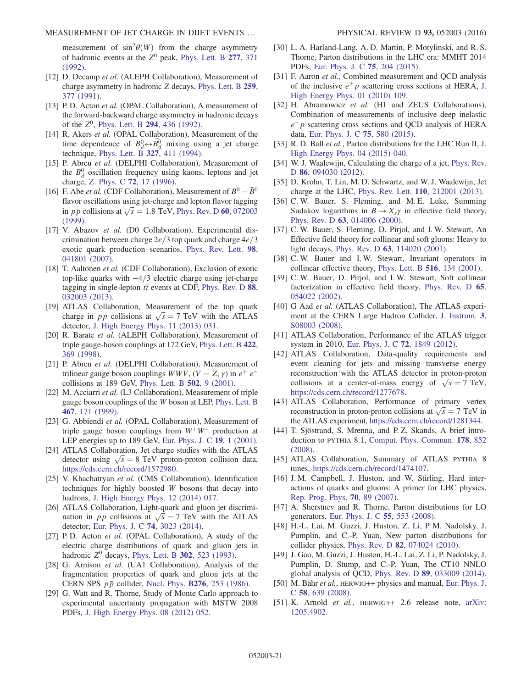<span id="page-21-0"></span>measurement of  $\sin^2\theta(W)$  from the charge asymmetry of hadronic events at the  $Z^0$  peak, [Phys. Lett. B](http://dx.doi.org/10.1016/0370-2693(92)90760-2) 277, 371 [\(1992\).](http://dx.doi.org/10.1016/0370-2693(92)90760-2)

- <span id="page-21-1"></span>[12] D. Decamp et al. (ALEPH Collaboration), Measurement of charge asymmetry in hadronic Z decays, [Phys. Lett. B](http://dx.doi.org/10.1016/0370-2693(91)90844-G) 259, [377 \(1991\)](http://dx.doi.org/10.1016/0370-2693(91)90844-G).
- <span id="page-21-2"></span>[13] P. D. Acton et al. (OPAL Collaboration), A measurement of the forward-backward charge asymmetry in hadronic decays of the  $Z^0$ , [Phys. Lett. B](http://dx.doi.org/10.1016/0370-2693(92)91546-L) 294, 436 (1992).
- <span id="page-21-3"></span>[14] R. Akers et al. (OPAL Collaboration), Measurement of the time dependence of  $B_d^0 \leftrightarrow \overline{B}_d^0$  mixing using a jet charge technique, [Phys. Lett. B](http://dx.doi.org/10.1016/0370-2693(94)90747-1) 327, 411 (1994).
- <span id="page-21-4"></span>[15] P. Abreu et al. (DELPHI Collaboration), Measurement of the  $B_d^0$  oscillation frequency using kaons, leptons and jet charge, Z. Phys. C 72[, 17 \(1996\).](http://dx.doi.org/10.1007/BF02909128)
- <span id="page-21-6"></span><span id="page-21-5"></span>[16] F. Abe *et al.* (CDF Collaboration), Measurement of  $B^0 - \bar{B}^0$ flavor oscillations using jet-charge and lepton flavor tagging in  $p\bar{p}$  collisions at  $\sqrt{s} = 1.8$  TeV, [Phys. Rev. D](http://dx.doi.org/10.1103/PhysRevD.60.072003) 60, 072003 [\(1999\).](http://dx.doi.org/10.1103/PhysRevD.60.072003)
- <span id="page-21-7"></span>[17] V. Abazov et al. (D0 Collaboration), Experimental discrimination between charge  $2e/3$  top quark and charge  $4e/3$ exotic quark production scenarios, [Phys. Rev. Lett.](http://dx.doi.org/10.1103/PhysRevLett.98.041801) 98, [041801 \(2007\).](http://dx.doi.org/10.1103/PhysRevLett.98.041801)
- <span id="page-21-8"></span>[18] T. Aaltonen et al. (CDF Collaboration), Exclusion of exotic top-like quarks with  $-4/3$  electric charge using jet-charge tagging in single-lepton  $t\bar{t}$  events at CDF, [Phys. Rev. D](http://dx.doi.org/10.1103/PhysRevD.88.032003) 88, [032003 \(2013\).](http://dx.doi.org/10.1103/PhysRevD.88.032003)
- <span id="page-21-9"></span>[19] ATLAS Collaboration, Measurement of the top quark charge in pp collisions at  $\sqrt{s} = 7$  TeV with the ATLAS detector, [J. High Energy Phys. 11 \(2013\) 031.](http://dx.doi.org/10.1007/JHEP11(2013)031)
- [20] R. Barate et al. (ALEPH Collaboration), Measurement of triple gauge-boson couplings at 172 GeV, [Phys. Lett. B](http://dx.doi.org/10.1016/S0370-2693(98)00061-6) 422, [369 \(1998\)](http://dx.doi.org/10.1016/S0370-2693(98)00061-6).
- [21] P. Abreu et al. (DELPHI Collaboration), Measurement of trilinear gauge boson couplings  $WWV$ ,  $(V = Z, \gamma)$  in  $e^+ e^$ collisions at 189 GeV, [Phys. Lett. B](http://dx.doi.org/10.1016/S0370-2693(01)00135-6) 502, 9 (2001).
- [22] M. Acciarri et al. (L3 Collaboration), Measurement of triple gauge boson couplings of the W boson at LEP, [Phys. Lett. B](http://dx.doi.org/10.1016/S0370-2693(99)01195-8) 467[, 171 \(1999\)](http://dx.doi.org/10.1016/S0370-2693(99)01195-8).
- <span id="page-21-10"></span>[23] G. Abbiendi et al. (OPAL Collaboration), Measurement of triple gauge boson couplings from  $W^+W^-$  production at LEP energies up to 189 GeV, [Eur. Phys. J. C](http://dx.doi.org/10.1007/s100520100597) 19, 1 (2001).
- <span id="page-21-11"></span>[24] ATLAS Collaboration, Jet charge studies with the ATLAS detector using  $\sqrt{s} = 8$  TeV proton-proton collision data, [https://cds.cern.ch/record/1572980.](https://cds.cern.ch/record/1572980)
- <span id="page-21-13"></span><span id="page-21-12"></span>[25] V. Khachatryan et al. (CMS Collaboration), Identification techniques for highly boosted W bosons that decay into hadrons, [J. High Energy Phys. 12 \(2014\) 017.](http://dx.doi.org/10.1007/JHEP12(2014)017)
- <span id="page-21-14"></span>[26] ATLAS Collaboration, Light-quark and gluon jet discrimination in pp collisions at  $\sqrt{s} = 7$  TeV with the ATLAS detector, [Eur. Phys. J. C](http://dx.doi.org/10.1140/epjc/s10052-014-3023-z) 74, 3023 (2014).
- <span id="page-21-15"></span>[27] P.D. Acton et al. (OPAL Collaboration), A study of the electric charge distributions of quark and gluon jets in hadronic  $Z^0$  decays, [Phys. Lett. B](http://dx.doi.org/10.1016/0370-2693(93)90437-M) 302, 523 (1993).
- [28] G. Arnison et al. (UA1 Collaboration), Analysis of the fragmentation properties of quark and gluon jets at the CERN SPS  $p\bar{p}$  collider, Nucl. Phys. **B276**[, 253 \(1986\).](http://dx.doi.org/10.1016/0550-3213(86)90296-8)
- <span id="page-21-31"></span>[29] G. Watt and R. Thorne, Study of Monte Carlo approach to experimental uncertainty propagation with MSTW 2008 PDFs, [J. High Energy Phys. 08 \(2012\) 052.](http://dx.doi.org/10.1007/JHEP08(2012)052)
- [30] L. A. Harland-Lang, A. D. Martin, P. Motylinski, and R. S. Thorne, Parton distributions in the LHC era: MMHT 2014 PDFs, [Eur. Phys. J. C](http://dx.doi.org/10.1140/epjc/s10052-015-3397-6) 75, 204 (2015).
- <span id="page-21-16"></span>[31] F. Aaron et al., Combined measurement and QCD analysis of the inclusive  $e^{\pm}p$  scattering cross sections at HERA, [J.](http://dx.doi.org/10.1007/JHEP01(2010)109) [High Energy Phys. 01 \(2010\) 109.](http://dx.doi.org/10.1007/JHEP01(2010)109)
- <span id="page-21-17"></span>[32] H. Abramowicz et al. (H1 and ZEUS Collaborations), Combination of measurements of inclusive deep inelastic  $e^{\pm}p$  scattering cross sections and QCD analysis of HERA data, [Eur. Phys. J. C](http://dx.doi.org/10.1140/epjc/s10052-015-3710-4) 75, 580 (2015).
- <span id="page-21-18"></span>[33] R. D. Ball et al., Parton distributions for the LHC Run II, [J.](http://dx.doi.org/10.1007/JHEP04(2015)040) [High Energy Phys. 04 \(2015\) 040.](http://dx.doi.org/10.1007/JHEP04(2015)040)
- <span id="page-21-19"></span>[34] W. J. Waalewijn, Calculating the charge of a jet, [Phys. Rev.](http://dx.doi.org/10.1103/PhysRevD.86.094030) D 86[, 094030 \(2012\)](http://dx.doi.org/10.1103/PhysRevD.86.094030).
- <span id="page-21-20"></span>[35] D. Krohn, T. Lin, M. D. Schwartz, and W. J. Waalewijn, Jet charge at the LHC, Phys. Rev. Lett. 110[, 212001 \(2013\).](http://dx.doi.org/10.1103/PhysRevLett.110.212001)
- [36] C. W. Bauer, S. Fleming, and M. E. Luke, Summing Sudakov logarithms in  $B \to X_s \gamma$  in effective field theory, Phys. Rev. D 63[, 014006 \(2000\)](http://dx.doi.org/10.1103/PhysRevD.63.014006).
- <span id="page-21-21"></span>[37] C. W. Bauer, S. Fleming, D. Pirjol, and I. W. Stewart, An Effective field theory for collinear and soft gluons: Heavy to light decays, Phys. Rev. D 63[, 114020 \(2001\)](http://dx.doi.org/10.1103/PhysRevD.63.114020).
- <span id="page-21-22"></span>[38] C. W. Bauer and I. W. Stewart, Invariant operators in collinear effective theory, [Phys. Lett. B](http://dx.doi.org/10.1016/S0370-2693(01)00902-9) 516, 134 (2001).
- <span id="page-21-23"></span>[39] C. W. Bauer, D. Pirjol, and I. W. Stewart, Soft collinear factorization in effective field theory, [Phys. Rev. D](http://dx.doi.org/10.1103/PhysRevD.65.054022) 65, [054022 \(2002\).](http://dx.doi.org/10.1103/PhysRevD.65.054022)
- [40] G Aad et al. (ATLAS Collaboration), The ATLAS experiment at the CERN Large Hadron Collider, [J. Instrum.](http://dx.doi.org/10.1088/1748-0221/3/08/S08003) 3, [S08003 \(2008\)](http://dx.doi.org/10.1088/1748-0221/3/08/S08003).
- <span id="page-21-24"></span>[41] ATLAS Collaboration, Performance of the ATLAS trigger system in 2010, [Eur. Phys. J. C](http://dx.doi.org/10.1140/epjc/s10052-011-1849-1) 72, 1849 (2012).
- <span id="page-21-25"></span>[42] ATLAS Collaboration, Data-quality requirements and event cleaning for jets and missing transverse energy reconstruction with the ATLAS detector in proton-proton collisions at a center-of-mass energy of  $\sqrt{s} = 7$  TeV, [https://cds.cern.ch/record/1277678.](https://cds.cern.ch/record/1277678)
- <span id="page-21-26"></span>[43] ATLAS Collaboration, Performance of primary vertex reconstruction in proton-proton collisions at  $\sqrt{s} = 7$  TeV in the ATLAS experiment, <https://cds.cern.ch/record/1281344>.
- <span id="page-21-27"></span>[44] T. Sjöstrand, S. Mrenna, and P. Z. Skands, A brief introduction to PYTHIA 8.1, [Comput. Phys. Commun.](http://dx.doi.org/10.1016/j.cpc.2008.01.036) 178, 852 [\(2008\).](http://dx.doi.org/10.1016/j.cpc.2008.01.036)
- [45] ATLAS Collaboration, Summary of ATLAS PYTHIA 8 tunes, <https://cds.cern.ch/record/1474107>.
- <span id="page-21-28"></span>[46] J.M. Campbell, J. Huston, and W. Stirling, Hard interactions of quarks and gluons: A primer for LHC physics, [Rep. Prog. Phys.](http://dx.doi.org/10.1088/0034-4885/70/1/R02) 70, 89 (2007).
- <span id="page-21-29"></span>[47] A. Sherstnev and R. Thorne, Parton distributions for LO generators, [Eur. Phys. J. C](http://dx.doi.org/10.1140/epjc/s10052-008-0610-x) 55, 553 (2008).
- <span id="page-21-30"></span>[48] H.-L. Lai, M. Guzzi, J. Huston, Z. Li, P. M. Nadolsky, J. Pumplin, and C.-P. Yuan, New parton distributions for collider physics, Phys. Rev. D 82[, 074024 \(2010\)](http://dx.doi.org/10.1103/PhysRevD.82.074024).
- [49] J. Gao, M. Guzzi, J. Huston, H.-L. Lai, Z. Li, P. Nadolsky, J. Pumplin, D. Stump, and C.-P. Yuan, The CT10 NNLO global analysis of QCD, Phys. Rev. D 89[, 033009 \(2014\).](http://dx.doi.org/10.1103/PhysRevD.89.033009)
- [50] M. Bähr et al., HERWIG++ physics and manual, [Eur. Phys. J.](http://dx.doi.org/10.1140/epjc/s10052-008-0798-9) C 58[, 639 \(2008\)](http://dx.doi.org/10.1140/epjc/s10052-008-0798-9).
- [51] K. Arnold et al., HERWIG++ 2.6 release note, [arXiv:](http://arXiv.org/abs/1205.4902) [1205.4902.](http://arXiv.org/abs/1205.4902)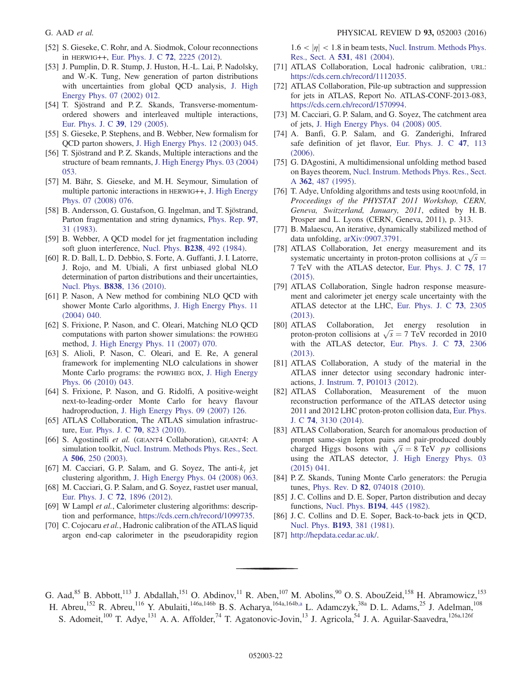- <span id="page-22-1"></span>[52] S. Gieseke, C. Rohr, and A. Siodmok, Colour reconnections in HERWIG++, [Eur. Phys. J. C](http://dx.doi.org/10.1140/epjc/s10052-012-2225-5) 72, 2225 (2012).
- [53] J. Pumplin, D. R. Stump, J. Huston, H.-L. Lai, P. Nadolsky, and W.-K. Tung, New generation of parton distributions with uncertainties from global QCD analysis, [J. High](http://dx.doi.org/10.1088/1126-6708/2002/07/012) [Energy Phys. 07 \(2002\) 012.](http://dx.doi.org/10.1088/1126-6708/2002/07/012)
- [54] T. Sjöstrand and P.Z. Skands, Transverse-momentumordered showers and interleaved multiple interactions, [Eur. Phys. J. C](http://dx.doi.org/10.1140/epjc/s2004-02084-y) 39, 129 (2005).
- [55] S. Gieseke, P. Stephens, and B. Webber, New formalism for QCD parton showers, [J. High Energy Phys. 12 \(2003\) 045.](http://dx.doi.org/10.1088/1126-6708/2003/12/045)
- [56] T. Sjöstrand and P. Z. Skands, Multiple interactions and the structure of beam remnants, [J. High Energy Phys. 03 \(2004\)](http://dx.doi.org/10.1088/1126-6708/2004/03/053) [053.](http://dx.doi.org/10.1088/1126-6708/2004/03/053)
- [57] M. Bähr, S. Gieseke, and M. H. Seymour, Simulation of multiple partonic interactions in HERWIG++, [J. High Energy](http://dx.doi.org/10.1088/1126-6708/2008/07/076) [Phys. 07 \(2008\) 076.](http://dx.doi.org/10.1088/1126-6708/2008/07/076)
- <span id="page-22-3"></span>[58] B. Andersson, G. Gustafson, G. Ingelman, and T. Sjöstrand, Parton fragmentation and string dynamics, [Phys. Rep.](http://dx.doi.org/10.1016/0370-1573(83)90080-7) 97, [31 \(1983\).](http://dx.doi.org/10.1016/0370-1573(83)90080-7)
- [59] B. Webber, A QCD model for jet fragmentation including soft gluon interference, Nucl. Phys. B238[, 492 \(1984\).](http://dx.doi.org/10.1016/0550-3213(84)90333-X)
- <span id="page-22-4"></span>[60] R. D. Ball, L. D. Debbio, S. Forte, A. Guffanti, J. I. Latorre, J. Rojo, and M. Ubiali, A first unbiased global NLO determination of parton distributions and their uncertainties, Nucl. Phys. B838[, 136 \(2010\).](http://dx.doi.org/10.1016/j.nuclphysb.2010.05.008)
- <span id="page-22-5"></span>[61] P. Nason, A New method for combining NLO QCD with shower Monte Carlo algorithms, [J. High Energy Phys. 11](http://dx.doi.org/10.1088/1126-6708/2004/11/040) [\(2004\) 040.](http://dx.doi.org/10.1088/1126-6708/2004/11/040)
- [62] S. Frixione, P. Nason, and C. Oleari, Matching NLO QCD computations with parton shower simulations: the POWHEG method, [J. High Energy Phys. 11 \(2007\) 070.](http://dx.doi.org/10.1088/1126-6708/2007/11/070)
- [63] S. Alioli, P. Nason, C. Oleari, and E. Re, A general framework for implementing NLO calculations in shower Monte Carlo programs: the POWHEG BOX, [J. High Energy](http://dx.doi.org/10.1007/JHEP06(2010)043) [Phys. 06 \(2010\) 043.](http://dx.doi.org/10.1007/JHEP06(2010)043)
- [64] S. Frixione, P. Nason, and G. Ridolfi, A positive-weight next-to-leading-order Monte Carlo for heavy flavour hadroproduction, [J. High Energy Phys. 09 \(2007\) 126.](http://dx.doi.org/10.1088/1126-6708/2007/09/126)
- [65] ATLAS Collaboration, The ATLAS simulation infrastructure, [Eur. Phys. J. C](http://dx.doi.org/10.1140/epjc/s10052-010-1429-9) 70, 823 (2010).
- [66] S. Agostinelli et al. (GEANT4 Collaboration), GEANT4: A simulation toolkit, [Nucl. Instrum. Methods Phys. Res., Sect.](http://dx.doi.org/10.1016/S0168-9002(03)01368-8) A 506[, 250 \(2003\).](http://dx.doi.org/10.1016/S0168-9002(03)01368-8)
- [67] M. Cacciari, G. P. Salam, and G. Soyez, The anti- $k_t$  jet clustering algorithm, [J. High Energy Phys. 04 \(2008\) 063.](http://dx.doi.org/10.1088/1126-6708/2008/04/063)
- <span id="page-22-0"></span>[68] M. Cacciari, G. P. Salam, and G. Soyez, FastJet user manual, [Eur. Phys. J. C](http://dx.doi.org/10.1140/epjc/s10052-012-1896-2) 72, 1896 (2012).
- [69] W Lampl et al., Calorimeter clustering algorithms: description and performance, [https://cds.cern.ch/record/1099735.](https://cds.cern.ch/record/1099735)
- [70] C. Cojocaru et al., Hadronic calibration of the ATLAS liquid argon end-cap calorimeter in the pseudorapidity region

 $1.6 < |\eta| < 1.8$  in beam tests, [Nucl. Instrum. Methods Phys.](http://dx.doi.org/10.1016/j.nima.2004.05.133) [Res., Sect. A](http://dx.doi.org/10.1016/j.nima.2004.05.133) 531, 481 (2004).

- [71] ATLAS Collaboration, Local hadronic calibration, URL: [https://cds.cern.ch/record/1112035.](https://cds.cern.ch/record/1112035)
- [72] ATLAS Collaboration, Pile-up subtraction and suppression for jets in ATLAS, Report No. ATLAS-CONF-2013-083, [https://cds.cern.ch/record/1570994.](https://cds.cern.ch/record/1570994)
- [73] M. Cacciari, G. P. Salam, and G. Soyez, The catchment area of jets, [J. High Energy Phys. 04 \(2008\) 005.](http://dx.doi.org/10.1088/1126-6708/2008/04/005)
- [74] A. Banfi, G. P. Salam, and G. Zanderighi, Infrared safe definition of jet flavor, [Eur. Phys. J. C](http://dx.doi.org/10.1140/epjc/s2006-02552-4) 47, 113 [\(2006\).](http://dx.doi.org/10.1140/epjc/s2006-02552-4)
- [75] G. DAgostini, A multidimensional unfolding method based on Bayes theorem, [Nucl. Instrum. Methods Phys. Res., Sect.](http://dx.doi.org/10.1016/0168-9002(95)00274-X) A 362[, 487 \(1995\).](http://dx.doi.org/10.1016/0168-9002(95)00274-X)
- [76] T. Adye, Unfolding algorithms and tests using RooUnfold, in Proceedings of the PHYSTAT 2011 Workshop, CERN, Geneva, Switzerland, January, 2011, edited by H. B. Prosper and L. Lyons (CERN, Geneva, 2011), p. 313.
- [77] B. Malaescu, An iterative, dynamically stabilized method of data unfolding, [arXiv:0907.3791.](http://arXiv.org/abs/0907.3791)
- [78] ATLAS Collaboration, Jet energy measurement and its systematic uncertainty in proton-proton collisions at  $\sqrt{s}$ 7 TeV with the ATLAS detector, [Eur. Phys. J. C](http://dx.doi.org/10.1140/epjc/s10052-014-3190-y) 75, 17 [\(2015\).](http://dx.doi.org/10.1140/epjc/s10052-014-3190-y)
- [79] ATLAS Collaboration, Single hadron response measurement and calorimeter jet energy scale uncertainty with the ATLAS detector at the LHC, [Eur. Phys. J. C](http://dx.doi.org/10.1140/epjc/s10052-013-2305-1) 73, 2305 [\(2013\).](http://dx.doi.org/10.1140/epjc/s10052-013-2305-1)
- [80] ATLAS Collaboration, Jet energy resolution in proton-proton collisions at  $\sqrt{s} = 7$  TeV recorded in 2010 with the ATLAS detector, [Eur. Phys. J. C](http://dx.doi.org/10.1140/epjc/s10052-013-2306-0) 73, 2306 [\(2013\).](http://dx.doi.org/10.1140/epjc/s10052-013-2306-0)
- [81] ATLAS Collaboration, A study of the material in the ATLAS inner detector using secondary hadronic interactions, J. Instrum. 7[, P01013 \(2012\)](http://dx.doi.org/10.1088/1748-0221/7/01/P01013).
- [82] ATLAS Collaboration, Measurement of the muon reconstruction performance of the ATLAS detector using 2011 and 2012 LHC proton-proton collision data, [Eur. Phys.](http://dx.doi.org/10.1140/epjc/s10052-014-3130-x) J. C 74[, 3130 \(2014\)](http://dx.doi.org/10.1140/epjc/s10052-014-3130-x).
- [83] ATLAS Collaboration, Search for anomalous production of prompt same-sign lepton pairs and pair-produced doubly charged Higgs bosons with  $\sqrt{s} = 8 \text{ TeV}$  pp collisions using the ATLAS detector, [J. High Energy Phys. 03](http://dx.doi.org/10.1007/JHEP03(2015)041) [\(2015\) 041.](http://dx.doi.org/10.1007/JHEP03(2015)041)
- [84] P. Z. Skands, Tuning Monte Carlo generators: the Perugia tunes, Phys. Rev. D 82[, 074018 \(2010\)](http://dx.doi.org/10.1103/PhysRevD.82.074018).
- [85] J. C. Collins and D. E. Soper, Parton distribution and decay functions, Nucl. Phys. B194[, 445 \(1982\).](http://dx.doi.org/10.1016/0550-3213(82)90021-9)
- [86] J. C. Collins and D. E. Soper, Back-to-back jets in QCD, Nucl. Phys. B193[, 381 \(1981\).](http://dx.doi.org/10.1016/0550-3213(81)90339-4)
- [87] [http://hepdata.cedar.ac.uk/.](http://hepdata.cedar.ac.uk/)

<span id="page-22-2"></span>G. Aad,<sup>85</sup> B. Abbott,<sup>113</sup> J. Abdallah,<sup>151</sup> O. Abdinov,<sup>11</sup> R. Aben,<sup>107</sup> M. Abolins,<sup>90</sup> O. S. AbouZeid,<sup>158</sup> H. Abramowicz,<sup>153</sup> H. Abreu,<sup>152</sup> R. Abreu,<sup>116</sup> Y. Abulaiti,<sup>146a,146b</sup> B. S. Acharya,<sup>164a,164[b,a](#page-34-0)</sup> L. Adamczyk,<sup>38a</sup> D. L. Adams,<sup>25</sup> J. Adelman,<sup>108</sup> S. Adomeit,<sup>100</sup> T. Adye,<sup>131</sup> A. A. Affolder,<sup>74</sup> T. Agatonovic-Jovin,<sup>13</sup> J. Agricola,<sup>54</sup> J. A. Aguilar-Saavedra,<sup>126a,126f</sup>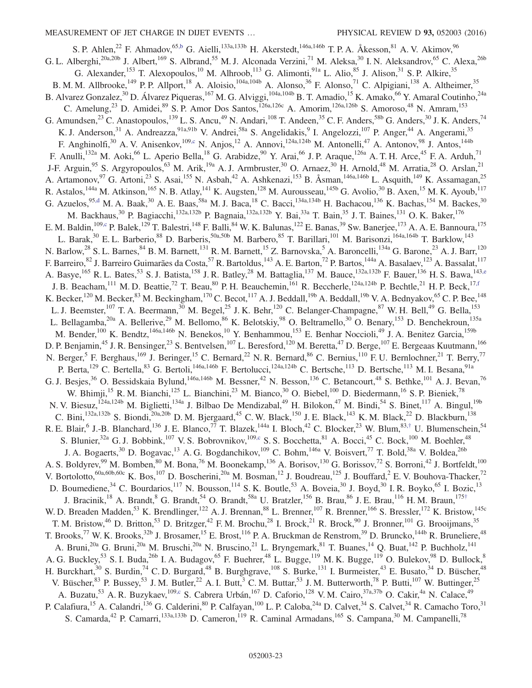<span id="page-23-5"></span><span id="page-23-4"></span><span id="page-23-3"></span><span id="page-23-2"></span><span id="page-23-1"></span><span id="page-23-0"></span>S. P. Ahlen,<sup>22</sup> F. Ahmadov,<sup>6[5,b](#page-34-1)</sup> G. Aielli,<sup>133a,133b</sup> H. Akerstedt,<sup>146a,146b</sup> T. P. A. Åkesson,<sup>81</sup> A. V. Akimov,<sup>96</sup> G. L. Alberghi,<sup>20a,20b</sup> J. Albert,<sup>169</sup> S. Albrand,<sup>55</sup> M. J. Alconada Verzini,<sup>71</sup> M. Aleksa,<sup>30</sup> I. N. Aleksandrov,<sup>65</sup> C. Alexa,<sup>26b</sup> G. Alexander,<sup>153</sup> T. Alexopoulos,<sup>10</sup> M. Alhroob,<sup>113</sup> G. Alimonti,<sup>91a</sup> L. Alio,<sup>85</sup> J. Alison,<sup>31</sup> S. P. Alkire,<sup>35</sup> B. M. M. Allbrooke,<sup>149</sup> P. P. Allport,<sup>18</sup> A. Aloisio,<sup>104a,104b</sup> A. Alonso,<sup>36</sup> F. Alonso,<sup>71</sup> C. Alpigiani,<sup>138</sup> A. Altheimer,<sup>35</sup> B. Alvarez Gonzalez,<sup>30</sup> D. Álvarez Piqueras,<sup>167</sup> M. G. Alviggi,<sup>104a,104b</sup> B. T. Amadio,<sup>15</sup> K. Amako,<sup>66</sup> Y. Amaral Coutinho,<sup>24a</sup> C. Amelung,<sup>23</sup> D. Amidei,<sup>89</sup> S. P. Amor Dos Santos,<sup>126a,126c</sup> A. Amorim,<sup>126a,126b</sup> S. Amoroso,<sup>48</sup> N. Amram,<sup>153</sup> G. Amundsen,  $^{23}$  C. Anastopoulos,  $^{139}$  L. S. Ancu,  $^{49}$  N. Andari,  $^{108}$  T. Andeen,  $^{35}$  C. F. Anders,  $^{58b}$  G. Anders,  $^{30}$  J. K. Anders,  $^{74}$ K. J. Anderson,<sup>31</sup> A. Andreazza,<sup>91a,91b</sup> V. Andrei,<sup>58a</sup> S. Angelidakis,<sup>9</sup> I. Angelozzi,<sup>107</sup> P. Anger,<sup>44</sup> A. Angerami,<sup>35</sup> F. Anghinolfi,<sup>30</sup> A. V. Anisenkov,<sup>109[,c](#page-34-2)</sup> N. Anjos,<sup>12</sup> A. Annovi,<sup>124a,124b</sup> M. Antonelli,<sup>47</sup> A. Antonov,<sup>98</sup> J. Antos.<sup>144b</sup> F. Anulli,<sup>132a</sup> M. Aoki,<sup>66</sup> L. Aperio Bella,<sup>18</sup> G. Arabidze,<sup>90</sup> Y. Arai,<sup>66</sup> J. P. Araque,<sup>126a</sup> A. T. H. Arce,<sup>45</sup> F. A. Arduh,<sup>71</sup> J-F. Arguin,<sup>95</sup> S. Argyropoulos,<sup>63</sup> M. Arik,<sup>19a</sup> A. J. Armbruster,<sup>30</sup> O. Arnaez,<sup>30</sup> H. Arnold,<sup>48</sup> M. Arratia,<sup>28</sup> O. Arslan,<sup>21</sup> A. Artamonov,<sup>97</sup> G. Artoni,<sup>23</sup> S. Asai,<sup>155</sup> N. Asbah,<sup>42</sup> A. Ashkenazi,<sup>153</sup> B. Åsman,<sup>146a,146b</sup> L. Asquith,<sup>149</sup> K. Assamagan,<sup>25</sup> R. Astalos,<sup>144a</sup> M. Atkinson,<sup>165</sup> N. B. Atlay,<sup>141</sup> K. Augsten,<sup>128</sup> M. Aurousseau,<sup>145b</sup> G. Avolio,<sup>30</sup> B. Axen,<sup>15</sup> M. K. Ayoub,<sup>117</sup> G. Azuelos, <sup>9[5,d](#page-34-3)</sup> M. A. Baak, <sup>30</sup> A. E. Baas, <sup>58a</sup> M. J. Baca, <sup>18</sup> C. Bacci, <sup>134a,134b</sup> H. Bachacou, <sup>136</sup> K. Bachas, <sup>154</sup> M. Backes, <sup>30</sup> M. Backhaus,<sup>30</sup> P. Bagiacchi,<sup>132a,132b</sup> P. Bagnaia,<sup>132a,132b</sup> Y. Bai,<sup>33a</sup> T. Bain,<sup>35</sup> J. T. Baines,<sup>131</sup> O. K. Baker,<sup>176</sup> E. M. Baldin,<sup>10[9,c](#page-34-2)</sup> P. Balek,<sup>129</sup> T. Balestri,<sup>148</sup> F. Balli,<sup>84</sup> W. K. Balunas,<sup>122</sup> E. Banas,<sup>39</sup> Sw. Banerjee,<sup>173</sup> A. A. E. Bannoura,<sup>175</sup> L. Barak,<sup>30</sup> E. L. Barberio,<sup>88</sup> D. Barberis,<sup>50a,50b</sup> M. Barbero,<sup>85</sup> T. Barillari,<sup>101</sup> M. Barisonzi,<sup>164a,164b</sup> T. Barklow,<sup>143</sup> N. Barlow,<sup>28</sup> S. L. Barnes,<sup>84</sup> B. M. Barnett,<sup>131</sup> R. M. Barnett,<sup>15</sup> Z. Barnovska,<sup>5</sup> A. Baroncelli,<sup>134a</sup> G. Barone,<sup>23</sup> A. J. Barr,<sup>120</sup> F. Barreiro, <sup>82</sup> J. Barreiro Guimarães da Costa, <sup>57</sup> R. Bartoldus, <sup>143</sup> A. E. Barton, <sup>72</sup> P. Bartos, <sup>144a</sup> A. Basalaev, <sup>123</sup> A. Bassalat, <sup>117</sup> A. Basye,<sup>165</sup> R. L. Bates,<sup>53</sup> S. J. Batista,<sup>158</sup> J. R. Batley,<sup>28</sup> M. Battaglia,<sup>137</sup> M. Bauce,<sup>132a,132b</sup> F. Bauer,<sup>136</sup> H. S. Bawa,<sup>14[3,e](#page-34-4)</sup> J. B. Beacham, <sup>111</sup> M. D. Beattie, <sup>72</sup> T. Beau, <sup>80</sup> P. H. Beauchemin, <sup>161</sup> R. Beccherle, <sup>124a, 124b</sup> P. Bechtle, <sup>21</sup> H. P. Beck, <sup>17, f</sup> K. Becker,<sup>120</sup> M. Becker,<sup>83</sup> M. Beckingham,<sup>170</sup> C. Becot,<sup>117</sup> A. J. Beddall,<sup>19b</sup> A. Beddall,<sup>19b</sup> V. A. Bednyakov,<sup>65</sup> C. P. Bee,<sup>148</sup> L. J. Beemster,<sup>107</sup> T. A. Beermann,<sup>30</sup> M. Begel,<sup>25</sup> J. K. Behr,<sup>120</sup> C. Belanger-Champagne,<sup>87</sup> W. H. Bell,<sup>49</sup> G. Bella,<sup>153</sup> L. Bellagamba,<sup>20a</sup> A. Bellerive,<sup>29</sup> M. Bellomo,<sup>86</sup> K. Belotskiy,<sup>98</sup> O. Beltramello,<sup>30</sup> O. Benary,<sup>153</sup> D. Benchekroun,<sup>135a</sup> M. Bender,<sup>100</sup> K. Bendtz,<sup>146a,146b</sup> N. Benekos,<sup>10</sup> Y. Benhammou,<sup>153</sup> E. Benhar Noccioli,<sup>49</sup> J. A. Benitez Garcia,<sup>159b</sup> D. P. Benjamin,<sup>45</sup> J. R. Bensinger,<sup>23</sup> S. Bentvelsen,<sup>107</sup> L. Beresford,<sup>120</sup> M. Beretta,<sup>47</sup> D. Berge,<sup>107</sup> E. Bergeaas Kuutmann,<sup>166</sup> N. Berger,<sup>5</sup> F. Berghaus,<sup>169</sup> J. Beringer,<sup>15</sup> C. Bernard,<sup>22</sup> N. R. Bernard,<sup>86</sup> C. Bernius,<sup>110</sup> F. U. Bernlochner,<sup>21</sup> T. Berry,<sup>77</sup> P. Berta,<sup>129</sup> C. Bertella,<sup>83</sup> G. Bertoli,<sup>146a,146b</sup> F. Bertolucci,<sup>124a,124b</sup> C. Bertsche,<sup>113</sup> D. Bertsche,<sup>113</sup> M. I. Besana,<sup>91a</sup> G. J. Besjes,<sup>36</sup> O. Bessidskaia Bylund,<sup>146a,146b</sup> M. Bessner,<sup>42</sup> N. Besson,<sup>136</sup> C. Betancourt,<sup>48</sup> S. Bethke,<sup>101</sup> A. J. Bevan,<sup>76</sup> W. Bhimji,<sup>15</sup> R. M. Bianchi,<sup>125</sup> L. Bianchini,<sup>23</sup> M. Bianco,<sup>30</sup> O. Biebel,<sup>100</sup> D. Biedermann,<sup>16</sup> S. P. Bieniek,<sup>78</sup> N. V. Biesuz,<sup>124a,124b</sup> M. Biglietti,<sup>134a</sup> J. Bilbao De Mendizabal,<sup>49</sup> H. Bilokon,<sup>47</sup> M. Bindi,<sup>54</sup> S. Binet,<sup>117</sup> A. Bingul,<sup>19b</sup> C. Bini,<sup>132a,132b</sup> S. Biondi,<sup>20a,20b</sup> D. M. Bjergaard,<sup>45</sup> C. W. Black,<sup>150</sup> J. E. Black,<sup>143</sup> K. M. Black,<sup>22</sup> D. Blackburn,<sup>138</sup> R. E. Blair, <sup>6</sup> J.-B. Blanchard, <sup>136</sup> J. E. Blanco, <sup>77</sup> T. Blazek, <sup>144a</sup> I. Bloch, <sup>42</sup> C. Blocker, <sup>23</sup> W. Blum, <sup>83,[†](#page-34-6)</sup> U. Blumenschein, <sup>54</sup> S. Blunier,<sup>32a</sup> G. J. Bobbink,<sup>107</sup> V. S. Bobrovnikov,<sup>109[,c](#page-34-2)</sup> S. S. Bocchetta,<sup>81</sup> A. Bocci,<sup>45</sup> C. Bock,<sup>100</sup> M. Boehler,<sup>48</sup> J. A. Bogaerts,<sup>30</sup> D. Bogavac,<sup>13</sup> A. G. Bogdanchikov,<sup>109</sup> C. Bohm,<sup>146a</sup> V. Boisvert,<sup>77</sup> T. Bold,<sup>38a</sup> V. Boldea,<sup>26b</sup> A. S. Boldyrev,<sup>99</sup> M. Bomben,<sup>80</sup> M. Bona,<sup>76</sup> M. Boonekamp,<sup>136</sup> A. Borisov,<sup>130</sup> G. Borissov,<sup>72</sup> S. Borroni,<sup>42</sup> J. Bortfeldt,<sup>100</sup> V. Bortolotto,  $60a, 60b, 60c$  K. Bos,  $107$  D. Boscherini,  $20a$  M. Bosman,  $12$  J. Boudreau,  $125$  J. Bouffard,  $2$  E. V. Bouhova-Thacker,  $72$ D. Boumediene,<sup>34</sup> C. Bourdarios,<sup>117</sup> N. Bousson,<sup>114</sup> S. K. Boutle,<sup>53</sup> A. Boveia,<sup>30</sup> J. Boyd,<sup>30</sup> I. R. Boyko,<sup>65</sup> I. Bozic,<sup>13</sup> J. Bracinik,<sup>18</sup> A. Brandt,<sup>8</sup> G. Brandt,<sup>54</sup> O. Brandt,<sup>58a</sup> U. Bratzler,<sup>156</sup> B. Brau,<sup>86</sup> J. E. Brau,<sup>116</sup> H. M. Braun,<sup>175[†](#page-34-6)</sup> W. D. Breaden Madden,<sup>53</sup> K. Brendlinger,<sup>122</sup> A. J. Brennan,<sup>88</sup> L. Brenner,<sup>107</sup> R. Brenner,<sup>166</sup> S. Bressler,<sup>172</sup> K. Bristow,<sup>145c</sup> T. M. Bristow,  $^{46}$  D. Britton,  $^{53}$  D. Britzger,  $^{42}$  F. M. Brochu,  $^{28}$  I. Brock,  $^{21}$  R. Brock,  $^{90}$  J. Bronner,  $^{101}$  G. Brooijmans,  $^{35}$ T. Brooks,<sup>77</sup> W. K. Brooks,<sup>32b</sup> J. Brosamer,<sup>15</sup> E. Brost,<sup>116</sup> P. A. Bruckman de Renstrom,<sup>39</sup> D. Bruncko,<sup>144b</sup> R. Bruneliere,<sup>48</sup> A. Bruni,<sup>20a</sup> G. Bruni,<sup>20a</sup> M. Bruschi,<sup>20a</sup> N. Bruscino,<sup>21</sup> L. Bryngemark,<sup>81</sup> T. Buanes,<sup>14</sup> Q. Buat,<sup>142</sup> P. Buchholz,<sup>141</sup> A. G. Buckley,<sup>53</sup> S. I. Buda,<sup>26b</sup> I. A. Budagov,<sup>65</sup> F. Buehrer,<sup>48</sup> L. Bugge,<sup>119</sup> M. K. Bugge,<sup>119</sup> O. Bulekov,<sup>98</sup> D. Bullock,<sup>8</sup> H. Burckhart,<sup>30</sup> S. Burdin,<sup>74</sup> C. D. Burgard,<sup>48</sup> B. Burghgrave,<sup>108</sup> S. Burke,<sup>131</sup> I. Burmeister,<sup>43</sup> E. Busato,<sup>34</sup> D. Büscher,<sup>48</sup> V. Büscher,  $83$  P. Bussey,  $53$  J. M. Butler,  $22$  A. I. Butt,  $3$  C. M. Buttar,  $53$  J. M. Butterworth,  $78$  P. Butti,  $107$  W. Buttinger,  $25$ A. Buzatu,<sup>53</sup> A. R. Buzykaev,<sup>10[9,c](#page-34-2)</sup> S. Cabrera Urbán,<sup>167</sup> D. Caforio,<sup>128</sup> V. M. Cairo,<sup>37a,37b</sup> O. Cakir,<sup>4a</sup> N. Calace,<sup>49</sup> P. Calafiura, <sup>15</sup> A. Calandri, <sup>136</sup> G. Calderini, <sup>80</sup> P. Calfayan, <sup>100</sup> L. P. Caloba, <sup>24a</sup> D. Calvet, <sup>34</sup> S. Calvet, <sup>34</sup> R. Camacho Toro, <sup>31</sup> S. Camarda,<sup>42</sup> P. Camarri,<sup>133a,133b</sup> D. Cameron,<sup>119</sup> R. Caminal Armadans,<sup>165</sup> S. Campana,<sup>30</sup> M. Campanelli,<sup>78</sup>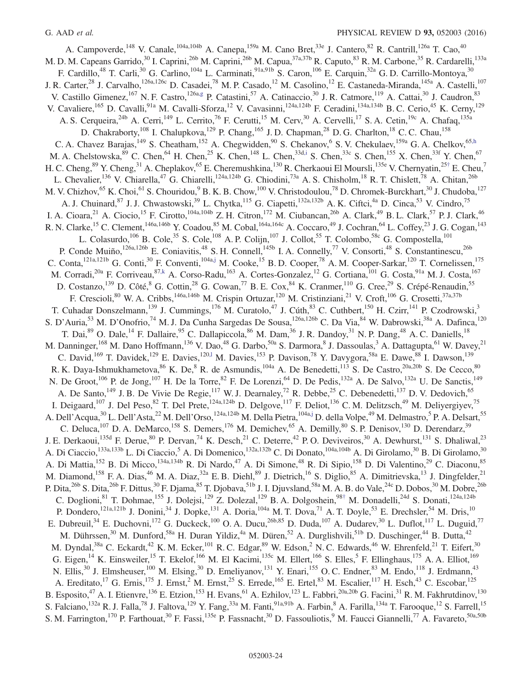<span id="page-24-5"></span><span id="page-24-4"></span><span id="page-24-3"></span><span id="page-24-2"></span><span id="page-24-1"></span><span id="page-24-0"></span>A. Campoverde,<sup>148</sup> V. Canale,<sup>104a,104b</sup> A. Canepa,<sup>159a</sup> M. Cano Bret,<sup>33e</sup> J. Cantero,<sup>82</sup> R. Cantrill,<sup>126a</sup> T. Cao,<sup>40</sup> M. D. M. Capeans Garrido,<sup>30</sup> I. Caprini,<sup>26b</sup> M. Caprini,<sup>26b</sup> M. Capua,<sup>37a,37b</sup> R. Caputo,<sup>83</sup> R. M. Carbone,<sup>35</sup> R. Cardarelli,<sup>133a</sup> F. Cardillo,<sup>48</sup> T. Carli,<sup>30</sup> G. Carlino,<sup>104a</sup> L. Carminati,<sup>91a,91b</sup> S. Caron,<sup>106</sup> E. Carquin,<sup>32a</sup> G. D. Carrillo-Montoya,<sup>30</sup> J. R. Carter,<sup>28</sup> J. Carvalho,<sup>126a,126c</sup> D. Casadei,<sup>78</sup> M. P. Casado,<sup>12</sup> M. Casolino,<sup>12</sup> E. Castaneda-Miranda,<sup>145a</sup> A. Castelli,<sup>107</sup> V. Castillo Gimenez,<sup>167</sup> N. F. Castro,<sup>126a[,g](#page-34-7)</sup> P. Catastini,<sup>57</sup> A. Catinaccio,<sup>30</sup> J. R. Catmore,<sup>119</sup> A. Cattai,<sup>30</sup> J. Caudron,<sup>83</sup> V. Cavaliere,<sup>165</sup> D. Cavalli,<sup>91a</sup> M. Cavalli-Sforza,<sup>12</sup> V. Cavasinni,<sup>124a,124b</sup> F. Ceradini,<sup>134a,134b</sup> B. C. Cerio,<sup>45</sup> K. Cerny,<sup>129</sup> A. S. Cerqueira,<sup>24b</sup> A. Cerri,<sup>149</sup> L. Cerrito,<sup>76</sup> F. Cerutti,<sup>15</sup> M. Cerv,<sup>30</sup> A. Cervelli,<sup>17</sup> S. A. Cetin,<sup>19c</sup> A. Chafaq,<sup>135a</sup> D. Chakraborty,<sup>108</sup> I. Chalupkova,<sup>129</sup> P. Chang,<sup>165</sup> J. D. Chapman,<sup>28</sup> D. G. Charlton,<sup>18</sup> C. C. Chau,<sup>158</sup> C. A. Chavez Barajas,  $^{149}$  S. Cheatham,  $^{152}$  A. Chegwidden,  $^{90}$  S. Chekanov,  $^{6}$  S. V. Chekulaev,  $^{159a}$  G. A. Chelkov,  $^{65,h}$  $^{65,h}$  $^{65,h}$ M. A. Chelstowska,  $89$  C. Chen,  $64$  H. Chen,  $25$  K. Chen,  $148$  L. Chen,  $33d, i$  S. Chen,  $33c$  S. Chen,  $155$  X. Chen,  $33f$  Y. Chen,  $67$ H. C. Cheng,  $89$  Y. Cheng,  $31$  A. Cheplakov,  $65$  E. Cheremushkina,  $130$  R. Cherkaoui El Moursli,  $135$ e V. Chernyatin,  $25$ [†](#page-34-6) E. Cheu, 7 L. Chevalier,<sup>136</sup> V. Chiarella,<sup>47</sup> G. Chiarelli,<sup>124a,124b</sup> G. Chiodini,<sup>73a</sup> A. S. Chisholm,<sup>18</sup> R. T. Chislett,<sup>78</sup> A. Chitan,<sup>26b</sup> M. V. Chizhov,<sup>65</sup> K. Choi,<sup>61</sup> S. Chouridou,<sup>9</sup> B. K. B. Chow,<sup>100</sup> V. Christodoulou,<sup>78</sup> D. Chromek-Burckhart,<sup>30</sup> J. Chudoba,<sup>127</sup> A. J. Chuinard,<sup>87</sup> J. J. Chwastowski,<sup>39</sup> L. Chytka,<sup>115</sup> G. Ciapetti,<sup>132a,132b</sup> A. K. Ciftci,<sup>4a</sup> D. Cinca,<sup>53</sup> V. Cindro,<sup>75</sup> I. A. Cioara,<sup>21</sup> A. Ciocio,<sup>15</sup> F. Cirotto,<sup>104a,104b</sup> Z. H. Citron,<sup>172</sup> M. Ciubancan,<sup>26b</sup> A. Clark,<sup>49</sup> B. L. Clark,<sup>57</sup> P. J. Clark,<sup>46</sup> R. N. Clarke,<sup>15</sup> C. Clement,<sup>146a,146b</sup> Y. Coadou,<sup>85</sup> M. Cobal,<sup>164a,164c</sup> A. Coccaro,<sup>49</sup> J. Cochran,<sup>64</sup> L. Coffey,<sup>23</sup> J. G. Cogan,<sup>143</sup> L. Colasurdo,<sup>106</sup> B. Cole,<sup>35</sup> S. Cole,<sup>108</sup> A. P. Colijn,<sup>107</sup> J. Collot,<sup>55</sup> T. Colombo,<sup>58c</sup> G. Compostella,<sup>101</sup> P. Conde Muiño,<sup>126a,126b</sup> E. Coniavitis,<sup>48</sup> S. H. Connell,<sup>145b</sup> I. A. Connelly,<sup>77</sup> V. Consorti,<sup>48</sup> S. Constantinescu,<sup>26b</sup> C. Conta,<sup>121a,121b</sup> G. Conti,<sup>30</sup> F. Conventi,<sup>104a[,j](#page-34-10)</sup> M. Cooke,<sup>15</sup> B. D. Cooper,<sup>78</sup> A. M. Cooper-Sarkar,<sup>120</sup> T. Cornelissen,<sup>175</sup> M. Corradi,<sup>20a</sup> F. Corriveau,<sup>87[,k](#page-34-11)</sup> A. Corso-Radu,<sup>163</sup> A. Cortes-Gonzalez,<sup>12</sup> G. Cortiana,<sup>101</sup> G. Costa,<sup>91a</sup> M. J. Costa,<sup>167</sup> D. Costanzo,<sup>139</sup> D. Côté, <sup>8</sup> G. Cottin,<sup>28</sup> G. Cowan,<sup>77</sup> B. E. Cox, <sup>84</sup> K. Cranmer, <sup>110</sup> G. Cree, <sup>29</sup> S. Crépé-Renaudin, <sup>55</sup> F. Crescioli,<sup>80</sup> W. A. Cribbs,<sup>146a,146b</sup> M. Crispin Ortuzar,<sup>120</sup> M. Cristinziani,<sup>21</sup> V. Croft,<sup>106</sup> G. Crosetti,<sup>37a,37b</sup> T. Cuhadar Donszelmann,<sup>139</sup> J. Cummings,<sup>176</sup> M. Curatolo,<sup>47</sup> J. Cúth,<sup>83</sup> C. Cuthbert,<sup>150</sup> H. Czirr,<sup>141</sup> P. Czodrowski,<sup>3</sup> S. D'Auria,<sup>53</sup> M. D'Onofrio,<sup>74</sup> M. J. Da Cunha Sargedas De Sousa,<sup>126a,126b</sup> C. Da Via, <sup>84</sup> W. Dabrowski,<sup>38a</sup> A. Dafinca,<sup>120</sup> T. Dai,<sup>89</sup> O. Dale,<sup>14</sup> F. Dallaire,<sup>95</sup> C. Dallapiccola,<sup>86</sup> M. Dam,<sup>36</sup> J. R. Dandoy,<sup>31</sup> N. P. Dang,<sup>48</sup> A. C. Daniells,<sup>18</sup> M. Danninger, <sup>168</sup> M. Dano Hoffmann, <sup>136</sup> V. Dao, <sup>48</sup> G. Darbo, <sup>50a</sup> S. Darmora, <sup>8</sup> J. Dassoulas, <sup>3</sup> A. Dattagupta, <sup>61</sup> W. Davey, <sup>21</sup> C. David,<sup>169</sup> T. Davidek,<sup>129</sup> E. Davies,<sup>120,1</sup> M. Davies,<sup>153</sup> P. Davison,<sup>78</sup> Y. Davygora,<sup>58a</sup> E. Dawe,<sup>88</sup> I. Dawson,<sup>139</sup> R. K. Daya-Ishmukhametova,  $8^6$  K. De,  $8$  R. de Asmundis,  $104a$  A. De Benedetti,  $113$  S. De Castro,  $20a,20b$  S. De Cecco,  $80$ N. De Groot,<sup>106</sup> P. de Jong,<sup>107</sup> H. De la Torre,<sup>82</sup> F. De Lorenzi,<sup>64</sup> D. De Pedis,<sup>132a</sup> A. De Salvo,<sup>132a</sup> U. De Sanctis,<sup>149</sup> A. De Santo,<sup>149</sup> J. B. De Vivie De Regie,<sup>117</sup> W. J. Dearnaley,<sup>72</sup> R. Debbe,<sup>25</sup> C. Debenedetti,<sup>137</sup> D. V. Dedovich,<sup>65</sup> I. Deigaard,<sup>107</sup> J. Del Peso,<sup>82</sup> T. Del Prete,<sup>124a,124b</sup> D. Delgove,<sup>117</sup> F. Deliot,<sup>136</sup> C. M. Delitzsch,<sup>49</sup> M. Deliyergiyev,<sup>75</sup> A. Dell'Acqua,<sup>30</sup> L. Dell'Asta,<sup>22</sup> M. Dell'Orso,<sup>124a,124b</sup> M. Della Pietra,<sup>104a[,j](#page-34-10)</sup> D. della Volpe,<sup>49</sup> M. Delmastro,<sup>5</sup> P. A. Delsart,<sup>55</sup> C. Deluca,<sup>107</sup> D. A. DeMarco,<sup>158</sup> S. Demers,<sup>176</sup> M. Demichev,<sup>65</sup> A. Demilly,<sup>80</sup> S. P. Denisov,<sup>130</sup> D. Derendarz,<sup>39</sup> J. E. Derkaoui,<sup>135d</sup> F. Derue,<sup>80</sup> P. Dervan,<sup>74</sup> K. Desch,<sup>21</sup> C. Deterre,<sup>42</sup> P. O. Deviveiros,<sup>30</sup> A. Dewhurst,<sup>131</sup> S. Dhaliwal,<sup>23</sup> A. Di Ciaccio,<sup>133a,133b</sup> L. Di Ciaccio,<sup>5</sup> A. Di Domenico,<sup>132a,132b</sup> C. Di Donato,<sup>104a,104b</sup> A. Di Girolamo,<sup>30</sup> B. Di Girolamo,<sup>30</sup> A. Di Mattia,<sup>152</sup> B. Di Micco,<sup>134a,134b</sup> R. Di Nardo,<sup>47</sup> A. Di Simone,<sup>48</sup> R. Di Sipio,<sup>158</sup> D. Di Valentino,<sup>29</sup> C. Diaconu,<sup>85</sup> M. Diamond,<sup>158</sup> F. A. Dias,<sup>46</sup> M. A. Diaz,<sup>32a</sup> E. B. Diehl,<sup>89</sup> J. Dietrich,<sup>16</sup> S. Diglio,<sup>85</sup> A. Dimitrievska,<sup>13</sup> J. Dingfelder,<sup>21</sup> P. Dita, <sup>26b</sup> S. Dita, <sup>26b</sup> F. Dittus, <sup>30</sup> F. Djama, <sup>85</sup> T. Djobava, <sup>51b</sup> J. I. Djuvsland, <sup>58a</sup> M. A. B. do Vale, <sup>24c</sup> D. Dobos, <sup>30</sup> M. Dobre, <sup>26b</sup> C. Doglioni,<sup>81</sup> T. Dohmae,<sup>155</sup> J. Dolejsi,<sup>129</sup> Z. Dolezal,<sup>129</sup> B. A. Dolgoshein,<sup>98[†](#page-34-6)</sup> M. Donadelli,<sup>24d</sup> S. Donati,<sup>124a,124b</sup> P. Dondero,  $^{121a,121b}$  J. Donini,  $^{34}$  J. Dopke,  $^{131}$  A. Doria,  $^{104a}$  M. T. Dova,  $^{71}$  A. T. Doyle,  $^{53}$  E. Drechsler,  $^{54}$  M. Dris,  $^{10}$ E. Dubreuil,<sup>34</sup> E. Duchovni,<sup>172</sup> G. Duckeck,<sup>100</sup> O. A. Ducu,<sup>26b,85</sup> D. Duda,<sup>107</sup> A. Dudarev,<sup>30</sup> L. Duflot,<sup>117</sup> L. Duguid,<sup>77</sup> M. Dührssen,<sup>30</sup> M. Dunford,<sup>58a</sup> H. Duran Yildiz,<sup>4a</sup> M. Düren,<sup>52</sup> A. Durglishvili,<sup>51b</sup> D. Duschinger,<sup>44</sup> B. Dutta,<sup>42</sup> M. Dyndal,<sup>38a</sup> C. Eckardt,<sup>42</sup> K. M. Ecker,<sup>101</sup> R. C. Edgar,<sup>89</sup> W. Edson,<sup>2</sup> N. C. Edwards,<sup>46</sup> W. Ehrenfeld,<sup>21</sup> T. Eifert,<sup>30</sup> G. Eigen, <sup>14</sup> K. Einsweiler, <sup>15</sup> T. Ekelof, <sup>166</sup> M. El Kacimi, <sup>135c</sup> M. Ellert, <sup>166</sup> S. Elles, <sup>5</sup> F. Ellinghaus, <sup>175</sup> A. A. Elliot, <sup>169</sup> N. Ellis,<sup>30</sup> J. Elmsheuser,<sup>100</sup> M. Elsing,<sup>30</sup> D. Emeliyanov,<sup>131</sup> Y. Enari,<sup>155</sup> O. C. Endner,<sup>83</sup> M. Endo,<sup>118</sup> J. Erdmann,<sup>43</sup> A. Ereditato,<sup>17</sup> G. Ernis,<sup>175</sup> J. Ernst,<sup>2</sup> M. Ernst,<sup>25</sup> S. Errede,<sup>165</sup> E. Ertel,<sup>83</sup> M. Escalier,<sup>117</sup> H. Esch,<sup>43</sup> C. Escobar,<sup>125</sup> B. Esposito,<sup>47</sup> A. I. Etienvre,<sup>136</sup> E. Etzion,<sup>153</sup> H. Evans,<sup>61</sup> A. Ezhilov,<sup>123</sup> L. Fabbri,<sup>20a,20b</sup> G. Facini,<sup>31</sup> R. M. Fakhrutdinov,<sup>130</sup> S. Falciano,<sup>132a</sup> R. J. Falla,<sup>78</sup> J. Faltova,<sup>129</sup> Y. Fang,<sup>33a</sup> M. Fanti,<sup>91a,91b</sup> A. Farbin,<sup>8</sup> A. Farilla,<sup>134a</sup> T. Farooque,<sup>12</sup> S. Farrell,<sup>15</sup> S. M. Farrington,<sup>170</sup> P. Farthouat,<sup>30</sup> F. Fassi,<sup>135e</sup> P. Fassnacht,<sup>30</sup> D. Fassouliotis,<sup>9</sup> M. Faucci Giannelli,<sup>77</sup> A. Favareto,<sup>50a,50b</sup>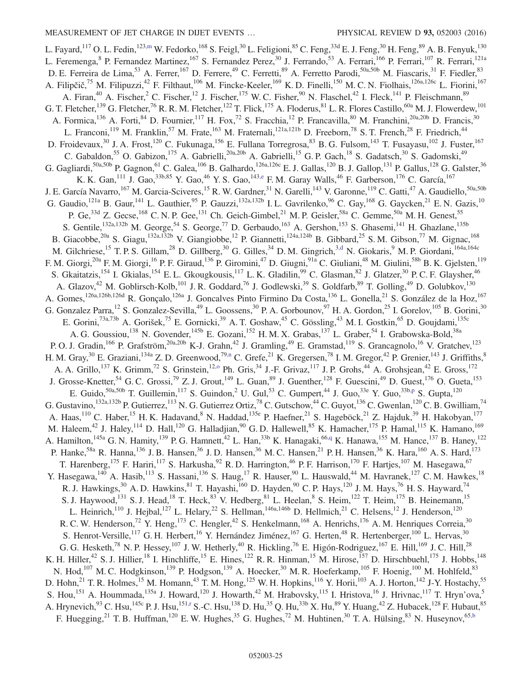<span id="page-25-8"></span><span id="page-25-7"></span><span id="page-25-6"></span><span id="page-25-5"></span><span id="page-25-4"></span><span id="page-25-3"></span><span id="page-25-2"></span><span id="page-25-1"></span><span id="page-25-0"></span>L. Fayard,  $^{117}$  O. L. Fedin,  $^{123,m}$  $^{123,m}$  $^{123,m}$  W. Fedorko,  $^{168}$  S. Feigl,  $^{30}$  L. Feligioni,  $^{85}$  C. Feng,  $^{33d}$  E. J. Feng,  $^{30}$  H. Feng,  $^{89}$  A. B. Fenyuk,  $^{130}$ L. Feremenga, <sup>8</sup> P. Fernandez Martinez, <sup>167</sup> S. Fernandez Perez, <sup>30</sup> J. Ferrando, <sup>53</sup> A. Ferrari, <sup>166</sup> P. Ferrari, <sup>107</sup> R. Ferrari, <sup>121a</sup> D. E. Ferreira de Lima,<sup>53</sup> A. Ferrer,<sup>167</sup> D. Ferrere,<sup>49</sup> C. Ferretti,<sup>89</sup> A. Ferretto Parodi,<sup>50a,50b</sup> M. Fiascaris,<sup>31</sup> F. Fiedler,<sup>83</sup> A. Filipčič,<sup>75</sup> M. Filipuzzi,<sup>42</sup> F. Filthaut,<sup>106</sup> M. Fincke-Keeler,<sup>169</sup> K. D. Finelli,<sup>150</sup> M. C. N. Fiolhais,<sup>126a,126c</sup> L. Fiorini,<sup>167</sup> A. Firan,<sup>40</sup> A. Fischer,<sup>2</sup> C. Fischer,<sup>12</sup> J. Fischer,<sup>175</sup> W. C. Fisher,<sup>90</sup> N. Flaschel,<sup>42</sup> I. Fleck,<sup>141</sup> P. Fleischmann,<sup>89</sup> G. T. Fletcher,<sup>139</sup> G. Fletcher,<sup>76</sup> R. R. M. Fletcher,<sup>122</sup> T. Flick,<sup>175</sup> A. Floderus,<sup>81</sup> L. R. Flores Castillo,<sup>60a</sup> M. J. Flowerdew,<sup>101</sup> A. Formica,  $^{136}$  A. Forti,  $^{84}$  D. Fournier,  $^{117}$  H. Fox,  $^{72}$  S. Fracchia,  $^{12}$  P. Francavilla,  $^{80}$  M. Franchini,  $^{20a,20b}$  D. Francis,  $^{30}$ L. Franconi,<sup>119</sup> M. Franklin,<sup>57</sup> M. Frate,<sup>163</sup> M. Fraternali,<sup>121a,121b</sup> D. Freeborn,<sup>78</sup> S. T. French,<sup>28</sup> F. Friedrich,<sup>44</sup> D. Froidevaux,<sup>30</sup> J. A. Frost,<sup>120</sup> C. Fukunaga,<sup>156</sup> E. Fullana Torregrosa,<sup>83</sup> B. G. Fulsom,<sup>143</sup> T. Fusayasu,<sup>102</sup> J. Fuster,<sup>167</sup> C. Gabaldon,<sup>55</sup> O. Gabizon,<sup>175</sup> A. Gabrielli,<sup>20a,20b</sup> A. Gabrielli,<sup>15</sup> G. P. Gach,<sup>18</sup> S. Gadatsch,<sup>30</sup> S. Gadomski,<sup>49</sup> G. Gagliardi,<sup>50a,50b</sup> P. Gagnon,<sup>61</sup> C. Galea,<sup>106</sup> B. Galhardo,<sup>126a,126c</sup> E. J. Gallas,<sup>120</sup> B. J. Gallop,<sup>131</sup> P. Gallus,<sup>128</sup> G. Galster,<sup>36</sup> K. K. Gan,  $^{111}$  J. Gao,  $^{33b,85}$  Y. Gao,  $^{46}$  Y. S. Gao,  $^{143,e}$  $^{143,e}$  $^{143,e}$  F. M. Garay Walls,  $^{46}$  F. Garberson,  $^{176}$  C. García,  $^{167}$ J. E. García Navarro,<sup>167</sup> M. Garcia-Sciveres,<sup>15</sup> R. W. Gardner,<sup>31</sup> N. Garelli,<sup>143</sup> V. Garonne,<sup>119</sup> C. Gatti,<sup>47</sup> A. Gaudiello,<sup>50a,50b</sup> G. Gaudio, <sup>121a</sup> B. Gaur, <sup>141</sup> L. Gauthier, <sup>95</sup> P. Gauzzi, <sup>132a,132b</sup> I. L. Gavrilenko, <sup>96</sup> C. Gay, <sup>168</sup> G. Gaycken, <sup>21</sup> E. N. Gazis, <sup>10</sup> P. Ge,<sup>33d</sup> Z. Gecse,<sup>168</sup> C. N. P. Gee,<sup>131</sup> Ch. Geich-Gimbel,<sup>21</sup> M. P. Geisler,<sup>58a</sup> C. Gemme,<sup>50a</sup> M. H. Genest,<sup>55</sup> S. Gentile,<sup>132a,132b</sup> M. George,<sup>54</sup> S. George,<sup>77</sup> D. Gerbaudo,<sup>163</sup> A. Gershon,<sup>153</sup> S. Ghasemi,<sup>141</sup> H. Ghazlane,<sup>135b</sup> B. Giacobbe,<sup>20a</sup> S. Giagu,<sup>132a,132b</sup> V. Giangiobbe,<sup>12</sup> P. Giannetti,<sup>124a,124b</sup> B. Gibbard,<sup>25</sup> S. M. Gibson,<sup>77</sup> M. Gignac,<sup>168</sup> M. Gilchriese,<sup>15</sup> T. P. S. Gillam,<sup>28</sup> D. Gillberg,<sup>30</sup> G. Gilles,<sup>34</sup> D. M. Gingrich,<sup>3[,d](#page-34-3)</sup> N. Giokaris,<sup>9</sup> M. P. Giordani,<sup>164a,164c</sup> F. M. Giorgi,<sup>20a</sup> F. M. Giorgi,<sup>16</sup> P. F. Giraud,<sup>136</sup> P. Giromini,<sup>47</sup> D. Giugni,<sup>91a</sup> C. Giuliani,<sup>48</sup> M. Giulini,<sup>58b</sup> B. K. Gjelsten,<sup>119</sup> S. Gkaitatzis,<sup>154</sup> I. Gkialas,<sup>154</sup> E. L. Gkougkousis,<sup>117</sup> L. K. Gladilin,<sup>99</sup> C. Glasman,<sup>82</sup> J. Glatzer,<sup>30</sup> P. C. F. Glaysher,<sup>46</sup> A. Glazov,<sup>42</sup> M. Goblirsch-Kolb,<sup>101</sup> J. R. Goddard,<sup>76</sup> J. Godlewski,<sup>39</sup> S. Goldfarb,<sup>89</sup> T. Golling,<sup>49</sup> D. Golubkov,<sup>130</sup> A. Gomes,<sup>126a,126b,126d</sup> R. Gonçalo,<sup>126a</sup> J. Goncalves Pinto Firmino Da Costa,<sup>136</sup> L. Gonella,<sup>21</sup> S. González de la Hoz,<sup>167</sup> G. Gonzalez Parra,<sup>12</sup> S. Gonzalez-Sevilla,<sup>49</sup> L. Goossens,<sup>30</sup> P. A. Gorbounov,<sup>97</sup> H. A. Gordon,<sup>25</sup> I. Gorelov,<sup>105</sup> B. Gorini,<sup>30</sup> E. Gorini,<sup>73a,73b</sup> A. Gorišek,<sup>75</sup> E. Gornicki,<sup>39</sup> A. T. Goshaw,<sup>45</sup> C. Gössling,<sup>43</sup> M. I. Gostkin,<sup>65</sup> D. Goujdami,<sup>135c</sup> A. G. Goussiou,<sup>138</sup> N. Govender,<sup>145b</sup> E. Gozani,<sup>152</sup> H. M. X. Grabas,<sup>137</sup> L. Graber,<sup>54</sup> I. Grabowska-Bold,<sup>38a</sup> P. O. J. Gradin,<sup>166</sup> P. Grafström,<sup>20a,20b</sup> K-J. Grahn,<sup>42</sup> J. Gramling,<sup>49</sup> E. Gramstad,<sup>119</sup> S. Grancagnolo,<sup>16</sup> V. Gratchev,<sup>123</sup> H. M. Gray,<sup>30</sup> E. Graziani,<sup>134a</sup> Z. D. Greenwood,<sup>7[9,n](#page-34-14)</sup> C. Grefe,<sup>21</sup> K. Gregersen,<sup>78</sup> I. M. Gregor,<sup>42</sup> P. Grenier,<sup>143</sup> J. Griffiths,<sup>8</sup> A. A. Grillo,<sup>137</sup> K. Grimm,<sup>72</sup> S. Grinstein,<sup>12,0</sup> Ph. Gris,<sup>34</sup> J.-F. Grivaz,<sup>117</sup> J. P. Grohs,<sup>44</sup> A. Grohsjean,<sup>42</sup> E. Gross,<sup>172</sup> J. Grosse-Knetter,<sup>54</sup> G. C. Grossi,<sup>79</sup> Z. J. Grout,<sup>149</sup> L. Guan,<sup>89</sup> J. Guenther,<sup>128</sup> F. Guescini,<sup>49</sup> D. Guest,<sup>176</sup> O. Gueta,<sup>153</sup> E. Guido,<sup>50a,50b</sup> T. Guillemin,<sup>117</sup> S. Guindon,<sup>2</sup> U. Gul,<sup>53</sup> C. Gumpert,<sup>44</sup> J. Guo,<sup>33e</sup> Y. Guo,<sup>33[b,p](#page-34-16)</sup> S. Gupta,<sup>120</sup> G. Gustavino,  $^{132a,132b}$  P. Gutierrez,  $^{113}$  N. G. Gutierrez Ortiz,  $^{78}$  C. Gutschow,  $^{44}$  C. Guyot,  $^{136}$  C. Gwenlan,  $^{120}$  C. B. Gwilliam,  $^{74}$ A. Haas,<sup>110</sup> C. Haber,<sup>15</sup> H. K. Hadavand, <sup>8</sup> N. Haddad,<sup>135e</sup> P. Haefner,<sup>21</sup> S. Hageböck,<sup>21</sup> Z. Hajduk,<sup>39</sup> H. Hakobyan,<sup>177</sup> M. Haleem,<sup>42</sup> J. Haley,<sup>114</sup> D. Hall,<sup>120</sup> G. Halladjian,<sup>90</sup> G. D. Hallewell,<sup>85</sup> K. Hamacher,<sup>175</sup> P. Hamal,<sup>115</sup> K. Hamano,<sup>169</sup> A. Hamilton,<sup>145a</sup> G. N. Hamity,<sup>139</sup> P. G. Hamnett,<sup>42</sup> L. Han,<sup>33b</sup> K. Hanagaki,<sup>6[6,q](#page-34-17)</sup> K. Hanawa,<sup>155</sup> M. Hance,<sup>137</sup> B. Haney,<sup>122</sup> P. Hanke,<sup>58a</sup> R. Hanna,<sup>136</sup> J. B. Hansen,<sup>36</sup> J. D. Hansen,<sup>36</sup> M. C. Hansen,<sup>21</sup> P. H. Hansen,<sup>36</sup> K. Hara,<sup>160</sup> A. S. Hard,<sup>173</sup> T. Harenberg,<sup>175</sup> F. Hariri,<sup>117</sup> S. Harkusha,<sup>92</sup> R. D. Harrington,<sup>46</sup> P. F. Harrison,<sup>170</sup> F. Hartjes,<sup>107</sup> M. Hasegawa,<sup>67</sup> Y. Hasegawa,<sup>140</sup> A. Hasib,<sup>113</sup> S. Hassani,<sup>136</sup> S. Haug,<sup>17</sup> R. Hauser,<sup>90</sup> L. Hauswald,<sup>44</sup> M. Havranek,<sup>127</sup> C.M. Hawkes,<sup>18</sup> R. J. Hawkings,  $30\,$  A. D. Hawkins,  $81\,$  T. Hayashi,  $160\,$  D. Hayden,  $90\,$  C. P. Hays,  $120\,$  J. M. Hays,  $76\,$  H. S. Hayward,  $74\,$ S. J. Haywood,<sup>131</sup> S. J. Head,<sup>18</sup> T. Heck,<sup>83</sup> V. Hedberg,<sup>81</sup> L. Heelan,<sup>8</sup> S. Heim,<sup>122</sup> T. Heim,<sup>175</sup> B. Heinemann,<sup>15</sup> L. Heinrich,<sup>110</sup> J. Hejbal,<sup>127</sup> L. Helary,<sup>22</sup> S. Hellman,<sup>146a,146b</sup> D. Hellmich,<sup>21</sup> C. Helsens,<sup>12</sup> J. Henderson,<sup>120</sup> R. C. W. Henderson,<sup>72</sup> Y. Heng,<sup>173</sup> C. Hengler,<sup>42</sup> S. Henkelmann,<sup>168</sup> A. Henrichs,<sup>176</sup> A. M. Henriques Correia,<sup>30</sup> S. Henrot-Versille,<sup>117</sup> G. H. Herbert,<sup>16</sup> Y. Hernández Jiménez,<sup>167</sup> G. Herten,<sup>48</sup> R. Hertenberger,<sup>100</sup> L. Hervas,<sup>30</sup> G. G. Hesketh,<sup>78</sup> N. P. Hessey,<sup>107</sup> J. W. Hetherly,<sup>40</sup> R. Hickling,<sup>76</sup> E. Higón-Rodriguez,<sup>167</sup> E. Hill,<sup>169</sup> J. C. Hill,<sup>28</sup> K. H. Hiller,<sup>42</sup> S. J. Hillier,<sup>18</sup> I. Hinchliffe,<sup>15</sup> E. Hines,<sup>122</sup> R. R. Hinman,<sup>15</sup> M. Hirose,<sup>157</sup> D. Hirschbuehl,<sup>175</sup> J. Hobbs,<sup>148</sup> N. Hod,<sup>107</sup> M. C. Hodgkinson,<sup>139</sup> P. Hodgson,<sup>139</sup> A. Hoecker,<sup>30</sup> M. R. Hoeferkamp,<sup>105</sup> F. Hoenig,<sup>100</sup> M. Hohlfeld,<sup>83</sup> D. Hohn,<sup>21</sup> T. R. Holmes,<sup>15</sup> M. Homann,<sup>43</sup> T. M. Hong,<sup>125</sup> W. H. Hopkins,<sup>116</sup> Y. Horii,<sup>103</sup> A. J. Horton,<sup>142</sup> J-Y. Hostachy,<sup>55</sup> S. Hou,<sup>151</sup> A. Hoummada,<sup>135a</sup> J. Howard,<sup>120</sup> J. Howarth,<sup>42</sup> M. Hrabovsky,<sup>115</sup> I. Hristova,<sup>16</sup> J. Hrivnac,<sup>117</sup> T. Hryn'ova,<sup>5</sup> A. Hrynevich,  $93$  C. Hsu,  $145c$  P. J. Hsu,  $151x$  S.-C. Hsu,  $138$  D. Hu,  $35$  Q. Hu,  $35b$  X. Hu,  $89$  Y. Huang,  $42$  Z. Hubacek,  $128$  F. Hubaut,  $85$ F. Huegging,<sup>21</sup> T. B. Huffman,<sup>120</sup> E. W. Hughes,<sup>35</sup> G. Hughes,<sup>72</sup> M. Huhtinen,<sup>30</sup> T. A. Hülsing,<sup>83</sup> N. Huseynov,<sup>65[,b](#page-34-1)</sup>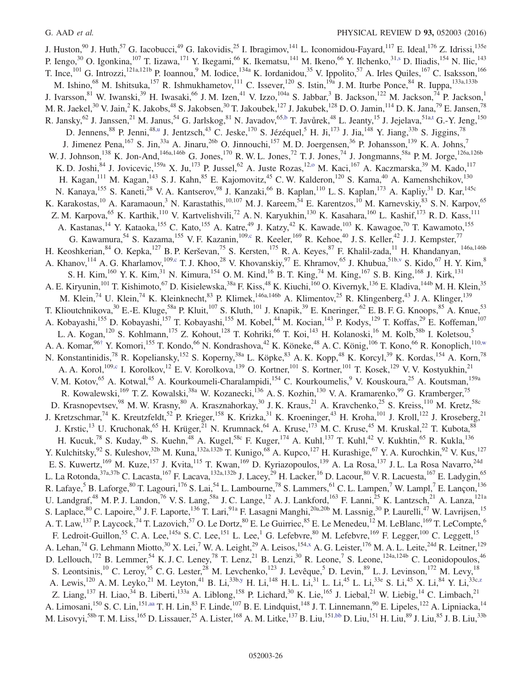<span id="page-26-1"></span><span id="page-26-0"></span>J. Huston,<sup>90</sup> J. Huth,<sup>57</sup> G. Iacobucci,<sup>49</sup> G. Iakovidis,<sup>25</sup> I. Ibragimov,<sup>141</sup> L. Iconomidou-Fayard,<sup>117</sup> E. Ideal,<sup>176</sup> Z. Idrissi,<sup>135e</sup> P. Iengo,<sup>30</sup> O. Igonkina,<sup>107</sup> T. Iizawa,<sup>171</sup> Y. Ikegami,<sup>66</sup> K. Ikematsu,<sup>141</sup> M. Ikeno,<sup>66</sup> Y. Ilchenko,<sup>31[,s](#page-34-19)</sup> D. Iliadis,<sup>154</sup> N. Ilic,<sup>143</sup> T. Ince,<sup>101</sup> G. Introzzi,<sup>121a,121b</sup> P. Ioannou,<sup>9</sup> M. Iodice,<sup>134a</sup> K. Iordanidou,<sup>35</sup> V. Ippolito,<sup>57</sup> A. Irles Quiles,<sup>167</sup> C. Isaksson,<sup>166</sup> M. Ishino,<sup>68</sup> M. Ishitsuka,<sup>157</sup> R. Ishmukhametov,<sup>111</sup> C. Issever,<sup>120</sup> S. Istin,<sup>19a</sup> J. M. Iturbe Ponce,<sup>84</sup> R. Iuppa,<sup>133a,133b</sup> J. Ivarsson,  $81$  W. Iwanski,  $39$  H. Iwasaki,  $66$  J. M. Izen,  $41$  V. Izzo,  $104a$  S. Jabbar,  $3$  B. Jackson,  $122$  M. Jackson,  $74$  P. Jackson,  $1$ M. R. Jaekel,<sup>30</sup> V. Jain,<sup>2</sup> K. Jakobs,<sup>48</sup> S. Jakobsen,<sup>30</sup> T. Jakoubek,<sup>127</sup> J. Jakubek,<sup>128</sup> D. O. Jamin,<sup>114</sup> D. K. Jana,<sup>79</sup> E. Jansen,<sup>78</sup> R. Jansky,  $^{62}$  J. Janssen,  $^{21}$  M. Janus,  $^{54}$  G. Jarlskog,  $^{81}$  N. Javadov,  $^{65,b}$  $^{65,b}$  $^{65,b}$  T. Javůrek,  $^{48}$  L. Jeanty,  $^{15}$  J. Jejelava,  $^{51a,t}$  $^{51a,t}$  $^{51a,t}$  G.-Y. Jeng,  $^{150}$ D. Jennens,<sup>88</sup> P. Jenni,<sup>48[,u](#page-34-21)</sup> J. Jentzsch,<sup>43</sup> C. Jeske,<sup>170</sup> S. Jézéquel,<sup>5</sup> H. Ji,<sup>173</sup> J. Jia,<sup>148</sup> Y. Jiang,<sup>33b</sup> S. Jiggins,<sup>78</sup> J. Jimenez Pena,  $^{167}$  S. Jin,  $^{33a}$  A. Jinaru,  $^{26b}$  O. Jinnouchi,  $^{157}$  M. D. Joergensen,  $^{36}$  P. Johansson,  $^{139}$  K. A. Johns, W. J. Johnson,<sup>138</sup> K. Jon-And,<sup>146a,146b</sup> G. Jones,<sup>170</sup> R. W. L. Jones,<sup>72</sup> T. J. Jones,<sup>74</sup> J. Jongmanns,<sup>58a</sup> P. M. Jorge,<sup>126a,126b</sup> K. D. Joshi,  $84$  J. Jovicevic,  $159a$  X. Ju,  $173$  P. Jussel,  $62$  A. Juste Rozas,  $12,0$  M. Kaci,  $167$  A. Kaczmarska,  $39$  M. Kado,  $117$ H. Kagan,<sup>111</sup> M. Kagan,<sup>143</sup> S. J. Kahn,<sup>85</sup> E. Kajomovitz,<sup>45</sup> C. W. Kalderon,<sup>120</sup> S. Kama,<sup>40</sup> A. Kamenshchikov,<sup>130</sup> N. Kanaya, <sup>155</sup> S. Kaneti, <sup>28</sup> V. A. Kantserov, <sup>98</sup> J. Kanzaki, <sup>66</sup> B. Kaplan, <sup>110</sup> L. S. Kaplan, <sup>173</sup> A. Kapliy, <sup>31</sup> D. Kar, <sup>145c</sup> K. Karakostas,<sup>10</sup> A. Karamaoun,<sup>3</sup> N. Karastathis,<sup>10,107</sup> M. J. Kareem,<sup>54</sup> E. Karentzos,<sup>10</sup> M. Karnevskiy,<sup>83</sup> S. N. Karpov,<sup>65</sup> Z. M. Karpova,<sup>65</sup> K. Karthik,<sup>110</sup> V. Kartvelishvili,<sup>72</sup> A. N. Karyukhin,<sup>130</sup> K. Kasahara,<sup>160</sup> L. Kashif,<sup>173</sup> R. D. Kass,<sup>111</sup> A. Kastanas,<sup>14</sup> Y. Kataoka,<sup>155</sup> C. Kato,<sup>155</sup> A. Katre,<sup>49</sup> J. Katzy,<sup>42</sup> K. Kawade,<sup>103</sup> K. Kawagoe,<sup>70</sup> T. Kawamoto,<sup>155</sup> G. Kawamura,<sup>54</sup> S. Kazama,<sup>155</sup> V. F. Kazanin,<sup>10[9,c](#page-34-2)</sup> R. Keeler,<sup>169</sup> R. Kehoe,<sup>40</sup> J. S. Keller,<sup>42</sup> J. J. Kempster,<sup>7</sup> H. Keoshkerian, <sup>84</sup> O. Kepka, <sup>127</sup> B. P. Kerševan, <sup>75</sup> S. Kersten, <sup>175</sup> R. A. Keyes, <sup>87</sup> F. Khalil-zada, <sup>11</sup> H. Khandanyan, <sup>146a, 146b</sup> A. Khanov,<sup>114</sup> A. G. Kharlamov,<sup>109[,c](#page-34-2)</sup> T. J. Khoo,<sup>28</sup> V. Khovanskiy,<sup>97</sup> E. Khramov,<sup>65</sup> J. Khubua,<sup>51[b,v](#page-34-22)</sup> S. Kido,<sup>67</sup> H. Y. Kim,<sup>8</sup> S. H. Kim,<sup>160</sup> Y. K. Kim,<sup>31</sup> N. Kimura,<sup>154</sup> O. M. Kind,<sup>16</sup> B. T. King,<sup>74</sup> M. King,<sup>167</sup> S. B. King,<sup>168</sup> J. Kirk,<sup>131</sup> A. E. Kiryunin, <sup>101</sup> T. Kishimoto, <sup>67</sup> D. Kisielewska, <sup>38a</sup> F. Kiss, <sup>48</sup> K. Kiuchi, <sup>160</sup> O. Kivernyk, <sup>136</sup> E. Kladiva, <sup>144b</sup> M. H. Klein, <sup>35</sup> M. Klein,<sup>74</sup> U. Klein,<sup>74</sup> K. Kleinknecht,<sup>83</sup> P. Klimek,<sup>146a,146b</sup> A. Klimentov,<sup>25</sup> R. Klingenberg,<sup>43</sup> J. A. Klinger,<sup>139</sup> T. Klioutchnikova,  $30$  E.-E. Kluge,  $58a$  P. Kluit,  $107$  S. Kluth,  $101$  J. Knapik,  $39$  E. Kneringer,  $62$  E. B. F. G. Knoops,  $85$  A. Knue,  $53$ A. Kobayashi,<sup>155</sup> D. Kobayashi,<sup>157</sup> T. Kobayashi,<sup>155</sup> M. Kobel,<sup>44</sup> M. Kocian,<sup>143</sup> P. Kodys,<sup>129</sup> T. Koffas,<sup>29</sup> E. Koffeman,<sup>107</sup> L. A. Kogan,<sup>120</sup> S. Kohlmann,<sup>175</sup> Z. Kohout,<sup>128</sup> T. Kohriki,<sup>66</sup> T. Koi,<sup>143</sup> H. Kolanoski,<sup>16</sup> M. Kolb,<sup>58b</sup> I. Koletsou,<sup>5</sup> A. A. Komar, <sup>96[†](#page-34-6)</sup> Y. Komori,<sup>155</sup> T. Kondo, <sup>66</sup> N. Kondrashova, <sup>42</sup> K. Köneke, <sup>48</sup> A. C. König, <sup>106</sup> T. Kono, <sup>66</sup> R. Konoplich,<sup>11[0,w](#page-34-23)</sup> N. Konstantinidis,<sup>78</sup> R. Kopeliansky,<sup>152</sup> S. Koperny,<sup>38a</sup> L. Köpke,<sup>83</sup> A. K. Kopp,<sup>48</sup> K. Korcyl,<sup>39</sup> K. Kordas,<sup>154</sup> A. Korn,<sup>78</sup> A. A. Korol,<sup>109[,c](#page-34-2)</sup> I. Korolkov,<sup>12</sup> E. V. Korolkova,<sup>139</sup> O. Kortner,<sup>101</sup> S. Kortner,<sup>101</sup> T. Kosek,<sup>129</sup> V. V. Kostyukhin,<sup>21</sup> V. M. Kotov,<sup>65</sup> A. Kotwal,<sup>45</sup> A. Kourkoumeli-Charalampidi,<sup>154</sup> C. Kourkoumelis,<sup>9</sup> V. Kouskoura,<sup>25</sup> A. Koutsman,<sup>159a</sup> R. Kowalewski,<sup>169</sup> T. Z. Kowalski,<sup>38a</sup> W. Kozanecki,<sup>136</sup> A. S. Kozhin,<sup>130</sup> V. A. Kramarenko,<sup>99</sup> G. Kramberger,<sup>75</sup> D. Krasnopevtsev,<sup>98</sup> M. W. Krasny,<sup>80</sup> A. Krasznahorkay,<sup>30</sup> J. K. Kraus,<sup>21</sup> A. Kravchenko,<sup>25</sup> S. Kreiss,<sup>110</sup> M. Kretz,<sup>58c</sup> J. Kretzschmar,<sup>74</sup> K. Kreutzfeldt,<sup>52</sup> P. Krieger,<sup>158</sup> K. Krizka,<sup>31</sup> K. Kroeninger,<sup>43</sup> H. Kroha,<sup>101</sup> J. Kroll,<sup>122</sup> J. Kroseberg,<sup>21</sup> J. Krstic,<sup>13</sup> U. Kruchonak,<sup>65</sup> H. Krüger,<sup>21</sup> N. Krumnack,<sup>64</sup> A. Kruse,<sup>173</sup> M. C. Kruse,<sup>45</sup> M. Kruskal,<sup>22</sup> T. Kubota,<sup>88</sup> H. Kucuk,<sup>78</sup> S. Kuday,<sup>4b</sup> S. Kuehn,<sup>48</sup> A. Kugel,<sup>58c</sup> F. Kuger,<sup>174</sup> A. Kuhl,<sup>137</sup> T. Kuhl,<sup>42</sup> V. Kukhtin,<sup>65</sup> R. Kukla,<sup>136</sup> Y. Kulchitsky,  $92$  S. Kuleshov,  $32$ b M. Kuna,  $132a,132b$  T. Kunigo,  $68$  A. Kupco,  $127$  H. Kurashige,  $67$  Y. A. Kurochkin,  $92$  V. Kus,  $127$ E. S. Kuwertz,<sup>169</sup> M. Kuze,<sup>157</sup> J. Kvita,<sup>115</sup> T. Kwan,<sup>169</sup> D. Kyriazopoulos,<sup>139</sup> A. La Rosa,<sup>137</sup> J. L. La Rosa Navarro,<sup>24d</sup> L. La Rotonda,<sup>37a,37b</sup> C. Lacasta,<sup>167</sup> F. Lacava,<sup>132a,132b</sup> J. Lacey,<sup>29</sup> H. Lacker,<sup>16</sup> D. Lacour,<sup>80</sup> V. R. Lacuesta,<sup>167</sup> E. Ladygin,<sup>65</sup> R. Lafaye,<sup>5</sup> B. Laforge,<sup>80</sup> T. Lagouri,<sup>176</sup> S. Lai,<sup>54</sup> L. Lambourne,<sup>78</sup> S. Lammers,<sup>61</sup> C. L. Lampen,<sup>7</sup> W. Lampl,<sup>7</sup> E. Lançon,<sup>136</sup> U. Landgraf,<sup>48</sup> M. P. J. Landon,<sup>76</sup> V. S. Lang,<sup>58a</sup> J. C. Lange,<sup>12</sup> A. J. Lankford,<sup>163</sup> F. Lanni,<sup>25</sup> K. Lantzsch,<sup>21</sup> A. Lanza,<sup>121a</sup> S. Laplace, <sup>80</sup> C. Lapoire, <sup>30</sup> J. F. Laporte, <sup>136</sup> T. Lari, <sup>91a</sup> F. Lasagni Manghi, <sup>20a, 20b</sup> M. Lassnig, <sup>30</sup> P. Laurelli, <sup>47</sup> W. Lavrijsen, <sup>15</sup> A. T. Law,<sup>137</sup> P. Laycock,<sup>74</sup> T. Lazovich,<sup>57</sup> O. Le Dortz,<sup>80</sup> E. Le Guirriec,<sup>85</sup> E. Le Menedeu,<sup>12</sup> M. LeBlanc,<sup>169</sup> T. LeCompte,<sup>6</sup> F. Ledroit-Guillon,<sup>55</sup> C. A. Lee,<sup>145a</sup> S. C. Lee,<sup>151</sup> L. Lee,<sup>1</sup> G. Lefebvre,<sup>80</sup> M. Lefebvre,<sup>169</sup> F. Legger,<sup>100</sup> C. Leggett,<sup>15</sup> A. Lehan,<sup>74</sup> G. Lehmann Miotto,<sup>30</sup> X. Lei,<sup>7</sup> W. A. Leight,<sup>29</sup> A. Leisos,<sup>154[,x](#page-34-24)</sup> A. G. Leister,<sup>176</sup> M. A. L. Leite,<sup>24d</sup> R. Leitner,<sup>129</sup> D. Lellouch,<sup>172</sup> B. Lemmer,<sup>54</sup> K. J. C. Leney,<sup>78</sup> T. Lenz,<sup>21</sup> B. Lenzi,<sup>30</sup> R. Leone,<sup>7</sup> S. Leone,<sup>124a,124b</sup> C. Leonidopoulos,<sup>46</sup> S. Leontsinis,<sup>10</sup> C. Leroy,<sup>95</sup> C. G. Lester,<sup>28</sup> M. Levchenko,<sup>123</sup> J. Levêque,<sup>5</sup> D. Levin,<sup>89</sup> L. J. Levinson,<sup>172</sup> M. Levy,<sup>18</sup> A. Lewis,<sup>120</sup> A. M. Leyko,<sup>21</sup> M. Leyton,<sup>41</sup> B. Li,<sup>33b[,y](#page-34-25)</sup> H. Li,<sup>148</sup> H. L. Li,<sup>31</sup> L. Li,<sup>45</sup> L. Li,<sup>33e</sup> S. Li,<sup>45</sup> X. Li,<sup>84</sup> Y. Li,<sup>33[c,z](#page-34-26)</sup> Z. Liang,<sup>137</sup> H. Liao,<sup>34</sup> B. Liberti,<sup>133a</sup> A. Liblong,<sup>158</sup> P. Lichard,<sup>30</sup> K. Lie,<sup>165</sup> J. Liebal,<sup>21</sup> W. Liebig,<sup>14</sup> C. Limbach,<sup>21</sup> A. Limosani,<sup>150</sup> S. C. Lin,<sup>151[,aa](#page-34-27)</sup> T. H. Lin,<sup>83</sup> F. Linde,<sup>107</sup> B. E. Lindquist,<sup>148</sup> J. T. Linnemann,<sup>90</sup> E. Lipeles,<sup>122</sup> A. Lipniacka,<sup>14</sup> M. Lisovyi,<sup>58b</sup> T. M. Liss,<sup>165</sup> D. Lissauer,<sup>25</sup> A. Lister,<sup>168</sup> A. M. Litke,<sup>137</sup> B. Liu,<sup>151</sup>, D. Liu,<sup>151</sup> H. Liu,<sup>89</sup> J. Liu,<sup>85</sup> J. B. Liu,<sup>33b</sup>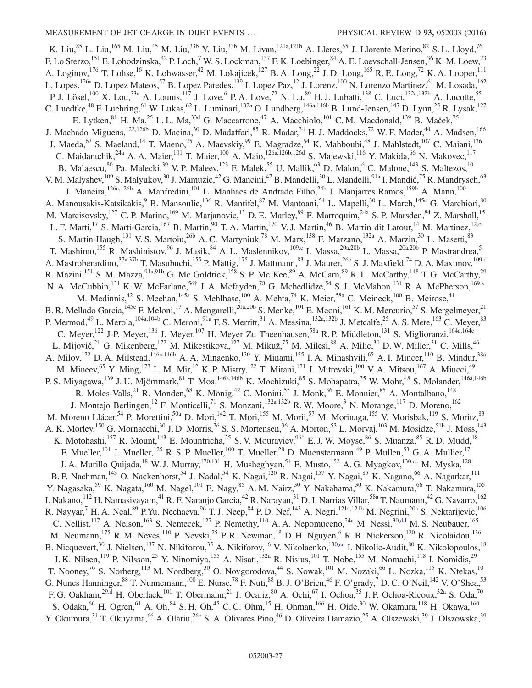<span id="page-27-1"></span><span id="page-27-0"></span>K. Liu,<sup>85</sup> L. Liu,<sup>165</sup> M. Liu,<sup>45</sup> M. Liu,<sup>33b</sup> Y. Liu,<sup>33b</sup> M. Livan,<sup>121a,121b</sup> A. Lleres,<sup>55</sup> J. Llorente Merino,<sup>82</sup> S. L. Lloyd,<sup>76</sup> F. Lo Sterzo,<sup>151</sup> E. Lobodzinska,<sup>42</sup> P. Loch,<sup>7</sup> W. S. Lockman,<sup>137</sup> F. K. Loebinger,<sup>84</sup> A. E. Loevschall-Jensen,<sup>36</sup> K. M. Loew,<sup>23</sup> A. Loginov,<sup>176</sup> T. Lohse,<sup>16</sup> K. Lohwasser,<sup>42</sup> M. Lokajicek,<sup>127</sup> B. A. Long,<sup>22</sup> J. D. Long,<sup>165</sup> R. E. Long,<sup>72</sup> K. A. Looper,<sup>111</sup> L. Lopes,<sup>126a</sup> D. Lopez Mateos,<sup>57</sup> B. Lopez Paredes,<sup>139</sup> I. Lopez Paz,<sup>12</sup> J. Lorenz,<sup>100</sup> N. Lorenzo Martinez,<sup>61</sup> M. Losada,<sup>162</sup> P. J. Lösel,<sup>100</sup> X. Lou,<sup>33a</sup> A. Lounis,<sup>117</sup> J. Love,<sup>6</sup> P. A. Love,<sup>72</sup> N. Lu,<sup>89</sup> H. J. Lubatti,<sup>138</sup> C. Luci,<sup>132a,132b</sup> A. Lucotte,<sup>55</sup> C. Luedtke,<sup>48</sup> F. Luehring,<sup>61</sup> W. Lukas,<sup>62</sup> L. Luminari,<sup>132a</sup> O. Lundberg,<sup>146a,146b</sup> B. Lund-Jensen,<sup>147</sup> D. Lynn,<sup>25</sup> R. Lysak,<sup>127</sup> E. Lytken,  $81$  H. Ma,  $25$  L. L. Ma,  $33d$  G. Maccarrone,  $47$  A. Macchiolo,  $101$  C. M. Macdonald,  $139$  B. Maček,  $75$ J. Machado Miguens,<sup>122,126b</sup> D. Macina,<sup>30</sup> D. Madaffari,<sup>85</sup> R. Madar,<sup>34</sup> H. J. Maddocks,<sup>72</sup> W. F. Mader,<sup>44</sup> A. Madsen,<sup>166</sup> J. Maeda,<sup>67</sup> S. Maeland,<sup>14</sup> T. Maeno,<sup>25</sup> A. Maevskiy,<sup>99</sup> E. Magradze,<sup>54</sup> K. Mahboubi,<sup>48</sup> J. Mahlstedt,<sup>107</sup> C. Maiani,<sup>136</sup> C. Maidantchik,<sup>24a</sup> A. A. Maier,<sup>101</sup> T. Maier,<sup>100</sup> A. Maio,<sup>126a,126b,126d</sup> S. Majewski,<sup>116</sup> Y. Makida,<sup>66</sup> N. Makovec,<sup>117</sup> B. Malaescu,  $80$  Pa. Malecki,  $39$  V. P. Maleev,  $123$  F. Malek,  $55$  U. Mallik,  $63$  D. Malon,  $6$  C. Malone,  $143$  S. Maltezos,  $10$ V. M. Malyshev, <sup>109</sup> S. Malyukov, <sup>30</sup> J. Mamuzic, <sup>42</sup> G. Mancini, <sup>47</sup> B. Mandelli, <sup>30</sup> L. Mandelli, <sup>91</sup>a I. Mandić, <sup>75</sup> R. Mandrysch, <sup>63</sup> J. Maneira,<sup>126a,126b</sup> A. Manfredini,<sup>101</sup> L. Manhaes de Andrade Filho,<sup>24b</sup> J. Manjarres Ramos,<sup>159b</sup> A. Mann,<sup>100</sup> A. Manousakis-Katsikakis,<sup>9</sup> B. Mansoulie,<sup>136</sup> R. Mantifel,<sup>87</sup> M. Mantoani,<sup>54</sup> L. Mapelli,<sup>30</sup> L. March,<sup>145c</sup> G. Marchiori,<sup>80</sup> M. Marcisovsky,<sup>127</sup> C. P. Marino,<sup>169</sup> M. Marjanovic,<sup>13</sup> D. E. Marley,<sup>89</sup> F. Marroquim,<sup>24a</sup> S. P. Marsden,<sup>84</sup> Z. Marshall,<sup>15</sup> L. F. Marti,<sup>17</sup> S. Marti-Garcia,<sup>167</sup> B. Martin,<sup>90</sup> T. A. Martin,<sup>170</sup> V. J. Martin,<sup>46</sup> B. Martin dit Latour,<sup>14</sup> M. Martinez,<sup>12,0</sup> S. Martin-Haugh,<sup>131</sup> V. S. Martoiu,<sup>26b</sup> A. C. Martyniuk,<sup>78</sup> M. Marx,<sup>138</sup> F. Marzano,<sup>132a</sup> A. Marzin,<sup>30</sup> L. Masetti,<sup>83</sup> T. Mashimo,<sup>155</sup> R. Mashinistov,<sup>96</sup> J. Masik,<sup>84</sup> A. L. Maslennikov,<sup>10[9,c](#page-34-2)</sup> I. Massa,<sup>20a,20b</sup> L. Massa,<sup>20a,20b</sup> P. Mastrandrea,<sup>5</sup> A. Mastroberardino,<sup>37a,37b</sup> T. Masubuchi,<sup>155</sup> P. Mättig,<sup>175</sup> J. Mattmann,<sup>83</sup> J. Maurer,<sup>26b</sup> S. J. Maxfield,<sup>74</sup> D. A. Maximov,<sup>10[9,c](#page-34-2)</sup> R. Mazini,<sup>151</sup> S. M. Mazza,<sup>91a,91b</sup> G. Mc Goldrick,<sup>158</sup> S. P. Mc Kee,<sup>89</sup> A. McCarn,<sup>89</sup> R. L. McCarthy,<sup>148</sup> T. G. McCarthy,<sup>29</sup> N. A. McCubbin, <sup>131</sup> K. W. McFarlane, <sup>56[†](#page-34-6)</sup> J. A. Mcfayden, <sup>78</sup> G. Mchedlidze, <sup>54</sup> S. J. McMahon, <sup>131</sup> R. A. McPherson, <sup>169[,k](#page-34-11)</sup> M. Medinnis,<sup>42</sup> S. Meehan,<sup>145a</sup> S. Mehlhase,<sup>100</sup> A. Mehta,<sup>74</sup> K. Meier,<sup>58a</sup> C. Meineck,<sup>100</sup> B. Meirose,<sup>41</sup> B. R. Mellado Garcia,<sup>145c</sup> F. Meloni,<sup>17</sup> A. Mengarelli,<sup>20a,20b</sup> S. Menke,<sup>101</sup> E. Meoni,<sup>161</sup> K. M. Mercurio,<sup>57</sup> S. Mergelmeyer,<sup>21</sup> P. Mermod,<sup>49</sup> L. Merola,<sup>104a,104b</sup> C. Meroni,<sup>91a</sup> F. S. Merritt,<sup>31</sup> A. Messina,<sup>132a,132b</sup> J. Metcalfe,<sup>25</sup> A. S. Mete,<sup>163</sup> C. Meyer,<sup>83</sup> C. Meyer,<sup>122</sup> J-P. Meyer,<sup>136</sup> J. Meyer,<sup>107</sup> H. Meyer Zu Theenhausen,<sup>58a</sup> R. P. Middleton,<sup>131</sup> S. Miglioranzi,<sup>164a,164c</sup> L. Mijović,<sup>21</sup> G. Mikenberg,<sup>172</sup> M. Mikestikova,<sup>127</sup> M. Mikuž,<sup>75</sup> M. Milesi,<sup>88</sup> A. Milic,<sup>30</sup> D. W. Miller,<sup>31</sup> C. Mills,<sup>46</sup> A. Milov,<sup>172</sup> D. A. Milstead,<sup>146a,146b</sup> A. A. Minaenko,<sup>130</sup> Y. Minami,<sup>155</sup> I. A. Minashvili,<sup>65</sup> A. I. Mincer,<sup>110</sup> B. Mindur,<sup>38a</sup> M. Mineev, <sup>65</sup> Y. Ming, <sup>173</sup> L. M. Mir, <sup>12</sup> K. P. Mistry, <sup>122</sup> T. Mitani, <sup>171</sup> J. Mitrevski, <sup>100</sup> V. A. Mitsou, <sup>167</sup> A. Miucci, <sup>49</sup> P. S. Miyagawa,<sup>139</sup> J. U. Mjörnmark,<sup>81</sup> T. Moa,<sup>146a,146b</sup> K. Mochizuki,<sup>85</sup> S. Mohapatra,<sup>35</sup> W. Mohr,<sup>48</sup> S. Molander,<sup>146a,146b</sup> R. Moles-Valls, <sup>21</sup> R. Monden, <sup>68</sup> K. Mönig, <sup>42</sup> C. Monini, <sup>55</sup> J. Monk, <sup>36</sup> E. Monnier, <sup>85</sup> A. Montalbano, <sup>148</sup> J. Montejo Berlingen,<sup>12</sup> F. Monticelli,<sup>71</sup> S. Monzani,<sup>132a,132b</sup> R. W. Moore,<sup>3</sup> N. Morange,<sup>117</sup> D. Moreno,<sup>162</sup> M. Moreno Llácer,<sup>54</sup> P. Morettini,<sup>50a</sup> D. Mori,<sup>142</sup> T. Mori,<sup>155</sup> M. Morii,<sup>57</sup> M. Morinaga,<sup>155</sup> V. Morisbak,<sup>119</sup> S. Moritz,<sup>83</sup> A. K. Morley, <sup>150</sup> G. Mornacchi,<sup>30</sup> J. D. Morris,<sup>76</sup> S. S. Mortensen,<sup>36</sup> A. Morton,<sup>53</sup> L. Morvaj,<sup>103</sup> M. Mosidze,<sup>51b</sup> J. Moss,<sup>143</sup> K. Motohashi, <sup>157</sup> R. Mount, <sup>143</sup> E. Mountricha, <sup>25</sup> S. V. Mouraviev, <sup>96[†](#page-34-6)</sup> E. J. W. Moyse, <sup>86</sup> S. Muanza, <sup>85</sup> R. D. Mudd, <sup>18</sup> F. Mueller,<sup>101</sup> J. Mueller,<sup>125</sup> R. S. P. Mueller,<sup>100</sup> T. Mueller,<sup>28</sup> D. Muenstermann,<sup>49</sup> P. Mullen,<sup>53</sup> G. A. Mullier,<sup>17</sup> J. A. Murillo Quijada,<sup>18</sup> W. J. Murray,<sup>170,131</sup> H. Musheghyan,<sup>54</sup> E. Musto,<sup>152</sup> A. G. Myagkov,<sup>13[0,cc](#page-34-29)</sup> M. Myska,<sup>128</sup> B. P. Nachman,<sup>143</sup> O. Nackenhorst,<sup>54</sup> J. Nadal,<sup>54</sup> K. Nagai,<sup>120</sup> R. Nagai,<sup>157</sup> Y. Nagai,<sup>85</sup> K. Nagano,<sup>66</sup> A. Nagarkar,<sup>111</sup> Y. Nagasaka,<sup>59</sup> K. Nagata,<sup>160</sup> M. Nagel,<sup>101</sup> E. Nagy,<sup>85</sup> A. M. Nairz,<sup>30</sup> Y. Nakahama,<sup>30</sup> K. Nakamura,<sup>66</sup> T. Nakamura,<sup>155</sup> I. Nakano,<sup>112</sup> H. Namasivayam,<sup>41</sup> R. F. Naranjo Garcia,<sup>42</sup> R. Narayan,<sup>31</sup> D. I. Narrias Villar,<sup>58a</sup> T. Naumann,<sup>42</sup> G. Navarro,<sup>162</sup> R. Nayyar,<sup>7</sup> H. A. Neal,<sup>89</sup> P.Yu. Nechaeva,<sup>96</sup> T. J. Neep,<sup>84</sup> P. D. Nef,<sup>143</sup> A. Negri,<sup>121a,121b</sup> M. Negrini,<sup>20a</sup> S. Nektarijevic,<sup>106</sup> C. Nellist,<sup>117</sup> A. Nelson,<sup>163</sup> S. Nemecek,<sup>127</sup> P. Nemethy,<sup>110</sup> A. A. Nepomuceno,<sup>24a</sup> M. Nessi,<sup>3[0,dd](#page-34-30)</sup> M. S. Neubauer,<sup>165</sup> M. Neumann,<sup>175</sup> R. M. Neves,<sup>110</sup> P. Nevski,<sup>25</sup> P. R. Newman,<sup>18</sup> D. H. Nguyen,<sup>6</sup> R. B. Nickerson,<sup>120</sup> R. Nicolaidou,<sup>136</sup> B. Nicquevert,  $30$  J. Nielsen,  $137$  N. Nikiforou,  $35$  A. Nikiforov,  $16$  V. Nikolaenko,  $130,cc$  $130,cc$  I. Nikolic-Audit,  $80$  K. Nikolopoulos,  $18$ J. K. Nilsen,<sup>119</sup> P. Nilsson,<sup>25</sup> Y. Ninomiya,<sup>155</sup> A. Nisati,<sup>132a</sup> R. Nisius,<sup>101</sup> T. Nobe,<sup>155</sup> M. Nomachi,<sup>118</sup> I. Nomidis,<sup>29</sup> T. Nooney,<sup>76</sup> S. Norberg,<sup>113</sup> M. Nordberg,<sup>30</sup> O. Novgorodova,<sup>44</sup> S. Nowak,<sup>101</sup> M. Nozaki,<sup>66</sup> L. Nozka,<sup>115</sup> K. Ntekas,<sup>10</sup> G. Nunes Hanninger,  $88$  T. Nunnemann,  $^{100}$  E. Nurse,  $^{78}$  F. Nuti,  $88$  B. J. O'Brien,  $^{46}$  F. O'grady,  $^{7}$  D. C. O'Neil,  $^{142}$  V. O'Shea,  $^{53}$ F. G. Oakham,  $^{29, d}$  H. Oberlack,  $^{101}$  T. Obermann,  $^{21}$  J. Ocariz,  $^{80}$  A. Ochi,  $^{67}$  I. Ochoa,  $^{35}$  J. P. Ochoa-Ricoux,  $^{32a}$  S. Oda,  $^{70}$ S. Odaka, <sup>66</sup> H. Ogren, <sup>61</sup> A. Oh, <sup>84</sup> S. H. Oh, <sup>45</sup> C. C. Ohm, <sup>15</sup> H. Ohman, <sup>166</sup> H. Oide, <sup>30</sup> W. Okamura, <sup>118</sup> H. Okawa, <sup>160</sup> Y. Okumura,<sup>31</sup> T. Okuyama,<sup>66</sup> A. Olariu,<sup>26b</sup> S. A. Olivares Pino,<sup>46</sup> D. Oliveira Damazio,<sup>25</sup> A. Olszewski,<sup>39</sup> J. Olszowska,<sup>39</sup>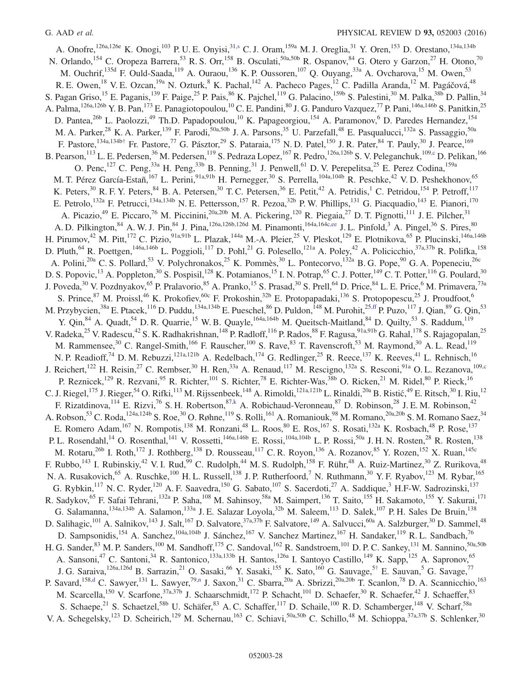<span id="page-28-3"></span><span id="page-28-2"></span><span id="page-28-1"></span><span id="page-28-0"></span>A. Onofre,<sup>126a,126e</sup> K. Onogi,<sup>103</sup> P. U. E. Onyisi,<sup>31[,s](#page-34-19)</sup> C. J. Oram,<sup>159a</sup> M. J. Oreglia,<sup>31</sup> Y. Oren,<sup>153</sup> D. Orestano,<sup>134a,134b</sup> N. Orlando,<sup>154</sup> C. Oropeza Barrera,<sup>53</sup> R. S. Orr,<sup>158</sup> B. Osculati,<sup>50a,50b</sup> R. Ospanov,<sup>84</sup> G. Otero y Garzon,<sup>27</sup> H. Otono,<sup>70</sup> M. Ouchrif,<sup>135d</sup> F. Ould-Saada,<sup>119</sup> A. Ouraou,<sup>136</sup> K. P. Oussoren,<sup>107</sup> Q. Ouyang,<sup>33a</sup> A. Ovcharova,<sup>15</sup> M. Owen,<sup>53</sup> R. E. Owen,<sup>18</sup> V. E. Ozcan,<sup>19a</sup> N. Ozturk,<sup>8</sup> K. Pachal,<sup>142</sup> A. Pacheco Pages,<sup>12</sup> C. Padilla Aranda,<sup>12</sup> M. Pagáčová,<sup>48</sup> S. Pagan Griso,<sup>15</sup> E. Paganis,<sup>139</sup> F. Paige,<sup>25</sup> P. Pais,<sup>86</sup> K. Pajchel,<sup>119</sup> G. Palacino,<sup>159b</sup> S. Palestini,<sup>30</sup> M. Palka,<sup>38b</sup> D. Pallin,<sup>34</sup> A. Palma,  $^{126a,126b}$  Y. B. Pan,  $^{173}$  E. Panagiotopoulou,<sup>10</sup> C. E. Pandini,<sup>80</sup> J. G. Panduro Vazquez,<sup>77</sup> P. Pani, $^{146a,146b}$  S. Panitkin,<sup>25</sup> D. Pantea,<sup>26b</sup> L. Paolozzi,<sup>49</sup> Th.D. Papadopoulou,<sup>10</sup> K. Papageorgiou,<sup>154</sup> A. Paramonov,<sup>6</sup> D. Paredes Hernandez,<sup>154</sup> M. A. Parker,<sup>28</sup> K. A. Parker,<sup>139</sup> F. Parodi,<sup>50a,50b</sup> J. A. Parsons,<sup>35</sup> U. Parzefall,<sup>48</sup> E. Pasqualucci,<sup>132a</sup> S. Passaggio,<sup>50a</sup> F. Pastore,  $^{134a,134b\dagger}$  Fr. Pastore,  $^{77}$  G. Pásztor,  $^{29}$  S. Pataraia,  $^{175}$  N. D. Patel,  $^{150}$  J. R. Pater,  $^{84}$  T. Pauly,  $^{30}$  J. Pearce,  $^{169}$ B. Pearson,<sup>113</sup> L. E. Pedersen,<sup>36</sup> M. Pedersen,<sup>119</sup> S. Pedraza Lopez,<sup>167</sup> R. Pedro,<sup>126a,126b</sup> S. V. Peleganchuk,<sup>10[9,c](#page-34-2)</sup> D. Pelikan,<sup>166</sup> O. Penc,<sup>127</sup> C. Peng,<sup>33a</sup> H. Peng,<sup>33b</sup> B. Penning,<sup>31</sup> J. Penwell,<sup>61</sup> D. V. Perepelitsa,<sup>25</sup> E. Perez Codina,<sup>159a</sup> M. T. Pérez García-Estañ, <sup>167</sup> L. Perini, <sup>91a,91b</sup> H. Pernegger, <sup>30</sup> S. Perrella, <sup>104a, 104b</sup> R. Peschke, <sup>42</sup> V. D. Peshekhonov, <sup>65</sup> K. Peters,<sup>30</sup> R. F. Y. Peters,<sup>84</sup> B. A. Petersen,<sup>30</sup> T. C. Petersen,<sup>36</sup> E. Petit,<sup>42</sup> A. Petridis,<sup>1</sup> C. Petridou,<sup>154</sup> P. Petroff,<sup>117</sup> E. Petrolo,<sup>132a</sup> F. Petrucci,<sup>134a,134b</sup> N. E. Pettersson,<sup>157</sup> R. Pezoa,<sup>32b</sup> P. W. Phillips,<sup>131</sup> G. Piacquadio,<sup>143</sup> E. Pianori,<sup>170</sup> A. Picazio,<sup>49</sup> E. Piccaro,<sup>76</sup> M. Piccinini,<sup>20a,20b</sup> M. A. Pickering,<sup>120</sup> R. Piegaia,<sup>27</sup> D. T. Pignotti,<sup>111</sup> J. E. Pilcher,<sup>31</sup> A. D. Pilkington,  $84$  A. W. J. Pin,  $84$  J. Pina,  $126a,126b,126d$  M. Pinamonti,  $164a,164c,ee$  $164a,164c,ee$  J. L. Pinfold,  $3$  A. Pingel,  $36$  S. Pires,  $80$ H. Pirumov,<sup>42</sup> M. Pitt,<sup>172</sup> C. Pizio,<sup>91a,91b</sup> L. Plazak,<sup>144a</sup> M.-A. Pleier,<sup>25</sup> V. Pleskot,<sup>129</sup> E. Plotnikova,<sup>65</sup> P. Plucinski,<sup>146a,146b</sup> D. Pluth, <sup>64</sup> R. Poettgen, <sup>146a,146b</sup> L. Poggioli, <sup>117</sup> D. Pohl, <sup>21</sup> G. Polesello, <sup>121a</sup> A. Poley, <sup>42</sup> A. Policicchio, <sup>37a,37b</sup> R. Polifka, <sup>158</sup> A. Polini,<sup>20a</sup> C. S. Pollard,<sup>53</sup> V. Polychronakos,<sup>25</sup> K. Pommès,<sup>30</sup> L. Pontecorvo,<sup>132a</sup> B. G. Pope,<sup>90</sup> G. A. Popeneciu,<sup>26c</sup> D. S. Popovic,<sup>13</sup> A. Poppleton,<sup>30</sup> S. Pospisil,<sup>128</sup> K. Potamianos,<sup>15</sup> I. N. Potrap,<sup>65</sup> C. J. Potter,<sup>149</sup> C. T. Potter,<sup>116</sup> G. Poulard,<sup>30</sup> J. Poveda,<sup>30</sup> V. Pozdnyakov,<sup>65</sup> P. Pralavorio,<sup>85</sup> A. Pranko,<sup>15</sup> S. Prasad,<sup>30</sup> S. Prell,<sup>64</sup> D. Price,<sup>84</sup> L. E. Price,<sup>6</sup> M. Primavera,<sup>73a</sup> S. Prince, <sup>87</sup> M. Proissl, <sup>46</sup> K. Prokofiev, <sup>60c</sup> F. Prokoshin, <sup>32b</sup> E. Protopapadaki, <sup>136</sup> S. Protopopescu, <sup>25</sup> J. Proudfoot, <sup>6</sup> M. Przybycien,<sup>38a</sup> E. Ptacek,<sup>116</sup> D. Puddu,<sup>134a,134b</sup> E. Pueschel,<sup>86</sup> D. Puldon,<sup>148</sup> M. Purohit,<sup>2[5,ff](#page-34-32)</sup> P. Puzo,<sup>117</sup> J. Qian,<sup>89</sup> G. Qin,<sup>53</sup> Y. Qin,<sup>84</sup> A. Quadt,<sup>54</sup> D. R. Quarrie,<sup>15</sup> W. B. Quayle,<sup>164a,164b</sup> M. Queitsch-Maitland,<sup>84</sup> D. Quilty,<sup>53</sup> S. Raddum,<sup>119</sup> V. Radeka,<sup>25</sup> V. Radescu,<sup>42</sup> S. K. Radhakrishnan,<sup>148</sup> P. Radloff,<sup>116</sup> P. Rados,<sup>88</sup> F. Ragusa,<sup>91a,91b</sup> G. Rahal,<sup>178</sup> S. Rajagopalan,<sup>25</sup> M. Rammensee,<sup>30</sup> C. Rangel-Smith,<sup>166</sup> F. Rauscher,<sup>100</sup> S. Rave,<sup>83</sup> T. Ravenscroft,<sup>53</sup> M. Raymond,<sup>30</sup> A. L. Read,<sup>119</sup> N. P. Readioff,<sup>74</sup> D. M. Rebuzzi,<sup>121a,121b</sup> A. Redelbach,<sup>174</sup> G. Redlinger,<sup>25</sup> R. Reece,<sup>137</sup> K. Reeves,<sup>41</sup> L. Rehnisch,<sup>16</sup> J. Reichert,<sup>122</sup> H. Reisin,<sup>27</sup> C. Rembser,<sup>30</sup> H. Ren,<sup>33a</sup> A. Renaud,<sup>117</sup> M. Rescigno,<sup>132a</sup> S. Resconi,<sup>91a</sup> O. L. Rezanova,<sup>10[9,c](#page-34-2)</sup> P. Reznicek,<sup>129</sup> R. Rezvani,<sup>95</sup> R. Richter,<sup>101</sup> S. Richter,<sup>78</sup> E. Richter-Was,<sup>38b</sup> O. Ricken,<sup>21</sup> M. Ridel,<sup>80</sup> P. Rieck,<sup>16</sup> C. J. Riegel,  $^{175}$  J. Rieger,  $^{54}$  O. Rifki,  $^{113}$  M. Rijssenbeek,  $^{148}$  A. Rimoldi,  $^{121a,121b}$  L. Rinaldi,  $^{20a}$  B. Ristić,  $^{49}$  E. Ritsch,  $^{30}$  I. Riu,  $^{12}$ F. Rizatdinova,  $^{114}$  E. Rizvi,  $^{76}$  S. H. Robertson,  $^{87,k}$  $^{87,k}$  $^{87,k}$  A. Robichaud-Veronneau,  $^{87}$  D. Robinson,  $^{28}$  J. E. M. Robinson,  $^{42}$ A. Robson,<sup>53</sup> C. Roda, <sup>124a,124b</sup> S. Roe, <sup>30</sup> O. Røhne, <sup>119</sup> S. Rolli, <sup>161</sup> A. Romaniouk, <sup>98</sup> M. Romano, <sup>20a,20b</sup> S. M. Romano Saez, <sup>34</sup> E. Romero Adam, <sup>167</sup> N. Rompotis, <sup>138</sup> M. Ronzani, <sup>48</sup> L. Roos, <sup>80</sup> E. Ros, <sup>167</sup> S. Rosati, <sup>132a</sup> K. Rosbach, <sup>48</sup> P. Rose, <sup>137</sup> P. L. Rosendahl,<sup>14</sup> O. Rosenthal,<sup>141</sup> V. Rossetti,<sup>146a,146b</sup> E. Rossi,<sup>104a,104b</sup> L. P. Rossi,<sup>50a</sup> J. H. N. Rosten,<sup>28</sup> R. Rosten,<sup>138</sup> M. Rotaru,<sup>26b</sup> I. Roth,<sup>172</sup> J. Rothberg,<sup>138</sup> D. Rousseau,<sup>117</sup> C. R. Royon,<sup>136</sup> A. Rozanov,<sup>85</sup> Y. Rozen,<sup>152</sup> X. Ruan,<sup>145c</sup> F. Rubbo,<sup>143</sup> I. Rubinskiy,<sup>42</sup> V. I. Rud,<sup>99</sup> C. Rudolph,<sup>44</sup> M. S. Rudolph,<sup>158</sup> F. Rühr,<sup>48</sup> A. Ruiz-Martinez,<sup>30</sup> Z. Rurikova,<sup>48</sup> N. A. Rusakovich,<sup>65</sup> A. Ruschke,<sup>100</sup> H. L. Russell,<sup>138</sup> J. P. Rutherfoord,<sup>7</sup> N. Ruthmann,<sup>30</sup> Y. F. Ryabov,<sup>123</sup> M. Rybar,<sup>165</sup> G. Rybkin,  $^{117}$  N. C. Ryder,  $^{120}$  A. F. Saavedra,  $^{150}$  G. Sabato,  $^{107}$  S. Sacerdoti,  $^{27}$  A. Saddique,  $^3$  H.F-W. Sadrozinski,  $^{137}$ R. Sadykov,<sup>65</sup> F. Safai Tehrani,<sup>132a</sup> P. Saha,<sup>108</sup> M. Sahinsoy,<sup>58a</sup> M. Saimpert,<sup>136</sup> T. Saito,<sup>155</sup> H. Sakamoto,<sup>155</sup> Y. Sakurai,<sup>171</sup> G. Salamanna, <sup>134a, 134b</sup> A. Salamon, <sup>133a</sup> J. E. Salazar Loyola, <sup>32b</sup> M. Saleem, <sup>113</sup> D. Salek, <sup>107</sup> P. H. Sales De Bruin, <sup>138</sup> D. Salihagic,<sup>101</sup> A. Salnikov,<sup>143</sup> J. Salt,<sup>167</sup> D. Salvatore,<sup>37a,37b</sup> F. Salvatore,<sup>149</sup> A. Salvucci,<sup>60a</sup> A. Salzburger,<sup>30</sup> D. Sammel,<sup>48</sup> D. Sampsonidis,<sup>154</sup> A. Sanchez,<sup>104a,104b</sup> J. Sánchez,<sup>167</sup> V. Sanchez Martinez,<sup>167</sup> H. Sandaker,<sup>119</sup> R. L. Sandbach,<sup>76</sup> H. G. Sander, <sup>83</sup> M. P. Sanders, <sup>100</sup> M. Sandhoff, <sup>175</sup> C. Sandoval, <sup>162</sup> R. Sandstroem, <sup>101</sup> D. P. C. Sankey, <sup>131</sup> M. Sannino, <sup>50a, 50b</sup> A. Sansoni,<sup>47</sup> C. Santoni,<sup>34</sup> R. Santonico,<sup>133a,133b</sup> H. Santos,<sup>126a</sup> I. Santoyo Castillo,<sup>149</sup> K. Sapp,<sup>125</sup> A. Sapronov,<sup>65</sup> J. G. Saraiva,  $^{126a,126d}$  B. Sarrazin,<sup>21</sup> O. Sasaki,<sup>66</sup> Y. Sasaki,<sup>155</sup> K. Sato,<sup>160</sup> G. Sauvage,<sup>5[†](#page-34-6)</sup> E. Sauvan,<sup>5</sup> G. Savage,<sup>77</sup> P. Savard,<sup>15[8,d](#page-34-3)</sup> C. Sawyer,<sup>131</sup> L. Sawyer,<sup>7[9,n](#page-34-14)</sup> J. Saxon,<sup>31</sup> C. Sbarra,<sup>20a</sup> A. Sbrizzi,<sup>20a,20b</sup> T. Scanlon,<sup>78</sup> D. A. Scannicchio,<sup>163</sup> M. Scarcella,<sup>150</sup> V. Scarfone,<sup>37a,37b</sup> J. Schaarschmidt,<sup>172</sup> P. Schacht,<sup>101</sup> D. Schaefer,<sup>30</sup> R. Schaeffer,<sup>42</sup> J. Schaeffer,<sup>83</sup> S. Schaepe,<sup>21</sup> S. Schaetzel,<sup>58b</sup> U. Schäfer,<sup>83</sup> A. C. Schaffer,<sup>117</sup> D. Schaile,<sup>100</sup> R. D. Schamberger,<sup>148</sup> V. Scharf,<sup>58a</sup> V. A. Schegelsky,<sup>123</sup> D. Scheirich,<sup>129</sup> M. Schernau,<sup>163</sup> C. Schiavi,<sup>50a,50b</sup> C. Schillo,<sup>48</sup> M. Schioppa,<sup>37a,37b</sup> S. Schlenker,<sup>30</sup>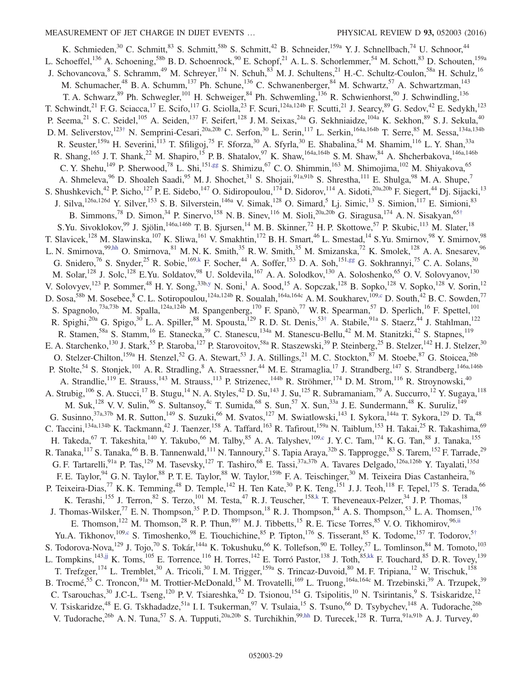<span id="page-29-0"></span>K. Schmieden,<sup>30</sup> C. Schmitt,<sup>83</sup> S. Schmitt,<sup>58b</sup> S. Schmitt,<sup>42</sup> B. Schneider,<sup>159a</sup> Y. J. Schnellbach,<sup>74</sup> U. Schnoor,<sup>44</sup> L. Schoeffel,<sup>136</sup> A. Schoening,<sup>58b</sup> B. D. Schoenrock,<sup>90</sup> E. Schopf,<sup>21</sup> A. L. S. Schorlemmer,<sup>54</sup> M. Schott,<sup>83</sup> D. Schouten,<sup>159a</sup> J. Schovancova, <sup>8</sup> S. Schramm, <sup>49</sup> M. Schreyer, <sup>174</sup> N. Schuh, <sup>83</sup> M. J. Schultens, <sup>21</sup> H.-C. Schultz-Coulon, <sup>58a</sup> H. Schulz, <sup>16</sup> M. Schumacher,<sup>48</sup> B. A. Schumm,<sup>137</sup> Ph. Schune,<sup>136</sup> C. Schwanenberger,<sup>84</sup> M. Schwartz,<sup>57</sup> A. Schwartzman,<sup>143</sup> T. A. Schwarz,<sup>89</sup> Ph. Schwegler,<sup>101</sup> H. Schweiger,<sup>84</sup> Ph. Schwemling,<sup>136</sup> R. Schwienhorst,<sup>90</sup> J. Schwindling,<sup>136</sup> R. Schwindling,<sup>136</sup> T. Schwindt,<sup>21</sup> F. G. Sciacca,<sup>17</sup> E. Scifo,<sup>117</sup> G. Sciolla,<sup>23</sup> F. Scuri,<sup>124a,124b</sup> F. Scutti,<sup>21</sup> J. Searcy,<sup>89</sup> G. Sedov,<sup>42</sup> E. Sedykh,<sup>123</sup> P. Seema,<sup>21</sup> S. C. Seidel,<sup>105</sup> A. Seiden,<sup>137</sup> F. Seifert,<sup>128</sup> J. M. Seixas,<sup>24a</sup> G. Sekhniaidze,<sup>104a</sup> K. Sekhon,<sup>89</sup> S. J. Sekula,<sup>40</sup> D. M. Seliverstov,<sup>123[†](#page-34-6)</sup> N. Semprini-Cesari,<sup>20a,20b</sup> C. Serfon,<sup>30</sup> L. Serin,<sup>117</sup> L. Serkin,<sup>164a,164b</sup> T. Serre,<sup>85</sup> M. Sessa,<sup>134a,134b</sup> R. Seuster,<sup>159a</sup> H. Severini,<sup>113</sup> T. Sfiligoj,<sup>75</sup> F. Sforza,<sup>30</sup> A. Sfyrla,<sup>30</sup> E. Shabalina,<sup>54</sup> M. Shamim,<sup>116</sup> L. Y. Shan,<sup>33a</sup> R. Shang,<sup>165</sup> J. T. Shank,<sup>22</sup> M. Shapiro,<sup>15</sup> P. B. Shatalov,<sup>97</sup> K. Shaw,<sup>164a,164b</sup> S. M. Shaw,<sup>84</sup> A. Shcherbakova,<sup>146a,146b</sup> C. Y. Shehu,<sup>149</sup> P. Sherwood,<sup>78</sup> L. Shi,<sup>151[,gg](#page-34-33)</sup> S. Shimizu,<sup>67</sup> C. O. Shimmin,<sup>163</sup> M. Shimojima,<sup>102</sup> M. Shiyakova,<sup>65</sup> A. Shmeleva, <sup>96</sup> D. Shoaleh Saadi, <sup>95</sup> M. J. Shochet, <sup>31</sup> S. Shojaii, <sup>91a, 91b</sup> S. Shrestha, <sup>111</sup> E. Shulga, <sup>98</sup> M. A. Shupe,<sup>7</sup> S. Shushkevich,<sup>42</sup> P. Sicho,<sup>127</sup> P. E. Sidebo,<sup>147</sup> O. Sidiropoulou,<sup>174</sup> D. Sidorov,<sup>114</sup> A. Sidoti,<sup>20a,20b</sup> F. Siegert,<sup>44</sup> Dj. Sijacki,<sup>13</sup> J. Silva,<sup>126a,126d</sup> Y. Silver,<sup>153</sup> S. B. Silverstein,<sup>146a</sup> V. Simak,<sup>128</sup> O. Simard,<sup>5</sup> Lj. Simic,<sup>13</sup> S. Simion,<sup>117</sup> E. Simioni,<sup>83</sup> B. Simmons,<sup>78</sup> D. Simon,<sup>34</sup> P. Sinervo,<sup>158</sup> N. B. Sinev,<sup>116</sup> M. Sioli,<sup>20a,20b</sup> G. Siragusa,<sup>174</sup> A. N. Sisakyan,<sup>65[†](#page-34-6)</sup> S.Yu. Sivoklokov,<sup>99</sup> J. Sjölin,<sup>146a,146b</sup> T. B. Sjursen,<sup>14</sup> M. B. Skinner,<sup>72</sup> H. P. Skottowe,<sup>57</sup> P. Skubic,<sup>113</sup> M. Slater,<sup>18</sup> T. Slavicek,<sup>128</sup> M. Slawinska,<sup>107</sup> K. Sliwa,<sup>161</sup> V. Smakhtin,<sup>172</sup> B. H. Smart,<sup>46</sup> L. Smestad,<sup>14</sup> S.Yu. Smirnov,<sup>98</sup> Y. Smirnov,<sup>98</sup> L. N. Smirnova,<sup>9[9,hh](#page-34-34)</sup> O. Smirnova,<sup>81</sup> M. N. K. Smith,<sup>35</sup> R. W. Smith,<sup>35</sup> M. Smizanska,<sup>72</sup> K. Smolek,<sup>128</sup> A. A. Snesarev,<sup>96</sup> G. Snidero,<sup>76</sup> S. Snyder,<sup>25</sup> R. Sobie,<sup>169[,k](#page-34-11)</sup> F. Socher,<sup>44</sup> A. Soffer,<sup>153</sup> D. A. Soh,<sup>151[,gg](#page-34-33)</sup> G. Sokhrannyi,<sup>75</sup> C. A. Solans,<sup>30</sup> M. Solar,<sup>128</sup> J. Solc,<sup>128</sup> E.Yu. Soldatov,<sup>98</sup> U. Soldevila,<sup>167</sup> A. A. Solodkov,<sup>130</sup> A. Soloshenko,<sup>65</sup> O. V. Solovyanov,<sup>130</sup> V. Solovyev,<sup>123</sup> P. Sommer,<sup>48</sup> H. Y. Song,<sup>33b[,y](#page-34-25)</sup> N. Soni,<sup>1</sup> A. Sood,<sup>15</sup> A. Sopczak,<sup>128</sup> B. Sopko,<sup>128</sup> V. Sopko,<sup>128</sup> V. Sorin,<sup>12</sup> D. Sosa,<sup>58b</sup> M. Sosebee, <sup>8</sup> C. L. Sotiropoulou,<sup>124a,124b</sup> R. Soualah,<sup>164a,164c</sup> A. M. Soukharev,<sup>10[9,c](#page-34-2)</sup> D. South,<sup>42</sup> B. C. Sowden,<sup>77</sup> S. Spagnolo,<sup>73a,73b</sup> M. Spalla,<sup>124a,124b</sup> M. Spangenberg,<sup>170</sup> F. Spanò,<sup>77</sup> W. R. Spearman,<sup>57</sup> D. Sperlich,<sup>16</sup> F. Spettel,<sup>101</sup> R. Spighi,<sup>20a</sup> G. Spigo,<sup>30</sup> L. A. Spiller,<sup>88</sup> M. Spousta,<sup>129</sup> R. D. St. Denis,<sup>53[†](#page-34-6)</sup> A. Stabile,<sup>91a</sup> S. Staerz,<sup>44</sup> J. Stahlman,<sup>122</sup> R. Stamen,<sup>58a</sup> S. Stamm,<sup>16</sup> E. Stanecka,<sup>39</sup> C. Stanescu,<sup>134a</sup> M. Stanescu-Bellu,<sup>42</sup> M. M. Stanitzki,<sup>42</sup> S. Stapnes,<sup>119</sup> E. A. Starchenko,<sup>130</sup> J. Stark,<sup>55</sup> P. Staroba,<sup>127</sup> P. Starovoitov,<sup>58a</sup> R. Staszewski,<sup>39</sup> P. Steinberg,<sup>25</sup> B. Stelzer,<sup>142</sup> H. J. Stelzer,<sup>30</sup> O. Stelzer-Chilton,<sup>159a</sup> H. Stenzel,<sup>52</sup> G. A. Stewart,<sup>53</sup> J. A. Stillings,<sup>21</sup> M. C. Stockton,<sup>87</sup> M. Stoebe,<sup>87</sup> G. Stoicea,<sup>26b</sup> P. Stolte,<sup>54</sup> S. Stonjek,<sup>101</sup> A. R. Stradling,<sup>8</sup> A. Straessner,<sup>44</sup> M. E. Stramaglia,<sup>17</sup> J. Strandberg,<sup>147</sup> S. Strandberg,<sup>146a,146b</sup> A. Strandlie,<sup>119</sup> E. Strauss,<sup>143</sup> M. Strauss,<sup>113</sup> P. Strizenec,<sup>144b</sup> R. Ströhmer,<sup>174</sup> D. M. Strom,<sup>116</sup> R. Stroynowski,<sup>40</sup> A. Strubig,  $10^6$  S. A. Stucci,  $1^7$  B. Stugu,  $1^4$  N. A. Styles,  $4^2$  D. Su,  $1^{43}$  J. Su,  $1^{25}$  R. Subramaniam,  $7^9$  A. Succurro,  $1^2$  Y. Sugaya,  $1^{18}$ M. Suk,<sup>128</sup> V. V. Sulin,<sup>96</sup> S. Sultansoy,<sup>4c</sup> T. Sumida,<sup>68</sup> S. Sun,<sup>57</sup> X. Sun,<sup>33a</sup> J. E. Sundermann,<sup>48</sup> K. Suruliz,<sup>149</sup> G. Susinno,  $37a,37b$  M. R. Sutton,  $149$  S. Suzuki,  $66$  M. Svatos,  $127$  M. Swiatlowski,  $143$  I. Sykora,  $144a$  T. Sykora,  $129$  D. Ta,  $48$ C. Taccini,<sup>134a,134b</sup> K. Tackmann,<sup>42</sup> J. Taenzer,<sup>158</sup> A. Taffard,<sup>163</sup> R. Tafirout,<sup>159a</sup> N. Taiblum,<sup>153</sup> H. Takai,<sup>25</sup> R. Takashima,<sup>69</sup> H. Takeda,<sup>67</sup> T. Takeshita,<sup>140</sup> Y. Takubo,<sup>66</sup> M. Talby,<sup>85</sup> A. A. Talyshev,<sup>109[,c](#page-34-2)</sup> J. Y. C. Tam,<sup>174</sup> K. G. Tan,<sup>88</sup> J. Tanaka,<sup>155</sup> R. Tanaka,<sup>117</sup> S. Tanaka,<sup>66</sup> B. B. Tannenwald,<sup>111</sup> N. Tannoury,<sup>21</sup> S. Tapia Araya,<sup>32b</sup> S. Tapprogge,<sup>83</sup> S. Tarem,<sup>152</sup> F. Tarrade,<sup>29</sup> G. F. Tartarelli,<sup>91a</sup> P. Tas,<sup>129</sup> M. Tasevsky,<sup>127</sup> T. Tashiro,<sup>68</sup> E. Tassi,<sup>37a,37b</sup> A. Tavares Delgado,<sup>126a,126b</sup> Y. Tayalati,<sup>135d</sup> F. E. Taylor, <sup>94</sup> G. N. Taylor, <sup>88</sup> P. T. E. Taylor, <sup>88</sup> W. Taylor, <sup>159b</sup> F. A. Teischinger, <sup>30</sup> M. Teixeira Dias Castanheira, <sup>76</sup> P. Teixeira-Dias,<sup>77</sup> K. K. Temming,<sup>48</sup> D. Temple,<sup>142</sup> H. Ten Kate,<sup>30</sup> P. K. Teng,<sup>151</sup> J. J. Teoh,<sup>118</sup> F. Tepel,<sup>175</sup> S. Terada,<sup>66</sup> K. Terashi,<sup>155</sup> J. Terron,<sup>82</sup> S. Terzo,<sup>101</sup> M. Testa,<sup>47</sup> R. J. Teuscher,<sup>158[,k](#page-34-11)</sup> T. Theveneaux-Pelzer,<sup>34</sup> J. P. Thomas,<sup>18</sup> J. Thomas-Wilsker,<sup>77</sup> E. N. Thompson,<sup>35</sup> P. D. Thompson,<sup>18</sup> R. J. Thompson,<sup>84</sup> A. S. Thompson,<sup>53</sup> L. A. Thomsen,<sup>176</sup> E. Thomson,<sup>122</sup> M. Thomson,<sup>28</sup> R. P. Thun,<sup>89[†](#page-34-6)</sup> M. J. Tibbetts,<sup>15</sup> R. E. Ticse Torres,<sup>85</sup> V. O. Tikhomirov,<sup>96[,ii](#page-34-35)</sup> Yu.A. Tikhonov,<sup>109[,c](#page-34-2)</sup> S. Timoshenko,<sup>98</sup> E. Tiouchichine,<sup>85</sup> P. Tipton,<sup>176</sup> S. Tisserant,<sup>85</sup> K. Todome,<sup>157</sup> T. Todorov,<sup>5[†](#page-34-6)</sup> S. Todorova-Nova,<sup>129</sup> J. Tojo,<sup>70</sup> S. Tokár,<sup>144a</sup> K. Tokushuku,<sup>66</sup> K. Tollefson,<sup>90</sup> E. Tolley,<sup>57</sup> L. Tomlinson,<sup>84</sup> M. Tomoto,<sup>103</sup> L. Tompkins,<sup>14[3,jj](#page-34-36)</sup> K. Toms,<sup>105</sup> E. Torrence,<sup>116</sup> H. Torres,<sup>142</sup> E. Torró Pastor,<sup>138</sup> J. Toth,<sup>85[,kk](#page-34-37)</sup> F. Touchard,<sup>85</sup> D. R. Tovey,<sup>139</sup> T. Trefzger,<sup>174</sup> L. Tremblet,<sup>30</sup> A. Tricoli,<sup>30</sup> I. M. Trigger,<sup>159a</sup> S. Trincaz-Duvoid,<sup>80</sup> M. F. Tripiana,<sup>12</sup> W. Trischuk,<sup>158</sup> B. Trocmé,<sup>55</sup> C. Troncon,<sup>91a</sup> M. Trottier-McDonald,<sup>15</sup> M. Trovatelli,<sup>169</sup> L. Truong,<sup>164a,164c</sup> M. Trzebinski,<sup>39</sup> A. Trzupek,<sup>39</sup> C. Tsarouchas,  $30$  J.C-L. Tseng,  $120$  P. V. Tsiareshka,  $92$  D. Tsionou,  $154$  G. Tsipolitis,  $10$  N. Tsirintanis,  $9$  S. Tsiskaridze,  $12$ V. Tsiskaridze,<sup>48</sup> E. G. Tskhadadze,<sup>51a</sup> I. I. Tsukerman,<sup>97</sup> V. Tsulaia,<sup>15</sup> S. Tsuno,<sup>66</sup> D. Tsybychev,<sup>148</sup> A. Tudorache,<sup>26b</sup> V. Tudorache,  $^{26b}$  A. N. Tuna,  $^{57}$  S. A. Tupputi,  $^{20a,20b}$  S. Turchikhin,  $^{99,hh}$  $^{99,hh}$  $^{99,hh}$  D. Turecek,  $^{128}$  R. Turra,  $^{91a,91b}$  A. J. Turvey,  $^{40}$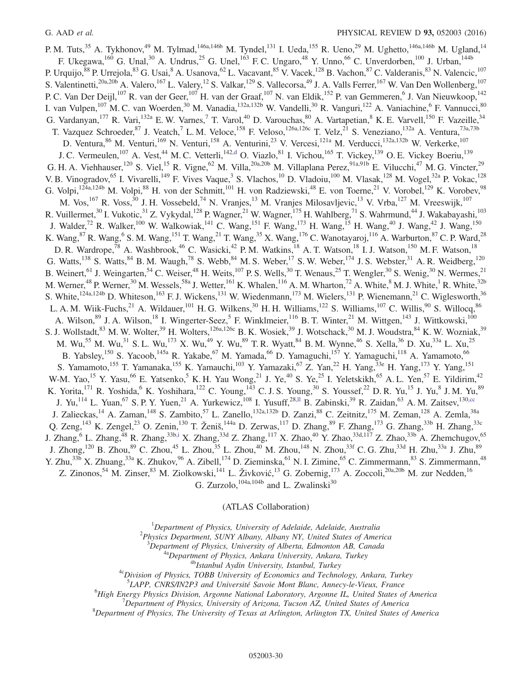P. M. Tuts,<sup>35</sup> A. Tykhonov,<sup>49</sup> M. Tylmad,<sup>146a,146b</sup> M. Tyndel,<sup>131</sup> I. Ueda,<sup>155</sup> R. Ueno,<sup>29</sup> M. Ughetto,<sup>146a,146b</sup> M. Ugland,<sup>14</sup> F. Ukegawa,  $^{160}$  G. Unal,  $^{30}$  A. Undrus,  $^{25}$  G. Unel,  $^{163}$  F. C. Ungaro,  $^{48}$  Y. Unno,  $^{66}$  C. Unverdorben,  $^{100}$  J. Urban,  $^{144b}$ P. Urquijo,<sup>88</sup> P. Urrejola,<sup>83</sup> G. Usai,<sup>8</sup> A. Usanova,<sup>62</sup> L. Vacavant,<sup>85</sup> V. Vacek,<sup>128</sup> B. Vachon,<sup>87</sup> C. Valderanis,<sup>83</sup> N. Valencic,<sup>107</sup> S. Valentinetti,<sup>20a,20b</sup> A. Valero,<sup>167</sup> L. Valery,<sup>12</sup> S. Valkar,<sup>129</sup> S. Vallecorsa,<sup>49</sup> J. A. Valls Ferrer,<sup>167</sup> W. Van Den Wollenberg,<sup>107</sup> P. C. Van Der Deijl,<sup>107</sup> R. van der Geer,<sup>107</sup> H. van der Graaf,<sup>107</sup> N. van Eldik,<sup>152</sup> P. van Gemmeren, <sup>6</sup> J. Van Nieuwkoop,<sup>142</sup> I. van Vulpen, <sup>107</sup> M. C. van Woerden, <sup>30</sup> M. Vanadia, <sup>132a, 132b</sup> W. Vandelli, <sup>30</sup> R. Vanguri, <sup>122</sup> A. Vaniachine, <sup>6</sup> F. Vannucci, <sup>80</sup> G. Vardanyan, <sup>177</sup> R. Vari, <sup>132a</sup> E. W. Varnes, <sup>7</sup> T. Varol, <sup>40</sup> D. Varouchas, <sup>80</sup> A. Vartapetian, <sup>8</sup> K. E. Varvell, <sup>150</sup> F. Vazeille, <sup>34</sup> T. Vazquez Schroeder,  $87$  J. Veatch, <sup>7</sup> L. M. Veloce,  $158$  F. Veloso,  $126a, 126c$  T. Velz,  $21$  S. Veneziano,  $132a$  A. Ventura,  $73a, 73b$ D. Ventura,  $86$  M. Venturi,  $169$  N. Venturi,  $158$  A. Venturini,  $23$  V. Vercesi,  $121a$  M. Verducci,  $132a,132b$  W. Verkerke,  $107$ J. C. Vermeulen,<sup>107</sup> A. Vest,<sup>44</sup> M. C. Vetterli,<sup>142[,d](#page-34-3)</sup> O. Viazlo,<sup>81</sup> I. Vichou,<sup>165</sup> T. Vickey,<sup>139</sup> O. E. Vickey Boeriu,<sup>139</sup> G. H. A. Viehhauser,<sup>120</sup> S. Viel,<sup>15</sup> R. Vigne,<sup>62</sup> M. Villa,<sup>20a,20b</sup> M. Villaplana Perez,<sup>91a,91b</sup> E. Vilucchi,<sup>47</sup> M. G. Vincter,<sup>29</sup> V. B. Vinogradov,<sup>65</sup> I. Vivarelli,<sup>149</sup> F. Vives Vaque,<sup>3</sup> S. Vlachos,<sup>10</sup> D. Vladoiu,<sup>100</sup> M. Vlasak,<sup>128</sup> M. Vogel,<sup>32a</sup> P. Vokac,<sup>128</sup> G. Volpi,  $^{124a,124b}$  M. Volpi,  $^{88}$  H. von der Schmitt,  $^{101}$  H. von Radziewski,  $^{48}$  E. von Toerne,  $^{21}$  V. Vorobel,  $^{129}$  K. Vorobev,  $^{98}$ M. Vos,<sup>167</sup> R. Voss,<sup>30</sup> J. H. Vossebeld,<sup>74</sup> N. Vranjes,<sup>13</sup> M. Vranjes Milosavljevic,<sup>13</sup> V. Vrba,<sup>127</sup> M. Vreeswijk,<sup>107</sup> R. Vuillermet,<sup>30</sup> I. Vukotic,<sup>31</sup> Z. Vykydal,<sup>128</sup> P. Wagner,<sup>21</sup> W. Wagner,<sup>175</sup> H. Wahlberg,<sup>71</sup> S. Wahrmund,<sup>44</sup> J. Wakabayashi,<sup>103</sup> J. Walder,<sup>72</sup> R. Walker,<sup>100</sup> W. Walkowiak,<sup>141</sup> C. Wang,<sup>151</sup> F. Wang,<sup>173</sup> H. Wang,<sup>15</sup> H. Wang,<sup>40</sup> J. Wang,<sup>42</sup> J. Wang,<sup>150</sup> K. Wang,  $87$  R. Wang,  $6$  S. M. Wang,  $151$  T. Wang,  $21$  T. Wang,  $35$  X. Wang,  $176$  C. Wanotayaroj,  $116$  A. Warburton,  $87$  C. P. Ward,  $28$ D. R. Wardrope,<sup>78</sup> A. Washbrook,<sup>46</sup> C. Wasicki,<sup>42</sup> P. M. Watkins,<sup>18</sup> A. T. Watson,<sup>18</sup> I. J. Watson,<sup>150</sup> M. F. Watson,<sup>18</sup> G. Watts,<sup>138</sup> S. Watts,<sup>84</sup> B. M. Waugh,<sup>78</sup> S. Webb,<sup>84</sup> M. S. Weber,<sup>17</sup> S. W. Weber,<sup>174</sup> J. S. Webster,<sup>31</sup> A. R. Weidberg,<sup>120</sup> B. Weinert, <sup>61</sup> J. Weingarten, <sup>54</sup> C. Weiser, <sup>48</sup> H. Weits, <sup>107</sup> P. S. Wells, <sup>30</sup> T. Wenaus, <sup>25</sup> T. Wengler, <sup>30</sup> S. Wenig, <sup>30</sup> N. Wermes, <sup>21</sup> M. Werner,<sup>48</sup> P. Werner,<sup>30</sup> M. Wessels,<sup>58a</sup> J. Wetter,<sup>161</sup> K. Whalen,<sup>116</sup> A. M. Wharton,<sup>72</sup> A. White,<sup>8</sup> M. J. White,<sup>1</sup> R. White,<sup>32b</sup> S. White,<sup>124a,124b</sup> D. Whiteson,<sup>163</sup> F. J. Wickens,<sup>131</sup> W. Wiedenmann,<sup>173</sup> M. Wielers,<sup>131</sup> P. Wienemann,<sup>21</sup> C. Wiglesworth,<sup>36</sup> L. A. M. Wiik-Fuchs,  $^{21}$  A. Wildauer,  $^{101}$  H. G. Wilkens,  $^{30}$  H. H. Williams,  $^{122}$  S. Williams,  $^{107}$  C. Willis,  $^{90}$  S. Willocq,  $^{86}$ A. Wilson, <sup>89</sup> J. A. Wilson, <sup>18</sup> I. Wingerter-Seez, <sup>5</sup> F. Winklmeier, <sup>116</sup> B. T. Winter, <sup>21</sup> M. Wittgen, <sup>143</sup> J. Wittkowski, <sup>100</sup> S. J. Wollstadt,  $8^3$  M. W. Wolter,  $39^9$  H. Wolters,  $126a,126c$  B. K. Wosiek,  $39^9$  J. Wotschack,  $30^9$  M. J. Woudstra,  $8^4$  K. W. Wozniak,  $39^9$ M. Wu,<sup>55</sup> M. Wu,<sup>31</sup> S. L. Wu,<sup>173</sup> X. Wu,<sup>49</sup> Y. Wu,<sup>89</sup> T. R. Wyatt,<sup>84</sup> B. M. Wynne,<sup>46</sup> S. Xella,<sup>36</sup> D. Xu,<sup>33a</sup> L. Xu,<sup>25</sup> B. Yabsley,<sup>150</sup> S. Yacoob,<sup>145a</sup> R. Yakabe,<sup>67</sup> M. Yamada,<sup>66</sup> D. Yamaguchi,<sup>157</sup> Y. Yamaguchi,<sup>118</sup> A. Yamamoto,<sup>66</sup> S. Yamamoto,<sup>155</sup> T. Yamanaka,<sup>155</sup> K. Yamauchi,<sup>103</sup> Y. Yamazaki,<sup>67</sup> Z. Yan,<sup>22</sup> H. Yang,<sup>33e</sup> H. Yang,<sup>173</sup> Y. Yang,<sup>151</sup> W-M. Yao,<sup>15</sup> Y. Yasu,<sup>66</sup> E. Yatsenko,<sup>5</sup> K. H. Yau Wong,<sup>21</sup> J. Ye,<sup>40</sup> S. Ye,<sup>25</sup> I. Yeletskikh,<sup>65</sup> A. L. Yen,<sup>57</sup> E. Yildirim,<sup>42</sup> K. Yorita,  $^{171}$  R. Yoshida,  $^{6}$  K. Yoshihara,  $^{122}$  C. Young,  $^{143}$  C. J. S. Young,  $^{30}$  S. Youssef,  $^{22}$  D. R. Yu,  $^{15}$  J. Yu,  $^{8}$  J. M. Yu,  $^{89}$ J. Yu,<sup>114</sup> L. Yuan,<sup>67</sup> S. P. Y. Yuen,<sup>21</sup> A. Yurkewicz,<sup>108</sup> I. Yusuff,<sup>28[,ll](#page-34-38)</sup> B. Zabinski,<sup>39</sup> R. Zaidan,<sup>63</sup> A. M. Zaitsev,<sup>13[0,cc](#page-34-29)</sup> J. Zalieckas,<sup>14</sup> A. Zaman,<sup>148</sup> S. Zambito,<sup>57</sup> L. Zanello,<sup>132a,132b</sup> D. Zanzi,<sup>88</sup> C. Zeitnitz,<sup>175</sup> M. Zeman,<sup>128</sup> A. Zemla,<sup>38a</sup> Q. Zeng,<sup>143</sup> K. Zengel,<sup>23</sup> O. Zenin,<sup>130</sup> T. Ženiš,<sup>144a</sup> D. Zerwas,<sup>117</sup> D. Zhang,<sup>89</sup> F. Zhang,<sup>173</sup> G. Zhang,<sup>33b</sup> H. Zhang,<sup>33c</sup> J. Zhang,<sup>6</sup> L. Zhang,<sup>48</sup> R. Zhang,<sup>33b[,i](#page-34-9)</sup> X. Zhang,<sup>33d</sup> Z. Zhang,<sup>117</sup> X. Zhao,<sup>40</sup> Y. Zhao,<sup>33d,117</sup> Z. Zhao,<sup>33b</sup> A. Zhemchugov,<sup>65</sup> J. Zhong,<sup>120</sup> B. Zhou,<sup>89</sup> C. Zhou,<sup>45</sup> L. Zhou,<sup>35</sup> L. Zhou,<sup>40</sup> M. Zhou,<sup>148</sup> N. Zhou,<sup>33f</sup> C. G. Zhu,<sup>33d</sup> H. Zhu,<sup>33a</sup> J. Zhu,<sup>89</sup> Y. Zhu,<sup>33b</sup> X. Zhuang,<sup>33a</sup> K. Zhukov,<sup>96</sup> A. Zibell,<sup>174</sup> D. Zieminska,<sup>61</sup> N. I. Zimine,<sup>65</sup> C. Zimmermann,<sup>83</sup> S. Zimmermann,<sup>48</sup> Z. Zinonos,<sup>54</sup> M. Zinser,<sup>83</sup> M. Ziolkowski,<sup>141</sup> L. Živković,<sup>13</sup> G. Zobernig,<sup>173</sup> A. Zoccoli,<sup>20a,20b</sup> M. zur Nedden,<sup>16</sup> G. Zurzolo,  $^{104a,104b}$  and L. Zwalinski<sup>30</sup>

(ATLAS Collaboration)

 ${}^{1}$ Department of Physics, University of Adelaide, Adelaide, Australia

<sup>2</sup>Physics Department, SUNY Albany, Albany NY, United States of America

 $3$ Department of Physics, University of Alberta, Edmonton AB, Canada

<sup>4a</sup>Department of Physics, Ankara University, Ankara, Turkey

<sup>4b</sup>Istanbul Aydin University, Istanbul, Turkey

<sup>4c</sup>Division of Physics, TOBB University of Economics and Technology, Ankara, Turkey

<sup>5</sup>LAPP, CNRS/IN2P3 and Université Savoie Mont Blanc, Annecy-le-Vieux, France

<sup>6</sup>High Energy Physics Division, Argonne National Laboratory, Argonne IL, United States of America

<sup>7</sup>Department of Physics, University of Arizona, Tucson AZ, United States of America

 ${}^{8}$ Department of Physics, The University of Texas at Arlington, Arlington TX, United States of America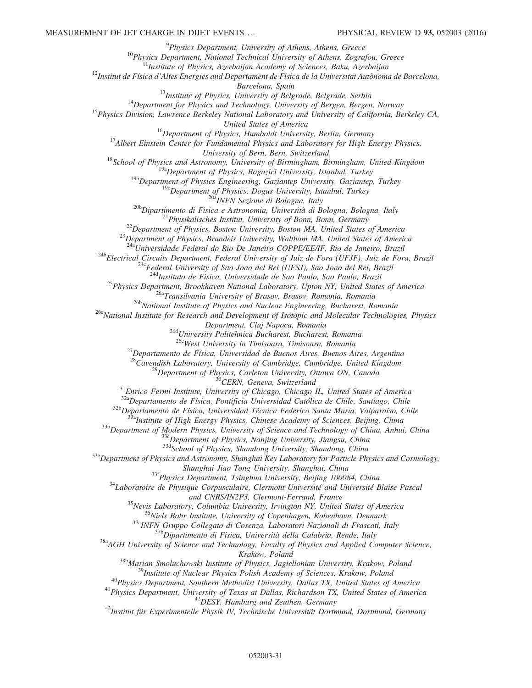<sup>9</sup> Physics Department, University of Athens, Athens, Greece

 $10$ Physics Department, National Technical University of Athens, Zografou, Greece

 $11$ Institute of Physics, Azerbaijan Academy of Sciences, Baku, Azerbaijan

 $^{12}$ Institut de Física d'Altes Energies and Departament de Física de la Universitat Autònoma de Barcelona,

Barcelona, Spain

<sup>13</sup>Institute of Physics, University of Belgrade, Belgrade, Serbia

 $14$ Department for Physics and Technology, University of Bergen, Bergen, Norway

<sup>15</sup>Physics Division, Lawrence Berkeley National Laboratory and University of California, Berkeley CA,

United States of America

 $16$ Department of Physics, Humboldt University, Berlin, Germany

 $17$ Albert Einstein Center for Fundamental Physics and Laboratory for High Energy Physics,

University of Bern, Bern, Switzerland

 $18$ School of Physics and Astronomy, University of Birmingham, Birmingham, United Kingdom

<sup>19a</sup>Department of Physics, Bogazici University, Istanbul, Turkey

 $19b$ Department of Physics Engineering, Gaziantep University, Gaziantep, Turkey

 $19c$  Department of Physics, Dogus University, Istanbul, Turkey

<sup>20a</sup>INFN Sezione di Bologna, Italy

 $^{20b}$ Dipartimento di Fisica e Astronomia, Università di Bologna, Bologna, Italy

 $2^{1}$ Physikalisches Institut, University of Bonn, Bonn, Germany

 $^{22}$ Department of Physics, Boston University, Boston MA, United States of America

<sup>23</sup>Department of Physics, Brandeis University, Waltham MA, United States of America

 $^{24a}$ Universidade Federal do Rio De Janeiro COPPE/EE/IF, Rio de Janeiro, Brazil

24bElectrical Circuits Department, Federal University of Juiz de Fora (UFJF), Juiz de Fora, Brazil

<sup>24c</sup>Federal University of Sao Joao del Rei (UFSJ), Sao Joao del Rei, Brazil

<sup>ld</sup>Instituto de Fisica, Universidade de Sao Paulo, Sao Paulo, Brazil

<sup>25</sup>Physics Department, Brookhaven National Laboratory, Upton NY, United States of America

<sup>26a</sup>Transilvania University of Brasov, Brasov, Romania, Romania

<sup>26b</sup>National Institute of Physics and Nuclear Engineering, Bucharest, Romania

<sup>26c</sup>National Institute for Research and Development of Isotopic and Molecular Technologies, Physics

Department, Cluj Napoca, Romania

<sup>26d</sup>University Politehnica Bucharest, Bucharest, Romania

<sup>26e</sup>West University in Timisoara, Timisoara, Romania

<sup>27</sup>Departamento de Física, Universidad de Buenos Aires, Buenos Aires, Argentina

 $28$ Cavendish Laboratory, University of Cambridge, Cambridge, United Kingdom

 $^{29}$ Department of Physics, Carleton University, Ottawa ON, Canada

<sup>30</sup>CERN, Geneva, Switzerland

 $31$ Enrico Fermi Institute, University of Chicago, Chicago IL, United States of America

32aDepartamento de Física, Pontificia Universidad Católica de Chile, Santiago, Chile

<sup>32b</sup>Departamento de Física, Universidad Técnica Federico Santa María, Valparaíso, Chile

<sup>a</sup>Institute of High Energy Physics, Chinese Academy of Sciences, Beijing, China

33b Department of Modern Physics, University of Science and Technology of China, Anhui, China

<sup>33c</sup>Department of Physics, Nanjing University, Jiangsu, China

33dSchool of Physics, Shandong University, Shandong, China

<sup>33e</sup>Department of Physics and Astronomy, Shanghai Key Laboratory for Particle Physics and Cosmology,

Shanghai Jiao Tong University, Shanghai, China

<sup>33f</sup>Physics Department, Tsinghua University, Beijing 100084, China

 $34$ Laboratoire de Physique Corpusculaire, Clermont Université and Université Blaise Pascal

and CNRS/IN2P3, Clermont-Ferrand, France

 $35$ Nevis Laboratory, Columbia University, Irvington NY, United States of America

<sup>36</sup>Niels Bohr Institute, University of Copenhagen, Kobenhavn, Denmark

<sup>37a</sup>INFN Gruppo Collegato di Cosenza, Laboratori Nazionali di Frascati, Italy

<sup>37b</sup>Dipartimento di Fisica, Università della Calabria, Rende, Italy

 $38a$ AGH University of Science and Technology, Faculty of Physics and Applied Computer Science,

Krakow, Poland

<sup>38b</sup>Marian Smoluchowski Institute of Physics, Jagiellonian University, Krakow, Poland  $39$ Institute of Nuclear Physics Polish Academy of Sciences, Krakow, Poland

<sup>40</sup>Physics Department, Southern Methodist University, Dallas TX, United States of America <sup>41</sup> Physics Department, University of Texas at Dallas, Richardson TX, United States of America

<sup>42</sup>DESY, Hamburg and Zeuthen, Germany

<sup>43</sup>Institut für Experimentelle Physik IV, Technische Universität Dortmund, Dortmund, Germany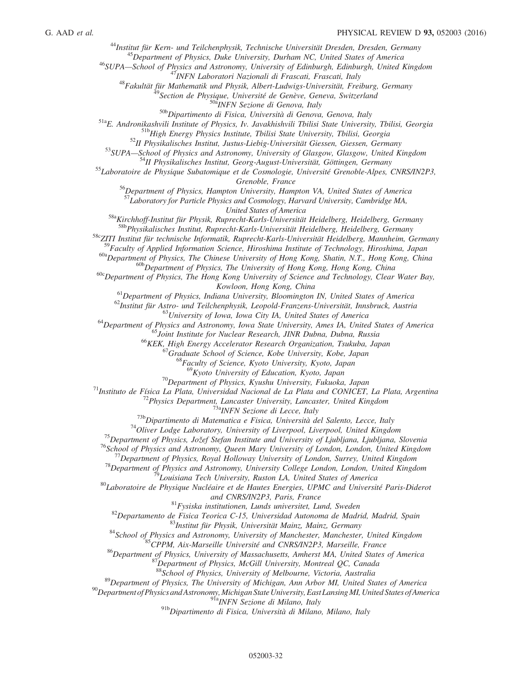<sup>44</sup>Institut für Kern- und Teilchenphysik, Technische Universität Dresden, Dresden, Germany

 $^{45}$ Department of Physics, Duke University, Durham NC, United States of America

<sup>46</sup>SUPA—School of Physics and Astronomy, University of Edinburgh, Edinburgh, United Kingdom

<sup>47</sup>INFN Laboratori Nazionali di Frascati, Frascati, Italy

 $48$ Fakultät für Mathematik und Physik, Albert-Ludwigs-Universität, Freiburg, Germany

<sup>49</sup>Section de Physique, Université de Genève, Geneva, Switzerland

<sup>50a</sup>INFN Sezione di Genova, Italy

50b Dipartimento di Fisica, Università di Genova, Genova, Italy

51aE. Andronikashvili Institute of Physics, Iv. Javakhishvili Tbilisi State University, Tbilisi, Georgia

<sup>51b</sup>High Energy Physics Institute, Tbilisi State University, Tbilisi, Georgia

 $52$ II Physikalisches Institut, Justus-Liebig-Universität Giessen, Giessen, Germany

53SUPA—School of Physics and Astronomy, University of Glasgow, Glasgow, United Kingdom

<sup>54</sup>II Physikalisches Institut, Georg-August-Universität, Göttingen, Germany

<sup>55</sup>Laboratoire de Physique Subatomique et de Cosmologie, Université Grenoble-Alpes, CNRS/IN2P3, Grenoble, France

<sup>56</sup>Department of Physics, Hampton University, Hampton VA, United States of America

 $57$ Laboratory for Particle Physics and Cosmology, Harvard University, Cambridge MA,

United States of America

<sup>58a</sup>Kirchhoff-Institut für Physik, Ruprecht-Karls-Universität Heidelberg, Heidelberg, Germany <sup>58b</sup>Physikalisches Institut, Ruprecht-Karls-Universität Heidelberg, Heidelberg, Germany

58cZITI Institut für technische Informatik, Ruprecht-Karls-Universität Heidelberg, Mannheim, Germany

<sup>59</sup>Faculty of Applied Information Science, Hiroshima Institute of Technology, Hiroshima, Japan

<sup>60a</sup>Department of Physics, The Chinese University of Hong Kong, Shatin, N.T., Hong Kong, China

<sup>60b</sup>Department of Physics, The University of Hong Kong, Hong Kong, China

 $60c$ Department of Physics, The Hong Kong University of Science and Technology, Clear Water Bay, Kowloon, Hong Kong, China

 $<sup>61</sup>$ Department of Physics, Indiana University, Bloomington IN, United States of America</sup>

 $^{62}$ Institut für Astro- und Teilchenphysik, Leopold-Franzens-Universität, Innsbruck, Austria

 $^{63}$ University of Iowa, Iowa City IA, United States of America

<sup>64</sup>Department of Physics and Astronomy, Iowa State University, Ames IA, United States of America

<sup>65</sup>Joint Institute for Nuclear Research, JINR Dubna, Dubna, Russia

<sup>66</sup>KEK, High Energy Accelerator Research Organization, Tsukuba, Japan

 $67$ Graduate School of Science, Kobe University, Kobe, Japan

 ${}^{8}$ Faculty of Science, Kyoto University, Kyoto, Japan

 $^{69}$ Kyoto University of Education, Kyoto, Japan

 $70$ Department of Physics, Kyushu University, Fukuoka, Japan

 $71$ Instituto de Física La Plata, Universidad Nacional de La Plata and CONICET, La Plata, Argentina

 $72$ Physics Department, Lancaster University, Lancaster, United Kingdom

<sup>73a</sup>INFN Sezione di Lecce, Italy

 $^{73b}$ Dipartimento di Matematica e Fisica, Università del Salento, Lecce, Italy

 $74$ Oliver Lodge Laboratory, University of Liverpool, Liverpool, United Kingdom

<sup>75</sup>Department of Physics, Jožef Stefan Institute and University of Ljubljana, Ljubljana, Slovenia

<sup>76</sup>School of Physics and Astronomy, Queen Mary University of London, London, United Kingdom

 $^{77}$ Department of Physics, Royal Holloway University of London, Surrey, United Kingdom

 $^{78}$ Department of Physics and Astronomy, University College London, London, United Kingdom

 $\mathcal{P}_i$ Louisiana Tech University, Ruston LA, United States of America

 $^{80}$ Laboratoire de Physique Nucléaire et de Hautes Energies, UPMC and Université Paris-Diderot

and CNRS/IN2P3, Paris, France

 $81$ Fysiska institutionen, Lunds universitet, Lund, Sweden

 $82$ Departamento de Fisica Teorica C-15, Universidad Autonoma de Madrid, Madrid, Spain

<sup>83</sup>Institut für Physik, Universität Mainz, Mainz, Germany

<sup>84</sup>School of Physics and Astronomy, University of Manchester, Manchester, United Kingdom

<sup>85</sup>CPPM, Aix-Marseille Université and CNRS/IN2P3, Marseille, France

<sup>86</sup>Department of Physics, University of Massachusetts, Amherst MA, United States of America

 $^{87}$ Department of Physics, McGill University, Montreal QC, Canada

88School of Physics, University of Melbourne, Victoria, Australia

<sup>89</sup>Department of Physics, The University of Michigan, Ann Arbor MI, United States of America

 $^{90}$ Department of Physics and Astronomy, Michigan State University, East Lansing MI, United States of America

ny, mangantiana 2008<br><sup>91a</sup>INFN Sezione di Milano, Italy

91bDipartimento di Fisica, Università di Milano, Milano, Italy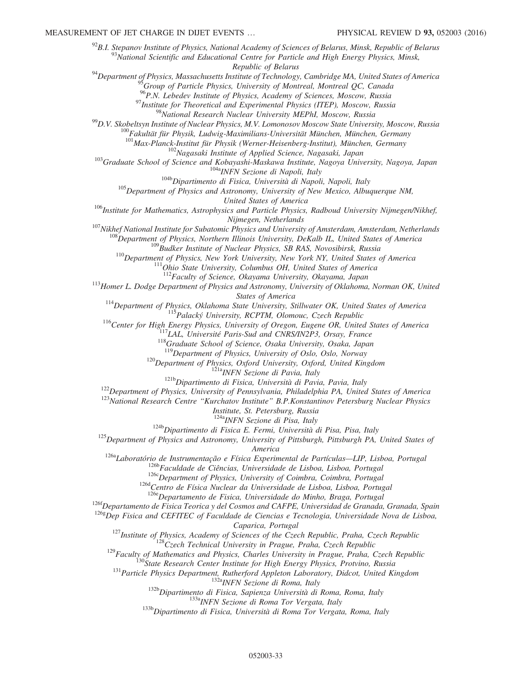$^{92}$ B.I. Stepanov Institute of Physics, National Academy of Sciences of Belarus, Minsk, Republic of Belarus  $93N$ ational Scientific and Educational Centre for Particle and High Energy Physics, Minsk, Republic of Belarus  $94$ Department of Physics, Massachusetts Institute of Technology, Cambridge MA, United States of America  $^{95}$ Group of Particle Physics, University of Montreal, Montreal QC, Canada <sup>96</sup>P.N. Lebedev Institute of Physics, Academy of Sciences, Moscow, Russia  $97$ Institute for Theoretical and Experimental Physics (ITEP), Moscow, Russia <sup>98</sup>National Research Nuclear University MEPhI, Moscow, Russia  $^{99}$ D.V. Skobeltsyn Institute of Nuclear Physics, M.V. Lomonosov Moscow State University, Moscow, Russia  $100F$ akultät für Physik, Ludwig-Maximilians-Universität München, München, Germany <sup>101</sup>Max-Planck-Institut für Physik (Werner-Heisenberg-Institut), München, Germany <sup>102</sup>Nagasaki Institute of Applied Science, Nagasaki, Japan <sup>103</sup>Graduate School of Science and Kobayashi-Maskawa Institute, Nagoya University, Nagoya, Japan 104a<sub>INFN</sub> Sezione di Napoli, Italy <sup>104b</sup>Dipartimento di Fisica, Università di Napoli, Napoli, Italy  $105$  Department of Physics and Astronomy, University of New Mexico, Albuquerque NM, United States of America <sup>106</sup>Institute for Mathematics, Astrophysics and Particle Physics, Radboud University Nijmegen/Nikhef, Nijmegen, Netherlands <sup>107</sup>Nikhef National Institute for Subatomic Physics and University of Amsterdam, Amsterdam, Netherlands  $^{108}$ Department of Physics, Northern Illinois University, DeKalb IL, United States of America  $^{109}$ Budker Institute of Nuclear Physics, SB RAS, Novosibirsk, Russia <sup>110</sup>Department of Physics, New York University, New York NY, United States of America  $111$ Ohio State University, Columbus OH, United States of America  $112$ Faculty of Science, Okayama University, Okayama, Japan <sup>113</sup>Homer L. Dodge Department of Physics and Astronomy, University of Oklahoma, Norman OK, United States of America  $114$ Department of Physics, Oklahoma State University, Stillwater OK, United States of America  $115$ Palacký University, RCPTM, Olomouc, Czech Republic <sup>116</sup>Center for High Energy Physics, University of Oregon, Eugene OR, United States of America  $^{117}$ LAL, Université Paris-Sud and CNRS/IN2P3, Orsay, France  $118$ Graduate School of Science, Osaka University, Osaka, Japan  $119$ Department of Physics, University of Oslo, Oslo, Norway <sup>120</sup>Department of Physics, Oxford University, Oxford, United Kingdom nysics, experimentally<br><sup>121a</sup>INFN Sezione di Pavia, Italy <sup>121b</sup>Dipartimento di Fisica, Università di Pavia, Pavia, Italy  $122$ Department of Physics, University of Pennsylvania, Philadelphia PA, United States of America <sup>123</sup>National Research Centre "Kurchatov Institute" B.P.Konstantinov Petersburg Nuclear Physics Institute, St. Petersburg, Russia <sup>124a</sup>INFN Sezione di Pisa, Italy <sup>124b</sup>Dipartimento di Fisica E. Fermi, Università di Pisa, Pisa, Italy <sup>125</sup>Department of Physics and Astronomy, University of Pittsburgh, Pittsburgh PA, United States of America <sup>126a</sup>Laboratório de Instrumentação e Física Experimental de Partículas—LIP, Lisboa, Portugal <sup>126b</sup>Faculdade de Ciências, Universidade de Lisboa, Lisboa, Portugal  $126c$ Department of Physics, University of Coimbra, Coimbra, Portugal 126d<sub>Centro de Física Nuclear da Universidade de Lisboa, Lisboa, Portugal</sub> 126eDepartamento de Fisica, Universidade do Minho, Braga, Portugal <sup>126f</sup>Departamento de Fisica Teorica y del Cosmos and CAFPE, Universidad de Granada, Granada, Spain  $126g$  $\overline{D}ep$  Fisica and CEFITEC of Faculdade de Ciencias e Tecnologia, Universidade Nova de Lisboa, Caparica, Portugal  $127$ Institute of Physics, Academy of Sciences of the Czech Republic, Praha, Czech Republic  $128C$ zech Technical University in Prague, Praha, Czech Republic  $129$ Faculty of Mathematics and Physics, Charles University in Prague, Praha, Czech Republic <sup>130</sup>State Research Center Institute for High Energy Physics, Protvino, Russia <sup>131</sup> Particle Physics Department, Rutherford Appleton Laboratory, Didcot, United Kingdom <sup>132a</sup>INFN Sezione di Roma, Italy <sup>132b</sup>Dipartimento di Fisica, Sapienza Università di Roma, Roma, Italy

133aINFN Sezione di Roma Tor Vergata, Italy

<sup>133b</sup>Dipartimento di Fisica, Università di Roma Tor Vergata, Roma, Italy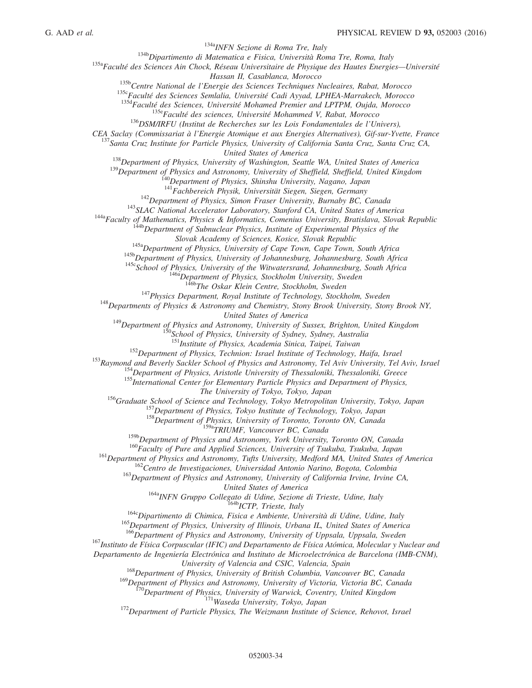<sup>134a</sup>INFN Sezione di Roma Tre, Italy

<sup>134b</sup>Dipartimento di Matematica e Fisica, Università Roma Tre, Roma, Italy

<sup>135a</sup>Faculté des Sciences Ain Chock, Réseau Universitaire de Physique des Hautes Energies-Université

Hassan II, Casablanca, Morocco

<sup>135b</sup>Centre National de l'Energie des Sciences Techniques Nucleaires, Rabat, Morocco

<sup>135c</sup>Faculté des Sciences Semlalia, Université Cadi Ayyad, LPHEA-Marrakech, Morocco

<sup>135d</sup>Faculté des Sciences, Université Mohamed Premier and LPTPM, Oujda, Morocco

<sup>135e</sup>Faculté des sciences, Université Mohammed V, Rabat, Morocco

<sup>136</sup>DSM/IRFU (Institut de Recherches sur les Lois Fondamentales de l'Univers),

<span id="page-34-6"></span><span id="page-34-3"></span><span id="page-34-2"></span><span id="page-34-1"></span><span id="page-34-0"></span>CEA Saclay (Commissariat à l'Energie Atomique et aux Energies Alternatives), Gif-sur-Yvette, France

<span id="page-34-5"></span><span id="page-34-4"></span> $^{137}$ Santa Cruz Institute for Particle Physics, University of California Santa Cruz, Santa Cruz CA,

United States of America

<sup>138</sup>Department of Physics, University of Washington, Seattle WA, United States of America

<sup>139</sup>Department of Physics and Astronomy, University of Sheffield, Sheffield, United Kingdom

<sup>[40</sup>Department of Physics, Shinshu University, Nagano, Japan

<sup>141</sup>Fachbereich Physik, Universität Siegen, Siegen, Germany

 $142$ Department of Physics, Simon Fraser University, Burnaby BC, Canada

<sup>143</sup>SLAC National Accelerator Laboratory, Stanford CA, United States of America

<span id="page-34-14"></span><span id="page-34-13"></span><span id="page-34-12"></span><span id="page-34-11"></span><span id="page-34-10"></span><span id="page-34-9"></span><span id="page-34-8"></span><span id="page-34-7"></span><sup>144a</sup>Faculty of Mathematics, Physics & Informatics, Comenius University, Bratislava, Slovak Republic

<sup>144b</sup>Department of Subnuclear Physics, Institute of Experimental Physics of the

Slovak Academy of Sciences, Kosice, Slovak Republic

 $145a$ Department of Physics, University of Cape Town, Cape Town, South Africa

145b Department of Physics, University of Johannesburg, Johannesburg, South Africa

 $145c$ School of Physics, University of the Witwatersrand, Johannesburg, South Africa

<sup>146a</sup>Department of Physics, Stockholm University, Sweden

<sup>146b</sup>The Oskar Klein Centre, Stockholm, Sweden

 $147$ Physics Department, Royal Institute of Technology, Stockholm, Sweden

<span id="page-34-21"></span><span id="page-34-20"></span><span id="page-34-19"></span><span id="page-34-18"></span><span id="page-34-17"></span><span id="page-34-16"></span><span id="page-34-15"></span> $148$  Departments of Physics & Astronomy and Chemistry, Stony Brook University, Stony Brook NY,

United States of America

<sup>149</sup>Department of Physics and Astronomy, University of Sussex, Brighton, United Kingdom

<sup>150</sup>School of Physics, University of Sydney, Sydney, Australia

<sup>151</sup>Institute of Physics, Academia Sinica, Taipei, Taiwan

<sup>152</sup>Department of Physics, Technion: Israel Institute of Technology, Haifa, Israel

<span id="page-34-29"></span><span id="page-34-28"></span><span id="page-34-27"></span><span id="page-34-26"></span><span id="page-34-25"></span><span id="page-34-24"></span><span id="page-34-23"></span><span id="page-34-22"></span><sup>153</sup>Raymond and Beverly Sackler School of Physics and Astronomy, Tel Aviv University, Tel Aviv, Israel

<sup>154</sup>Department of Physics, Aristotle University of Thessaloniki, Thessaloniki, Greece

<sup>155</sup>International Center for Elementary Particle Physics and Department of Physics,

The University of Tokyo, Tokyo, Japan

<span id="page-34-31"></span><span id="page-34-30"></span><sup>156</sup>Graduate School of Science and Technology, Tokyo Metropolitan University, Tokyo, Japan

<sup>157</sup>Department of Physics, Tokyo Institute of Technology, Tokyo, Japan

<sup>158</sup>Department of Physics, University of Toronto, Toronto ON, Canada

<sup>159a</sup>TRIUMF, Vancouver BC, Canada

<sup>159b</sup>Department of Physics and Astronomy, York University, Toronto ON, Canada

<sup>160</sup>Faculty of Pure and Applied Sciences, University of Tsukuba, Tsukuba, Japan

<span id="page-34-38"></span><span id="page-34-37"></span><span id="page-34-36"></span><span id="page-34-35"></span><span id="page-34-34"></span><span id="page-34-33"></span><span id="page-34-32"></span><sup>161</sup>Department of Physics and Astronomy, Tufts University, Medford MA, United States of America

<sup>162</sup>Centro de Investigaciones, Universidad Antonio Narino, Bogota, Colombia

<sup>163</sup>Department of Physics and Astronomy, University of California Irvine, Irvine CA,

United States of America

<sup>164a</sup>INFN Gruppo Collegato di Udine, Sezione di Trieste, Udine, Italy <sup>164b</sup>ICTP, Trieste, Italy

<sup>164c</sup>Dipartimento di Chimica, Fisica e Ambiente, Università di Udine, Udine, Italy

<sup>165</sup>Department of Physics, University of Illinois, Urbana IL, United States of America

<sup>166</sup>Department of Physics and Astronomy, University of Uppsala, Uppsala, Sweden

<sup>167</sup>Instituto de Física Corpuscular (IFIC) and Departamento de Física Atómica, Molecular y Nuclear and

Departamento de Ingeniería Electrónica and Instituto de Microelectrónica de Barcelona (IMB-CNM), University of Valencia and CSIC, Valencia, Spain

<sup>168</sup>Department of Physics, University of British Columbia, Vancouver BC, Canada

<sup>169</sup>Department of Physics and Astronomy, University of Victoria, Victoria BC, Canada

 $170$ Department of Physics, University of Warwick, Coventry, United Kingdom 171 Waseda University, Tokyo, Japan

<sup>172</sup>Department of Particle Physics, The Weizmann Institute of Science, Rehovot, Israel